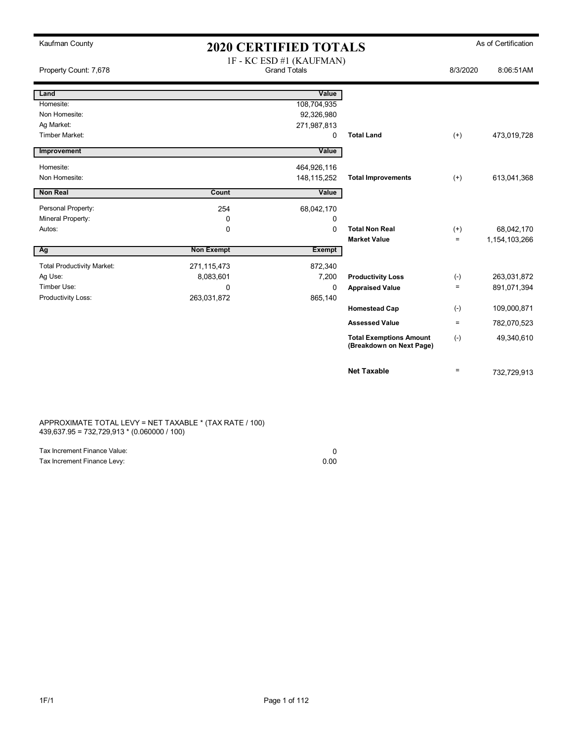| Kaufman County                    | <b>2020 CERTIFIED TOTALS</b> |                                                 |                                                            |          | As of Certification |
|-----------------------------------|------------------------------|-------------------------------------------------|------------------------------------------------------------|----------|---------------------|
| Property Count: 7,678             |                              | 1F - KC ESD #1 (KAUFMAN)<br><b>Grand Totals</b> |                                                            | 8/3/2020 | 8:06:51AM           |
| Land                              |                              | Value                                           |                                                            |          |                     |
| Homesite:                         |                              | 108,704,935                                     |                                                            |          |                     |
| Non Homesite:                     |                              | 92,326,980                                      |                                                            |          |                     |
| Ag Market:                        |                              | 271,987,813                                     |                                                            |          |                     |
| <b>Timber Market:</b>             |                              | 0                                               | <b>Total Land</b>                                          | $(+)$    | 473,019,728         |
| Improvement                       |                              | Value                                           |                                                            |          |                     |
| Homesite:                         |                              | 464,926,116                                     |                                                            |          |                     |
| Non Homesite:                     |                              | 148,115,252                                     | <b>Total Improvements</b>                                  | $^{(+)}$ | 613,041,368         |
| <b>Non Real</b>                   | Count                        | Value                                           |                                                            |          |                     |
| Personal Property:                | 254                          | 68,042,170                                      |                                                            |          |                     |
| Mineral Property:                 | 0                            | 0                                               |                                                            |          |                     |
| Autos:                            | 0                            | $\Omega$                                        | <b>Total Non Real</b>                                      | $^{(+)}$ | 68,042,170          |
|                                   |                              |                                                 | <b>Market Value</b>                                        | $=$      | 1,154,103,266       |
| Ag                                | <b>Non Exempt</b>            | Exempt                                          |                                                            |          |                     |
| <b>Total Productivity Market:</b> | 271,115,473                  | 872,340                                         |                                                            |          |                     |
| Ag Use:                           | 8,083,601                    | 7,200                                           | <b>Productivity Loss</b>                                   | $(-)$    | 263,031,872         |
| Timber Use:                       | 0                            | $\Omega$                                        | <b>Appraised Value</b>                                     | $\equiv$ | 891,071,394         |
| Productivity Loss:                | 263,031,872                  | 865,140                                         |                                                            |          |                     |
|                                   |                              |                                                 | <b>Homestead Cap</b>                                       | $(-)$    | 109,000,871         |
|                                   |                              |                                                 | <b>Assessed Value</b>                                      | $\equiv$ | 782,070,523         |
|                                   |                              |                                                 | <b>Total Exemptions Amount</b><br>(Breakdown on Next Page) | $(-)$    | 49,340,610          |
|                                   |                              |                                                 | <b>Net Taxable</b>                                         | $=$      | 732,729,913         |

APPROXIMATE TOTAL LEVY = NET TAXABLE \* (TAX RATE / 100) 439,637.95 = 732,729,913 \* (0.060000 / 100)

| Tax Increment Finance Value: |      |
|------------------------------|------|
| Tax Increment Finance Levy:  | 0.00 |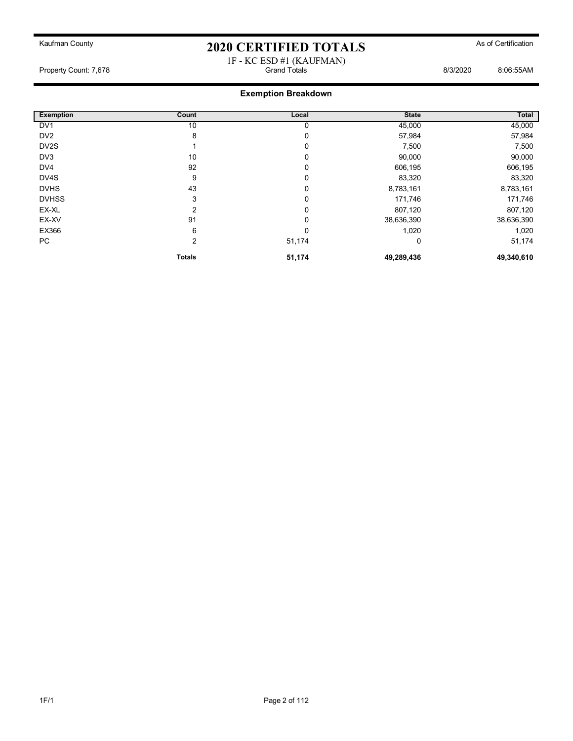#### 1F - KC ESD #1 (KAUFMAN) Property Count: 7,678 Grand Totals 8/3/2020 8:06:55AM

| <b>Exemption</b> | Count          | Local    | <b>State</b> | Total      |
|------------------|----------------|----------|--------------|------------|
| DV <sub>1</sub>  | 10             | 0        | 45,000       | 45,000     |
| DV <sub>2</sub>  | 8              | 0        | 57,984       | 57,984     |
| DV2S             |                | 0        | 7,500        | 7,500      |
| DV3              | 10             | 0        | 90,000       | 90,000     |
| DV <sub>4</sub>  | 92             | 0        | 606,195      | 606,195    |
| DV4S             | 9              | 0        | 83,320       | 83,320     |
| <b>DVHS</b>      | 43             | 0        | 8,783,161    | 8,783,161  |
| <b>DVHSS</b>     | 3              | 0        | 171,746      | 171,746    |
| EX-XL            | 2              | 0        | 807,120      | 807,120    |
| EX-XV            | 91             | 0        | 38,636,390   | 38,636,390 |
| EX366            | 6              | $\Omega$ | 1,020        | 1,020      |
| PC               | $\overline{2}$ | 51,174   | 0            | 51,174     |
|                  | <b>Totals</b>  | 51,174   | 49,289,436   | 49,340,610 |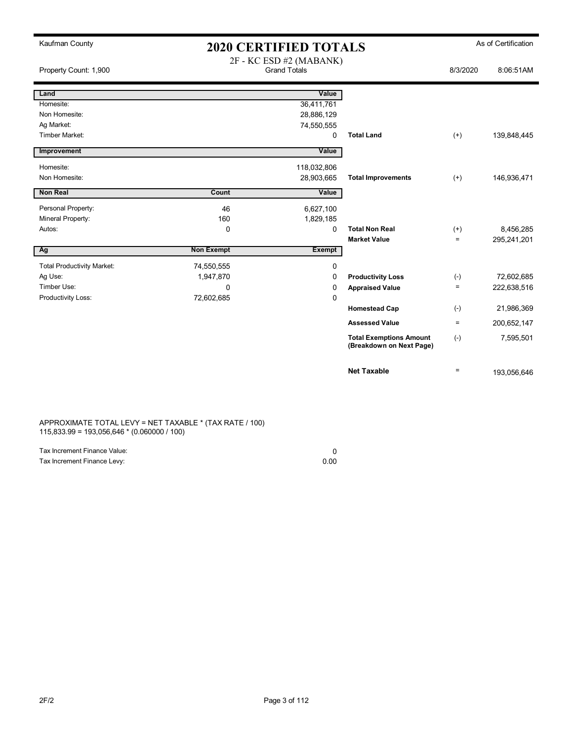| Kaufman County                      | <b>2020 CERTIFIED TOTALS</b> |                                                |                                                            |          | As of Certification |
|-------------------------------------|------------------------------|------------------------------------------------|------------------------------------------------------------|----------|---------------------|
| Property Count: 1,900               |                              | 2F - KC ESD #2 (MABANK)<br><b>Grand Totals</b> |                                                            | 8/3/2020 | 8:06:51AM           |
| Land                                |                              | Value                                          |                                                            |          |                     |
| Homesite:                           |                              | 36,411,761                                     |                                                            |          |                     |
| Non Homesite:                       |                              | 28,886,129                                     |                                                            |          |                     |
| Ag Market:<br><b>Timber Market:</b> |                              | 74,550,555<br>$\Omega$                         | <b>Total Land</b>                                          | $(+)$    | 139,848,445         |
|                                     |                              |                                                |                                                            |          |                     |
| Improvement                         |                              | Value                                          |                                                            |          |                     |
| Homesite:                           |                              | 118,032,806                                    |                                                            |          |                     |
| Non Homesite:                       |                              | 28,903,665                                     | <b>Total Improvements</b>                                  | $(+)$    | 146,936,471         |
| <b>Non Real</b>                     | Count                        | Value                                          |                                                            |          |                     |
| Personal Property:                  | 46                           | 6,627,100                                      |                                                            |          |                     |
| Mineral Property:                   | 160                          | 1,829,185                                      |                                                            |          |                     |
| Autos:                              | $\Omega$                     | 0                                              | <b>Total Non Real</b>                                      | $^{(+)}$ | 8,456,285           |
|                                     |                              |                                                | <b>Market Value</b>                                        | $\equiv$ | 295,241,201         |
| Ag                                  | <b>Non Exempt</b>            | <b>Exempt</b>                                  |                                                            |          |                     |
| <b>Total Productivity Market:</b>   | 74,550,555                   | 0                                              |                                                            |          |                     |
| Ag Use:                             | 1,947,870                    | 0                                              | <b>Productivity Loss</b>                                   | $(-)$    | 72,602,685          |
| Timber Use:                         | 0                            | 0                                              | <b>Appraised Value</b>                                     | $=$      | 222,638,516         |
| Productivity Loss:                  | 72,602,685                   | 0                                              |                                                            |          |                     |
|                                     |                              |                                                | <b>Homestead Cap</b>                                       | $(-)$    | 21,986,369          |
|                                     |                              |                                                | <b>Assessed Value</b>                                      | $\equiv$ | 200,652,147         |
|                                     |                              |                                                | <b>Total Exemptions Amount</b><br>(Breakdown on Next Page) | $(-)$    | 7,595,501           |
|                                     |                              |                                                | <b>Net Taxable</b>                                         | $\equiv$ | 193,056,646         |

APPROXIMATE TOTAL LEVY = NET TAXABLE \* (TAX RATE / 100) 115,833.99 = 193,056,646 \* (0.060000 / 100)

| Tax Increment Finance Value: |      |
|------------------------------|------|
| Tax Increment Finance Levy:  | 0.00 |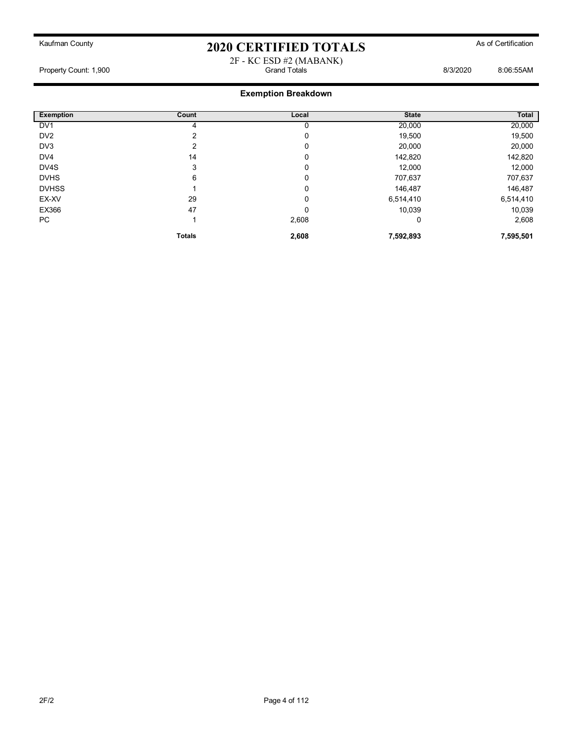#### 2F - KC ESD #2 (MABANK) Property Count: 1,900 Grand Totals 8/3/2020 8:06:55AM

| <b>Exemption</b> | Count         | Local | <b>State</b> | <b>Total</b> |
|------------------|---------------|-------|--------------|--------------|
| DV <sub>1</sub>  | 4             | 0     | 20,000       | 20,000       |
| DV <sub>2</sub>  | っ             | 0     | 19,500       | 19,500       |
| DV3              | 2             | 0     | 20,000       | 20,000       |
| DV <sub>4</sub>  | 14            | 0     | 142,820      | 142,820      |
| DV4S             | 3             | 0     | 12,000       | 12,000       |
| <b>DVHS</b>      | 6             | 0     | 707,637      | 707,637      |
| <b>DVHSS</b>     |               | 0     | 146,487      | 146,487      |
| EX-XV            | 29            | 0     | 6,514,410    | 6,514,410    |
| EX366            | 47            | 0     | 10,039       | 10,039       |
| PC               |               | 2,608 | 0            | 2,608        |
|                  | <b>Totals</b> | 2,608 | 7,592,893    | 7,595,501    |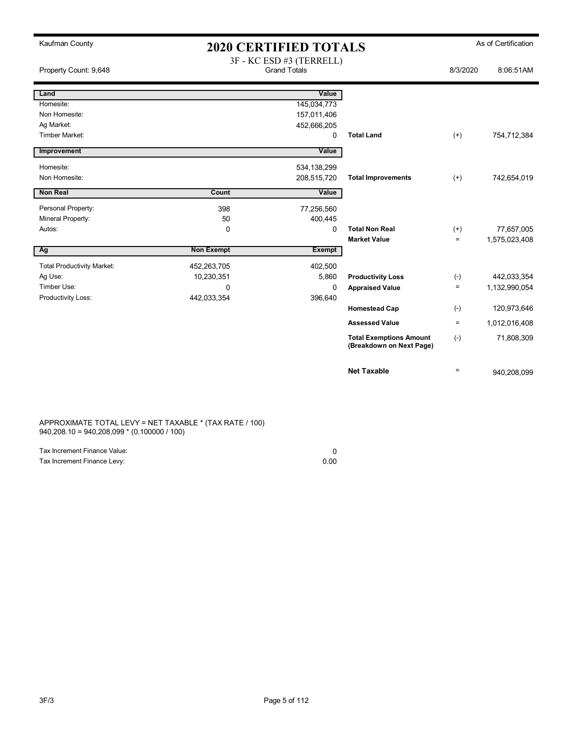| Kaufman County                    | <b>2020 CERTIFIED TOTALS</b> |                                                 |                                                            |          | As of Certification |
|-----------------------------------|------------------------------|-------------------------------------------------|------------------------------------------------------------|----------|---------------------|
| Property Count: 9,648             |                              | 3F - KC ESD #3 (TERRELL)<br><b>Grand Totals</b> |                                                            | 8/3/2020 | 8:06:51AM           |
| Land                              |                              | Value                                           |                                                            |          |                     |
| Homesite:                         |                              | 145,034,773                                     |                                                            |          |                     |
| Non Homesite:                     |                              | 157,011,406                                     |                                                            |          |                     |
| Ag Market:                        |                              | 452,666,205                                     |                                                            |          |                     |
| <b>Timber Market:</b>             |                              | 0                                               | <b>Total Land</b>                                          | $(+)$    | 754,712,384         |
| Improvement                       |                              | Value                                           |                                                            |          |                     |
| Homesite:                         |                              | 534,138,299                                     |                                                            |          |                     |
| Non Homesite:                     |                              | 208,515,720                                     | <b>Total Improvements</b>                                  | $(+)$    | 742,654,019         |
| <b>Non Real</b>                   | Count                        | Value                                           |                                                            |          |                     |
|                                   |                              |                                                 |                                                            |          |                     |
| Personal Property:                | 398                          | 77,256,560                                      |                                                            |          |                     |
| Mineral Property:                 | 50                           | 400,445                                         |                                                            |          |                     |
| Autos:                            | 0                            | $\Omega$                                        | <b>Total Non Real</b>                                      | $^{(+)}$ | 77,657,005          |
|                                   |                              |                                                 | <b>Market Value</b>                                        | $=$      | 1,575,023,408       |
| Ag                                | <b>Non Exempt</b>            | <b>Exempt</b>                                   |                                                            |          |                     |
| <b>Total Productivity Market:</b> | 452,263,705                  | 402,500                                         |                                                            |          |                     |
| Ag Use:                           | 10,230,351                   | 5,860                                           | <b>Productivity Loss</b>                                   | $(-)$    | 442,033,354         |
| Timber Use:                       | $\Omega$                     | 0                                               | <b>Appraised Value</b>                                     | $\equiv$ | 1,132,990,054       |
| Productivity Loss:                | 442,033,354                  | 396,640                                         |                                                            |          |                     |
|                                   |                              |                                                 | <b>Homestead Cap</b>                                       | $(-)$    | 120,973,646         |
|                                   |                              |                                                 | <b>Assessed Value</b>                                      | $\equiv$ | 1,012,016,408       |
|                                   |                              |                                                 | <b>Total Exemptions Amount</b><br>(Breakdown on Next Page) | $(-)$    | 71,808,309          |
|                                   |                              |                                                 | <b>Net Taxable</b>                                         | $\equiv$ | 940,208,099         |

APPROXIMATE TOTAL LEVY = NET TAXABLE \* (TAX RATE / 100) 940,208.10 = 940,208,099 \* (0.100000 / 100)

| Tax Increment Finance Value: |      |
|------------------------------|------|
| Tax Increment Finance Levy:  | 0.00 |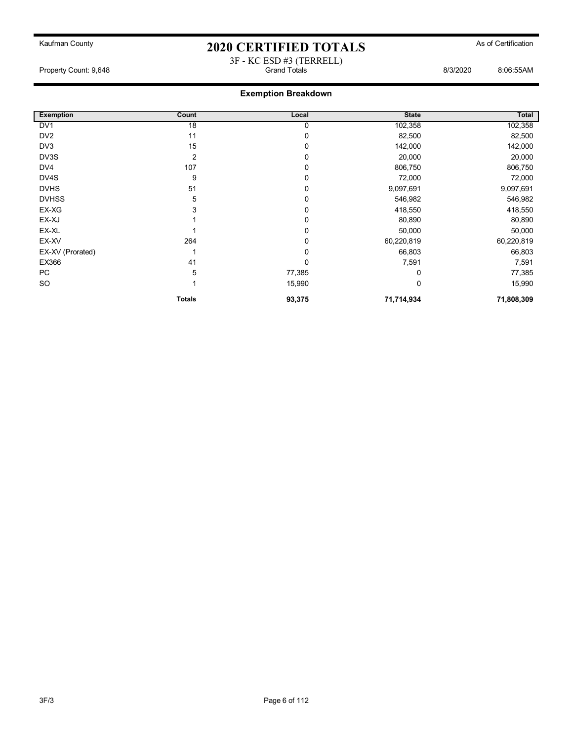#### 3F - KC ESD #3 (TERRELL) Property Count: 9,648 Grand Totals 8/3/2020 8:06:55AM

| <b>Exemption</b> | Count           | Local       | <b>State</b> | Total      |
|------------------|-----------------|-------------|--------------|------------|
| DV <sub>1</sub>  | $\overline{18}$ | 0           | 102,358      | 102,358    |
| DV <sub>2</sub>  | 11              | 0           | 82,500       | 82,500     |
| DV3              | 15              | $\mathbf 0$ | 142,000      | 142,000    |
| DV3S             | 2               | 0           | 20,000       | 20,000     |
| DV4              | 107             | $\mathbf 0$ | 806,750      | 806,750    |
| DV4S             | 9               | 0           | 72,000       | 72,000     |
| <b>DVHS</b>      | 51              | 0           | 9,097,691    | 9,097,691  |
| <b>DVHSS</b>     | 5               | $\mathbf 0$ | 546,982      | 546,982    |
| EX-XG            | 3               | $\mathbf 0$ | 418,550      | 418,550    |
| EX-XJ            |                 | $\mathbf 0$ | 80,890       | 80,890     |
| EX-XL            |                 | $\mathbf 0$ | 50,000       | 50,000     |
| EX-XV            | 264             | $\mathbf 0$ | 60,220,819   | 60,220,819 |
| EX-XV (Prorated) |                 | 0           | 66,803       | 66,803     |
| EX366            | 41              | $\mathbf 0$ | 7,591        | 7,591      |
| PC               | 5               | 77,385      | 0            | 77,385     |
| <b>SO</b>        |                 | 15,990      | 0            | 15,990     |
|                  | <b>Totals</b>   | 93,375      | 71,714,934   | 71,808,309 |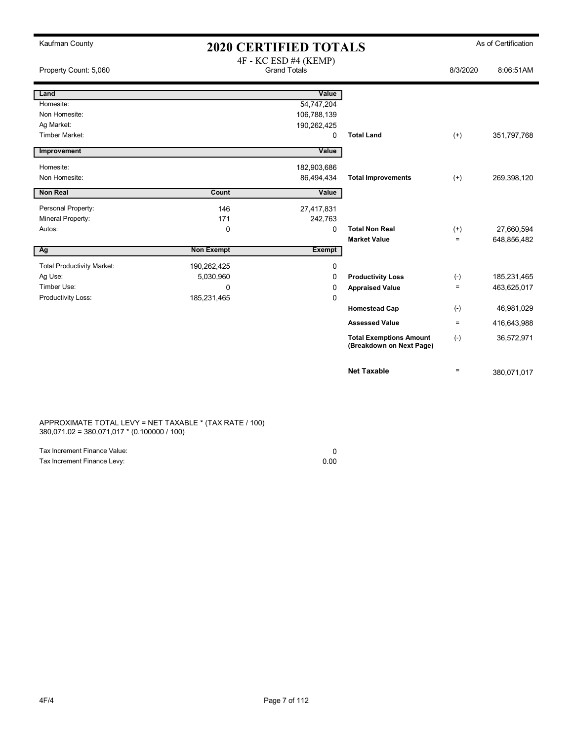| Kaufman County                    | <b>2020 CERTIFIED TOTALS</b> |                                              |                                                            |                               | As of Certification       |
|-----------------------------------|------------------------------|----------------------------------------------|------------------------------------------------------------|-------------------------------|---------------------------|
| Property Count: 5,060             |                              | 4F - KC ESD #4 (KEMP)<br><b>Grand Totals</b> |                                                            | 8/3/2020                      | 8:06:51AM                 |
|                                   |                              |                                              |                                                            |                               |                           |
| Land                              |                              | Value                                        |                                                            |                               |                           |
| Homesite:                         |                              | 54,747,204                                   |                                                            |                               |                           |
| Non Homesite:                     |                              | 106,788,139                                  |                                                            |                               |                           |
| Ag Market:                        |                              | 190,262,425                                  |                                                            |                               |                           |
| Timber Market:                    |                              | 0                                            | <b>Total Land</b>                                          | $^{(+)}$                      | 351,797,768               |
| Improvement                       |                              | Value                                        |                                                            |                               |                           |
| Homesite:                         |                              | 182,903,686                                  |                                                            |                               |                           |
| Non Homesite:                     |                              | 86,494,434                                   | <b>Total Improvements</b>                                  | $(+)$                         | 269,398,120               |
| Non Real                          | Count                        | Value                                        |                                                            |                               |                           |
|                                   |                              |                                              |                                                            |                               |                           |
| Personal Property:                | 146<br>171                   | 27,417,831                                   |                                                            |                               |                           |
| Mineral Property:<br>Autos:       | 0                            | 242,763<br>0                                 | <b>Total Non Real</b>                                      |                               |                           |
|                                   |                              |                                              | <b>Market Value</b>                                        | $^{(+)}$<br>$\qquad \qquad =$ | 27,660,594<br>648,856,482 |
| Ag                                | <b>Non Exempt</b>            | <b>Exempt</b>                                |                                                            |                               |                           |
|                                   |                              |                                              |                                                            |                               |                           |
| <b>Total Productivity Market:</b> | 190,262,425                  | 0                                            |                                                            |                               |                           |
| Ag Use:                           | 5,030,960                    | 0                                            | <b>Productivity Loss</b>                                   | $(-)$                         | 185,231,465               |
| Timber Use:                       | 0                            | 0                                            | <b>Appraised Value</b>                                     | $\qquad \qquad =$             | 463,625,017               |
| Productivity Loss:                | 185,231,465                  | 0                                            |                                                            |                               |                           |
|                                   |                              |                                              | <b>Homestead Cap</b>                                       | $(\textnormal{-})$            | 46,981,029                |
|                                   |                              |                                              | <b>Assessed Value</b>                                      | $\equiv$                      | 416,643,988               |
|                                   |                              |                                              | <b>Total Exemptions Amount</b><br>(Breakdown on Next Page) | $(-)$                         | 36,572,971                |
|                                   |                              |                                              | <b>Net Taxable</b>                                         | $\equiv$                      | 380,071,017               |

APPROXIMATE TOTAL LEVY = NET TAXABLE \* (TAX RATE / 100) 380,071.02 = 380,071,017 \* (0.100000 / 100)

| Tax Increment Finance Value: |      |
|------------------------------|------|
| Tax Increment Finance Levy:  | 0.00 |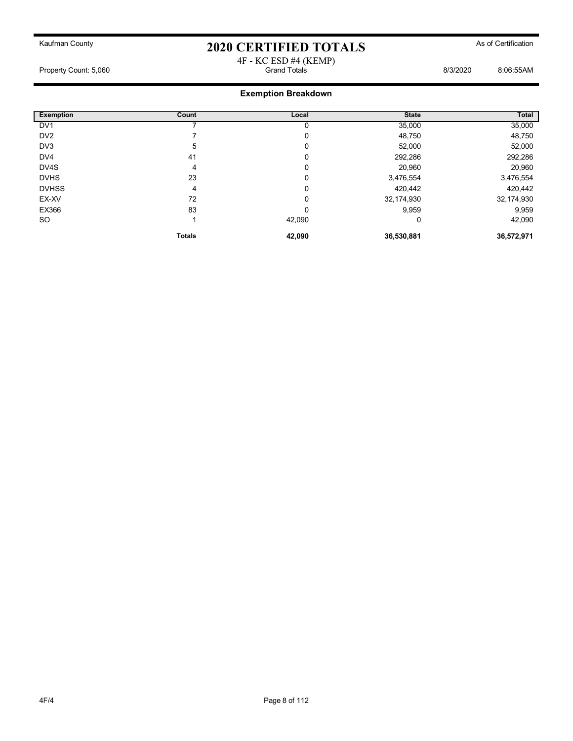#### 4F - KC ESD #4 (KEMP) Property Count: 5,060 Grand Totals 8/3/2020 8:06:55AM

| <b>Exemption</b> | Count         | Local  | <b>State</b> | Total      |
|------------------|---------------|--------|--------------|------------|
| DV <sub>1</sub>  |               |        | 35,000       | 35,000     |
| DV <sub>2</sub>  |               | 0      | 48,750       | 48,750     |
| DV3              | 5             | 0      | 52,000       | 52,000     |
| DV <sub>4</sub>  | 41            | 0      | 292,286      | 292,286    |
| DV4S             | 4             | 0      | 20,960       | 20,960     |
| <b>DVHS</b>      | 23            | 0      | 3,476,554    | 3,476,554  |
| <b>DVHSS</b>     | 4             | 0      | 420,442      | 420,442    |
| EX-XV            | 72            | 0      | 32,174,930   | 32,174,930 |
| EX366            | 83            | 0      | 9,959        | 9,959      |
| <b>SO</b>        |               | 42,090 | 0            | 42,090     |
|                  | <b>Totals</b> | 42,090 | 36,530,881   | 36,572,971 |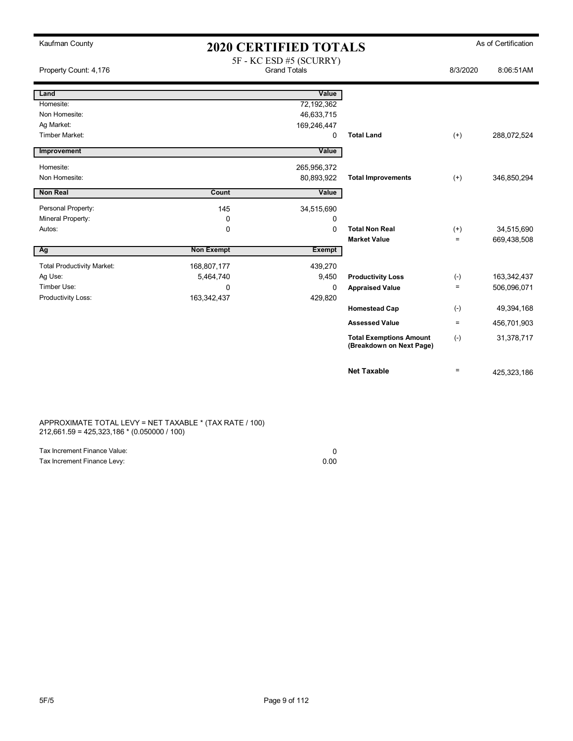| Kaufman County                    | <b>2020 CERTIFIED TOTALS</b> |                                                |                                                            | As of Certification |             |
|-----------------------------------|------------------------------|------------------------------------------------|------------------------------------------------------------|---------------------|-------------|
| Property Count: 4,176             |                              | 5F - KC ESD #5 (SCURRY)<br><b>Grand Totals</b> |                                                            | 8/3/2020            | 8:06:51AM   |
| Land                              |                              | Value                                          |                                                            |                     |             |
| Homesite:                         |                              | 72,192,362                                     |                                                            |                     |             |
| Non Homesite:                     |                              | 46,633,715                                     |                                                            |                     |             |
| Ag Market:                        |                              | 169,246,447                                    |                                                            |                     |             |
| <b>Timber Market:</b>             |                              | $\Omega$                                       | <b>Total Land</b>                                          | $(+)$               | 288,072,524 |
| Improvement                       |                              | Value                                          |                                                            |                     |             |
| Homesite:                         |                              | 265,956,372                                    |                                                            |                     |             |
| Non Homesite:                     |                              | 80,893,922                                     | <b>Total Improvements</b>                                  | $(+)$               | 346,850,294 |
| <b>Non Real</b>                   | Count                        | Value                                          |                                                            |                     |             |
|                                   |                              |                                                |                                                            |                     |             |
| Personal Property:                | 145                          | 34,515,690                                     |                                                            |                     |             |
| Mineral Property:                 | 0                            | 0                                              |                                                            |                     |             |
| Autos:                            | $\mathbf 0$                  | $\mathbf{0}$                                   | <b>Total Non Real</b>                                      | $^{(+)}$            | 34,515,690  |
|                                   |                              |                                                | <b>Market Value</b>                                        | $=$                 | 669,438,508 |
| Ag                                | <b>Non Exempt</b>            | <b>Exempt</b>                                  |                                                            |                     |             |
| <b>Total Productivity Market:</b> | 168,807,177                  | 439,270                                        |                                                            |                     |             |
| Ag Use:                           | 5,464,740                    | 9,450                                          | <b>Productivity Loss</b>                                   | $(-)$               | 163,342,437 |
| Timber Use:                       | $\mathbf 0$                  | 0                                              | <b>Appraised Value</b>                                     | $=$                 | 506,096,071 |
| Productivity Loss:                | 163,342,437                  | 429,820                                        |                                                            |                     |             |
|                                   |                              |                                                | <b>Homestead Cap</b>                                       | $(-)$               | 49,394,168  |
|                                   |                              |                                                | <b>Assessed Value</b>                                      | $\equiv$            | 456,701,903 |
|                                   |                              |                                                | <b>Total Exemptions Amount</b><br>(Breakdown on Next Page) | $(-)$               | 31,378,717  |
|                                   |                              |                                                | <b>Net Taxable</b>                                         | $\equiv$            | 425,323,186 |

APPROXIMATE TOTAL LEVY = NET TAXABLE \* (TAX RATE / 100) 212,661.59 = 425,323,186 \* (0.050000 / 100)

| Tax Increment Finance Value: |      |
|------------------------------|------|
| Tax Increment Finance Levy:  | 0.00 |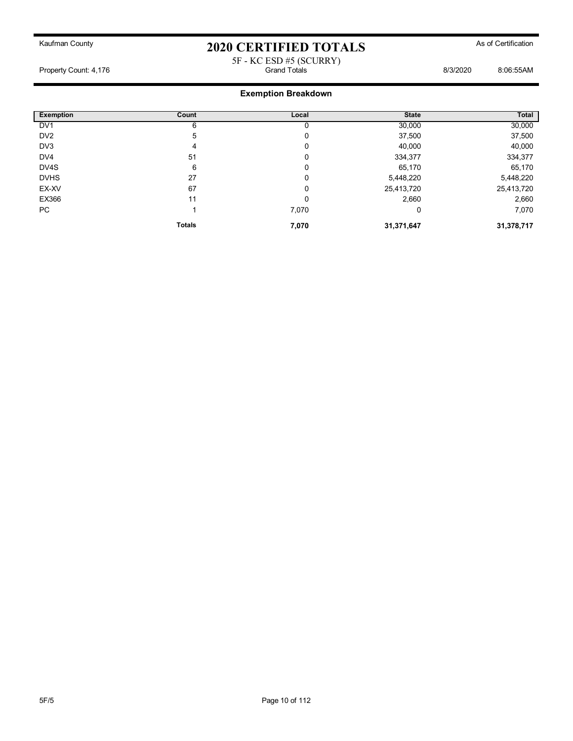#### 5F - KC ESD #5 (SCURRY) Property Count: 4,176 Grand Totals 8/3/2020 8:06:55AM

| <b>Exemption</b> | Count         | Local | <b>State</b> | Total      |
|------------------|---------------|-------|--------------|------------|
| DV <sub>1</sub>  | 6             |       | 30,000       | 30,000     |
| DV <sub>2</sub>  | 5             | 0     | 37,500       | 37,500     |
| DV3              | 4             | 0     | 40,000       | 40,000     |
| DV <sub>4</sub>  | 51            | 0     | 334,377      | 334,377    |
| DV4S             | 6             | 0     | 65,170       | 65,170     |
| <b>DVHS</b>      | 27            | 0     | 5,448,220    | 5,448,220  |
| EX-XV            | 67            | 0     | 25,413,720   | 25,413,720 |
| EX366            | 11            | 0     | 2,660        | 2,660      |
| PC               |               | 7,070 | 0            | 7,070      |
|                  | <b>Totals</b> | 7,070 | 31,371,647   | 31,378,717 |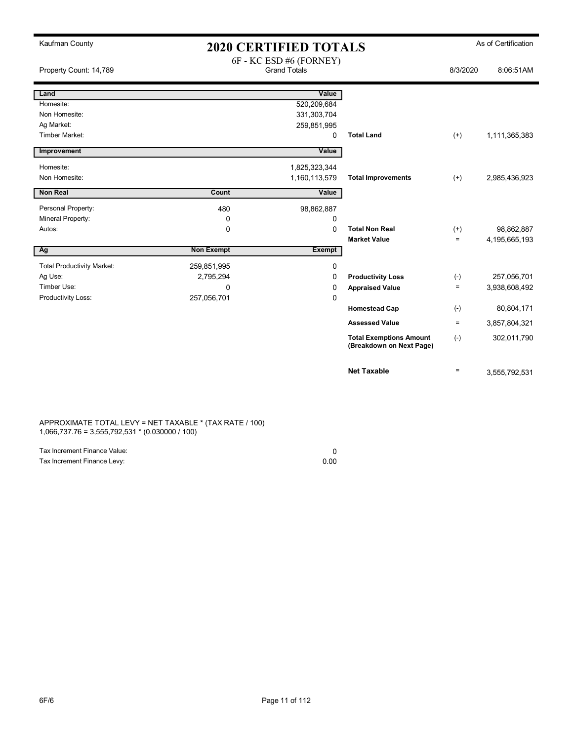| Kaufman County                    | <b>2020 CERTIFIED TOTALS</b> |                                                |                                                            | As of Certification |               |
|-----------------------------------|------------------------------|------------------------------------------------|------------------------------------------------------------|---------------------|---------------|
| Property Count: 14,789            |                              | 6F - KC ESD #6 (FORNEY)<br><b>Grand Totals</b> |                                                            | 8/3/2020            | 8:06:51AM     |
| Land                              |                              | Value                                          |                                                            |                     |               |
| Homesite:                         |                              | 520,209,684                                    |                                                            |                     |               |
| Non Homesite:                     |                              | 331,303,704                                    |                                                            |                     |               |
| Ag Market:                        |                              | 259,851,995                                    |                                                            |                     |               |
| Timber Market:                    |                              | 0                                              | <b>Total Land</b>                                          | $^{(+)}$            | 1,111,365,383 |
| Improvement                       |                              | Value                                          |                                                            |                     |               |
| Homesite:                         |                              | 1,825,323,344                                  |                                                            |                     |               |
| Non Homesite:                     |                              | 1,160,113,579                                  | <b>Total Improvements</b>                                  | $(+)$               | 2,985,436,923 |
| <b>Non Real</b>                   | Count                        | Value                                          |                                                            |                     |               |
| Personal Property:                | 480                          | 98,862,887                                     |                                                            |                     |               |
| Mineral Property:                 | 0                            | 0                                              |                                                            |                     |               |
| Autos:                            | 0                            | 0                                              | <b>Total Non Real</b>                                      | $^{(+)}$            | 98,862,887    |
|                                   |                              |                                                | <b>Market Value</b>                                        | $\equiv$            | 4,195,665,193 |
| Ag                                | <b>Non Exempt</b>            | <b>Exempt</b>                                  |                                                            |                     |               |
| <b>Total Productivity Market:</b> | 259,851,995                  | 0                                              |                                                            |                     |               |
| Ag Use:                           | 2,795,294                    | 0                                              | <b>Productivity Loss</b>                                   | $(-)$               | 257,056,701   |
| Timber Use:                       | 0                            | 0                                              | <b>Appraised Value</b>                                     | $\equiv$            | 3,938,608,492 |
| Productivity Loss:                | 257,056,701                  | 0                                              |                                                            |                     |               |
|                                   |                              |                                                | <b>Homestead Cap</b>                                       | $(-)$               | 80,804,171    |
|                                   |                              |                                                | <b>Assessed Value</b>                                      | $\equiv$            | 3,857,804,321 |
|                                   |                              |                                                | <b>Total Exemptions Amount</b><br>(Breakdown on Next Page) | $(-)$               | 302,011,790   |
|                                   |                              |                                                | <b>Net Taxable</b>                                         | $\equiv$            | 3,555,792,531 |

APPROXIMATE TOTAL LEVY = NET TAXABLE \* (TAX RATE / 100) 1,066,737.76 = 3,555,792,531 \* (0.030000 / 100)

| Tax Increment Finance Value: |      |
|------------------------------|------|
| Tax Increment Finance Levy:  | 0.00 |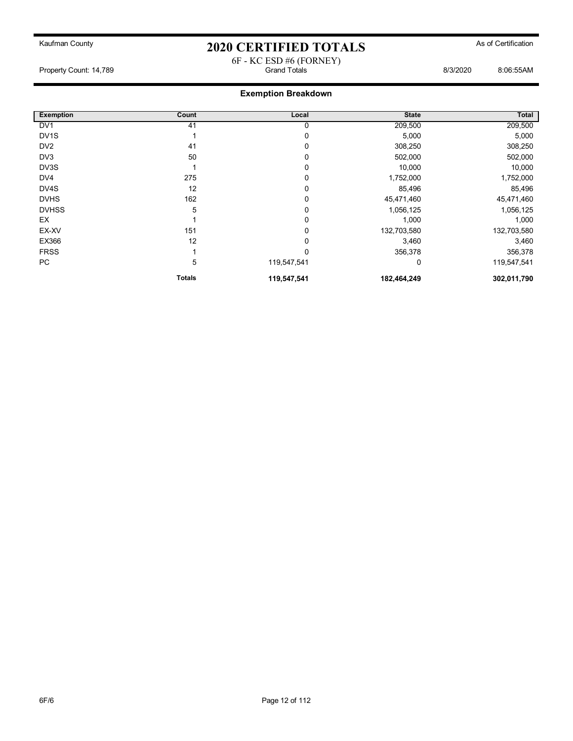6F - KC ESD #6 (FORNEY)

Property Count: 14,789 Grand Totals 8/3/2020 8:06:55AM

| <b>Exemption</b>  | Count         | Local        | <b>State</b> | Total       |
|-------------------|---------------|--------------|--------------|-------------|
| DV <sub>1</sub>   | 41            | 0            | 209,500      | 209,500     |
| DV <sub>1</sub> S |               | 0            | 5,000        | 5,000       |
| DV <sub>2</sub>   | 41            | 0            | 308,250      | 308,250     |
| DV3               | 50            | 0            | 502,000      | 502,000     |
| DV3S              |               | 0            | 10,000       | 10,000      |
| DV4               | 275           | 0            | 1,752,000    | 1,752,000   |
| DV4S              | 12            | 0            | 85,496       | 85,496      |
| <b>DVHS</b>       | 162           | 0            | 45,471,460   | 45,471,460  |
| <b>DVHSS</b>      | 5             | 0            | 1,056,125    | 1,056,125   |
| EX                |               | 0            | 1,000        | 1,000       |
| EX-XV             | 151           | 0            | 132,703,580  | 132,703,580 |
| EX366             | 12            | 0            | 3,460        | 3,460       |
| <b>FRSS</b>       |               | $\mathbf{0}$ | 356,378      | 356,378     |
| PC                | 5             | 119,547,541  | 0            | 119,547,541 |
|                   | <b>Totals</b> | 119,547,541  | 182,464,249  | 302,011,790 |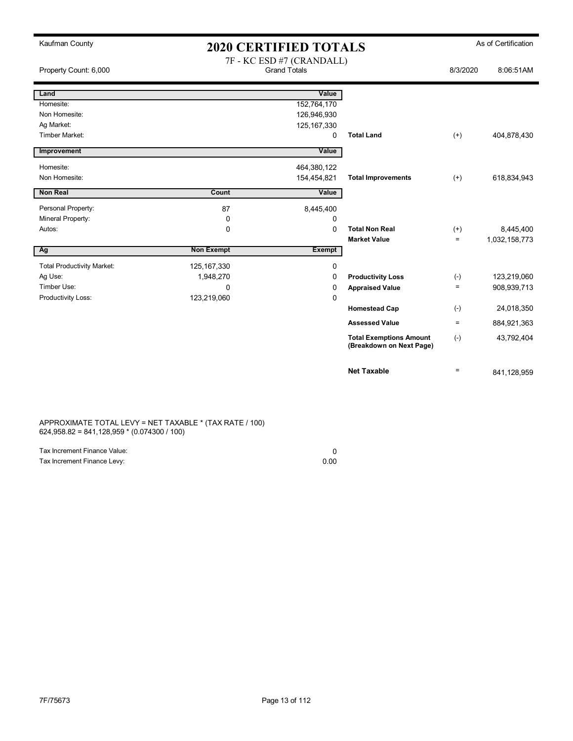| Kaufman County                    | <b>2020 CERTIFIED TOTALS</b> |                           |                                                            |          | As of Certification |
|-----------------------------------|------------------------------|---------------------------|------------------------------------------------------------|----------|---------------------|
|                                   |                              | 7F - KC ESD #7 (CRANDALL) |                                                            |          |                     |
| Property Count: 6,000             |                              | <b>Grand Totals</b>       |                                                            | 8/3/2020 | 8:06:51AM           |
| Land                              |                              | Value                     |                                                            |          |                     |
| Homesite:                         |                              | 152,764,170               |                                                            |          |                     |
| Non Homesite:                     |                              | 126,946,930               |                                                            |          |                     |
| Ag Market:                        |                              | 125, 167, 330             |                                                            |          |                     |
| Timber Market:                    |                              | $\Omega$                  | <b>Total Land</b>                                          | $(+)$    | 404,878,430         |
| Improvement                       |                              | Value                     |                                                            |          |                     |
| Homesite:                         |                              | 464,380,122               |                                                            |          |                     |
| Non Homesite:                     |                              | 154,454,821               | <b>Total Improvements</b>                                  | $(+)$    | 618,834,943         |
| Non Real                          | Count                        | Value                     |                                                            |          |                     |
| Personal Property:                | 87                           | 8,445,400                 |                                                            |          |                     |
| Mineral Property:                 | 0                            | 0                         |                                                            |          |                     |
| Autos:                            | 0                            | $\Omega$                  | <b>Total Non Real</b>                                      | $^{(+)}$ | 8,445,400           |
|                                   |                              |                           | <b>Market Value</b>                                        | $\equiv$ | 1,032,158,773       |
| Ag                                | <b>Non Exempt</b>            | <b>Exempt</b>             |                                                            |          |                     |
| <b>Total Productivity Market:</b> | 125, 167, 330                | 0                         |                                                            |          |                     |
| Ag Use:                           | 1,948,270                    | 0                         | <b>Productivity Loss</b>                                   | $(-)$    | 123,219,060         |
| Timber Use:                       | $\mathbf 0$                  | 0                         | <b>Appraised Value</b>                                     | $\equiv$ | 908,939,713         |
| Productivity Loss:                | 123,219,060                  | 0                         |                                                            |          |                     |
|                                   |                              |                           | <b>Homestead Cap</b>                                       | $(-)$    | 24,018,350          |
|                                   |                              |                           | <b>Assessed Value</b>                                      | $\equiv$ | 884,921,363         |
|                                   |                              |                           | <b>Total Exemptions Amount</b><br>(Breakdown on Next Page) | $(-)$    | 43,792,404          |
|                                   |                              |                           | <b>Net Taxable</b>                                         | $\equiv$ | 841,128,959         |

APPROXIMATE TOTAL LEVY = NET TAXABLE \* (TAX RATE / 100) 624,958.82 = 841,128,959 \* (0.074300 / 100)

| Tax Increment Finance Value: |      |
|------------------------------|------|
| Tax Increment Finance Levy:  | 0.00 |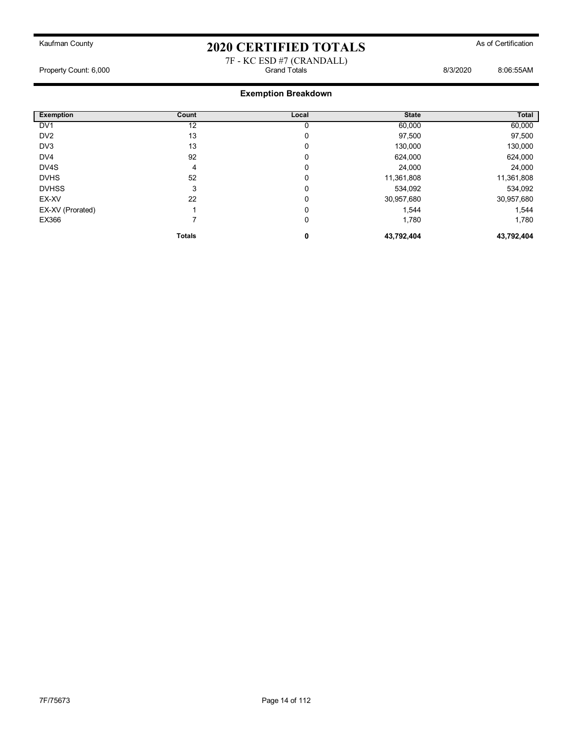#### 7F - KC ESD #7 (CRANDALL) Property Count: 6,000 Grand Totals 8/3/2020 8:06:55AM

| <b>Exemption</b> | Count         | Local | <b>State</b> | Total      |
|------------------|---------------|-------|--------------|------------|
| DV <sub>1</sub>  | 12            |       | 60,000       | 60,000     |
| DV <sub>2</sub>  | 13            | 0     | 97,500       | 97,500     |
| DV3              | 13            | 0     | 130,000      | 130,000    |
| DV4              | 92            | 0     | 624,000      | 624,000    |
| DV4S             | 4             | 0     | 24,000       | 24,000     |
| <b>DVHS</b>      | 52            | 0     | 11,361,808   | 11,361,808 |
| <b>DVHSS</b>     | 3             | 0     | 534,092      | 534,092    |
| EX-XV            | 22            | 0     | 30,957,680   | 30,957,680 |
| EX-XV (Prorated) |               | 0     | 1,544        | 1,544      |
| EX366            |               | 0     | 1,780        | 1,780      |
|                  | <b>Totals</b> | 0     | 43,792,404   | 43,792,404 |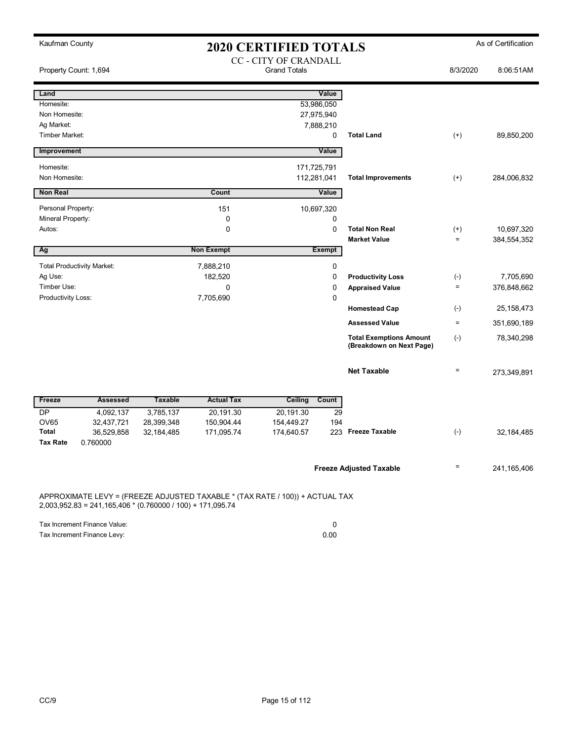| Kaufman County                  |                                                              |                |                                                                              | <b>2020 CERTIFIED TOTALS</b>                 |               |                                                            |                    | As of Certification |
|---------------------------------|--------------------------------------------------------------|----------------|------------------------------------------------------------------------------|----------------------------------------------|---------------|------------------------------------------------------------|--------------------|---------------------|
| Property Count: 1,694           |                                                              |                |                                                                              | CC - CITY OF CRANDALL<br><b>Grand Totals</b> |               |                                                            | 8/3/2020           | 8:06:51AM           |
| Land                            |                                                              |                |                                                                              |                                              | Value         |                                                            |                    |                     |
| Homesite:                       |                                                              |                |                                                                              | 53,986,050                                   |               |                                                            |                    |                     |
| Non Homesite:                   |                                                              |                |                                                                              | 27,975,940                                   |               |                                                            |                    |                     |
| Ag Market:                      |                                                              |                |                                                                              | 7,888,210                                    |               |                                                            |                    |                     |
| Timber Market:                  |                                                              |                |                                                                              |                                              | 0             | <b>Total Land</b>                                          | $^{(+)}$           | 89,850,200          |
| Improvement                     |                                                              |                |                                                                              |                                              | Value         |                                                            |                    |                     |
| Homesite:                       |                                                              |                |                                                                              | 171,725,791                                  |               |                                                            |                    |                     |
| Non Homesite:                   |                                                              |                |                                                                              | 112,281,041                                  |               | <b>Total Improvements</b>                                  | $^{(+)}$           | 284,006,832         |
| <b>Non Real</b>                 |                                                              |                | Count                                                                        |                                              | Value         |                                                            |                    |                     |
| Personal Property:              |                                                              |                | 151                                                                          | 10,697,320                                   |               |                                                            |                    |                     |
| Mineral Property:               |                                                              |                | 0                                                                            |                                              | 0             |                                                            |                    |                     |
| Autos:                          |                                                              |                | 0                                                                            |                                              | $\mathbf 0$   | <b>Total Non Real</b>                                      | $^{(+)}$           | 10,697,320          |
|                                 |                                                              |                |                                                                              |                                              |               | <b>Market Value</b>                                        | $\qquad \qquad =$  | 384,554,352         |
| Ag                              |                                                              |                | <b>Non Exempt</b>                                                            |                                              | <b>Exempt</b> |                                                            |                    |                     |
|                                 | <b>Total Productivity Market:</b>                            |                | 7,888,210                                                                    |                                              | 0             |                                                            |                    |                     |
| Ag Use:                         |                                                              |                | 182,520                                                                      |                                              | 0             | <b>Productivity Loss</b>                                   | $(-)$              | 7,705,690           |
| Timber Use:                     |                                                              |                | 0                                                                            |                                              | 0             | <b>Appraised Value</b>                                     | $\equiv$           | 376,848,662         |
| Productivity Loss:              |                                                              |                | 7,705,690                                                                    |                                              | 0             |                                                            |                    |                     |
|                                 |                                                              |                |                                                                              |                                              |               | <b>Homestead Cap</b>                                       | $(\textnormal{-})$ | 25, 158, 473        |
|                                 |                                                              |                |                                                                              |                                              |               | <b>Assessed Value</b>                                      | $\equiv$           | 351,690,189         |
|                                 |                                                              |                |                                                                              |                                              |               | <b>Total Exemptions Amount</b><br>(Breakdown on Next Page) | $(\text{-})$       | 78,340,298          |
|                                 |                                                              |                |                                                                              |                                              |               | <b>Net Taxable</b>                                         | $\qquad \qquad =$  | 273,349,891         |
| Freeze                          | <b>Assessed</b>                                              | <b>Taxable</b> | <b>Actual Tax</b>                                                            | <b>Ceiling</b>                               | Count         |                                                            |                    |                     |
| <b>DP</b>                       | 4,092,137                                                    | 3,785,137      | 20,191.30                                                                    | 20,191.30                                    | 29            |                                                            |                    |                     |
| <b>OV65</b>                     | 32,437,721                                                   | 28,399,348     | 150,904.44                                                                   | 154,449.27                                   | 194           |                                                            |                    |                     |
| <b>Total</b><br><b>Tax Rate</b> | 36,529,858<br>0.760000                                       | 32,184,485     | 171,095.74                                                                   | 174,640.57                                   |               | 223 Freeze Taxable                                         | $(-)$              | 32,184,485          |
|                                 |                                                              |                |                                                                              |                                              |               | <b>Freeze Adjusted Taxable</b>                             | $\qquad \qquad =$  | 241,165,406         |
|                                 | $2,003,952.83 = 241,165,406 * (0.760000 / 100) + 171,095.74$ |                | APPROXIMATE LEVY = (FREEZE ADJUSTED TAXABLE * (TAX RATE / 100)) + ACTUAL TAX |                                              |               |                                                            |                    |                     |

Tax Increment Finance Value: 0

Tax Increment Finance Levy: 0.00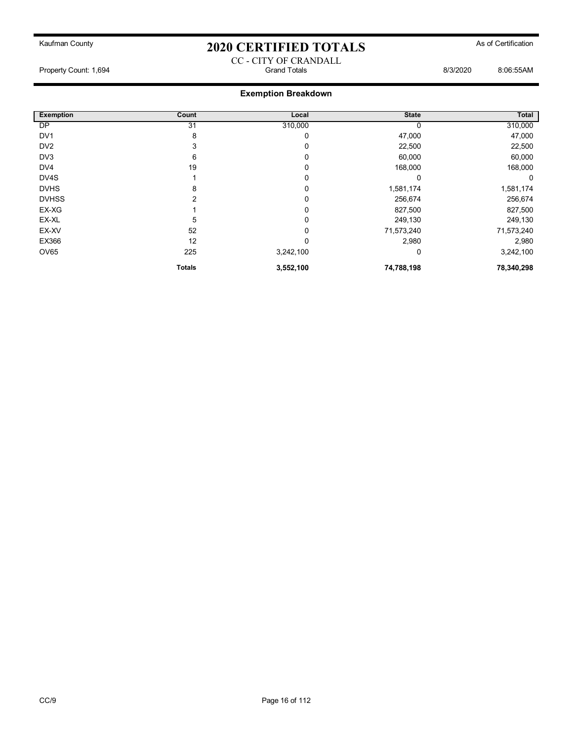CC - CITY OF CRANDALL

Property Count: 1,694 Grand Totals 8/3/2020 8:06:55AM

| <b>Exemption</b> | Count         | Local     | <b>State</b> | <b>Total</b> |
|------------------|---------------|-----------|--------------|--------------|
| DP               | 31            | 310,000   |              | 310,000      |
| DV <sub>1</sub>  | 8             | 0         | 47,000       | 47,000       |
| DV <sub>2</sub>  | 3             | 0         | 22,500       | 22,500       |
| DV3              | 6             | 0         | 60,000       | 60,000       |
| DV4              | 19            | 0         | 168,000      | 168,000      |
| DV4S             |               | 0         | 0            | 0            |
| <b>DVHS</b>      | 8             | C         | 1,581,174    | 1,581,174    |
| <b>DVHSS</b>     | 2             | 0         | 256,674      | 256,674      |
| EX-XG            |               | 0         | 827,500      | 827,500      |
| EX-XL            | 5             | 0         | 249,130      | 249,130      |
| EX-XV            | 52            | 0         | 71,573,240   | 71,573,240   |
| EX366            | 12            | 0         | 2,980        | 2,980        |
| OV65             | 225           | 3,242,100 | 0            | 3,242,100    |
|                  | <b>Totals</b> | 3,552,100 | 74,788,198   | 78,340,298   |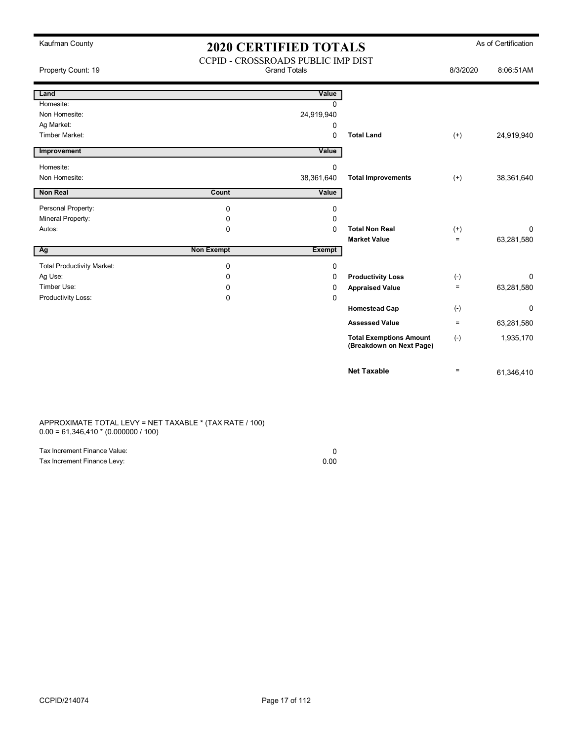| Kaufman County                    | <b>2020 CERTIFIED TOTALS</b>                              |            |                                                            | As of Certification |            |
|-----------------------------------|-----------------------------------------------------------|------------|------------------------------------------------------------|---------------------|------------|
| Property Count: 19                | CCPID - CROSSROADS PUBLIC IMP DIST<br><b>Grand Totals</b> |            | 8/3/2020                                                   | 8:06:51AM           |            |
| Land                              |                                                           | Value      |                                                            |                     |            |
| Homesite:                         |                                                           | $\Omega$   |                                                            |                     |            |
| Non Homesite:                     |                                                           | 24,919,940 |                                                            |                     |            |
| Ag Market:                        |                                                           | 0          |                                                            |                     |            |
| <b>Timber Market:</b>             |                                                           | 0          | <b>Total Land</b>                                          | $^{(+)}$            | 24,919,940 |
| Improvement                       |                                                           | Value      |                                                            |                     |            |
| Homesite:                         |                                                           | 0          |                                                            |                     |            |
| Non Homesite:                     |                                                           | 38,361,640 | <b>Total Improvements</b>                                  | $(+)$               | 38,361,640 |
| <b>Non Real</b>                   | Count                                                     | Value      |                                                            |                     |            |
| Personal Property:                | $\mathbf 0$                                               | 0          |                                                            |                     |            |
| Mineral Property:                 | 0                                                         | 0          |                                                            |                     |            |
| Autos:                            | $\Omega$                                                  | $\Omega$   | <b>Total Non Real</b>                                      | $^{(+)}$            | 0          |
|                                   |                                                           |            | <b>Market Value</b>                                        | $\qquad \qquad =$   | 63,281,580 |
| Ag                                | <b>Non Exempt</b>                                         | Exempt     |                                                            |                     |            |
| <b>Total Productivity Market:</b> | $\mathbf 0$                                               | 0          |                                                            |                     |            |
| Ag Use:                           | 0                                                         | 0          | <b>Productivity Loss</b>                                   | $(-)$               | 0          |
| Timber Use:                       | 0                                                         | 0          | <b>Appraised Value</b>                                     | $\equiv$            | 63,281,580 |
| Productivity Loss:                | 0                                                         | 0          |                                                            |                     |            |
|                                   |                                                           |            | <b>Homestead Cap</b>                                       | $(-)$               | 0          |
|                                   |                                                           |            | <b>Assessed Value</b>                                      | $\equiv$            | 63,281,580 |
|                                   |                                                           |            | <b>Total Exemptions Amount</b><br>(Breakdown on Next Page) | $(-)$               | 1,935,170  |
|                                   |                                                           |            | <b>Net Taxable</b>                                         | $\equiv$            | 61,346,410 |

APPROXIMATE TOTAL LEVY = NET TAXABLE \* (TAX RATE / 100) 0.00 = 61,346,410 \* (0.000000 / 100)

| Tax Increment Finance Value: |      |
|------------------------------|------|
| Tax Increment Finance Levy:  | 0.00 |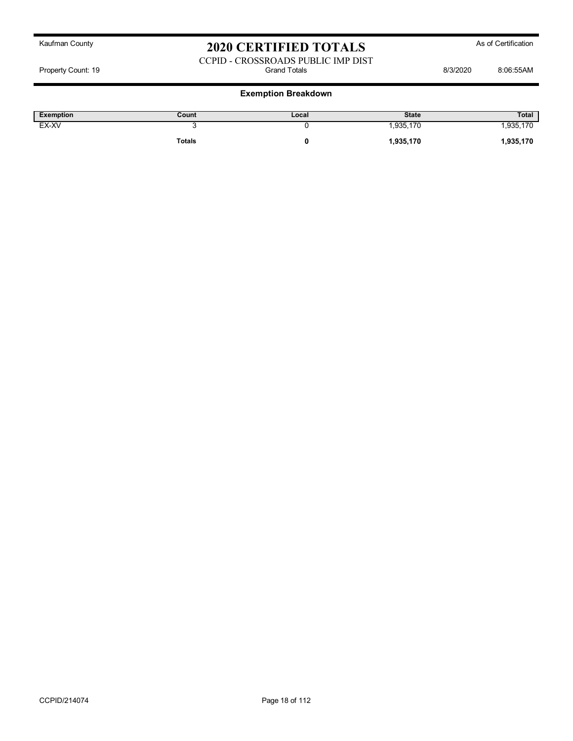#### CCPID - CROSSROADS PUBLIC IMP DIST Property Count: 19 **Billion** Botals **Count: 19** Grand Totals **8/3/2020** 8:06:55AM

| Exemption | Count  | Local | <b>State</b> | <b>Total</b> |
|-----------|--------|-------|--------------|--------------|
| EX-XV     |        |       | .935,170     | .935,170     |
|           | Totals |       | 1,935,170    | 1,935,170    |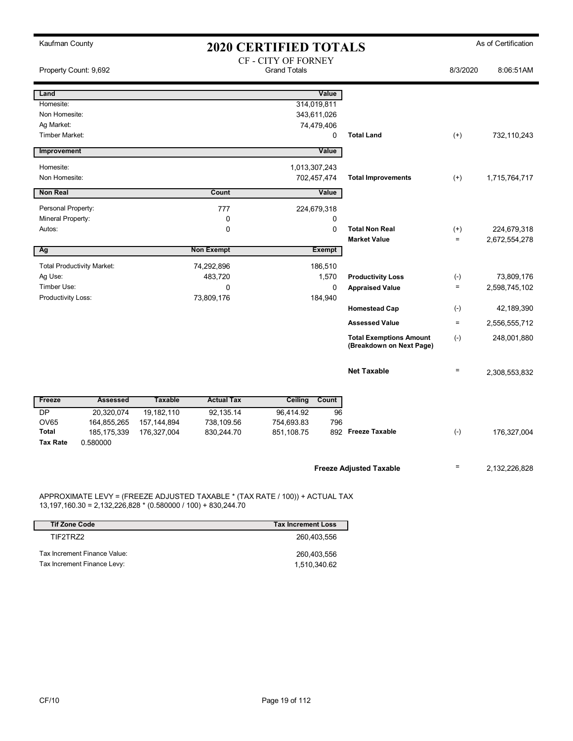| Kaufman County<br><b>2020 CERTIFIED TOTALS</b> |                                   |                |                   |                                            | As of Certification |                                                            |                   |               |
|------------------------------------------------|-----------------------------------|----------------|-------------------|--------------------------------------------|---------------------|------------------------------------------------------------|-------------------|---------------|
|                                                | Property Count: 9,692             |                |                   | CF - CITY OF FORNEY<br><b>Grand Totals</b> |                     |                                                            | 8/3/2020          | 8:06:51AM     |
| Land                                           |                                   |                |                   |                                            | Value               |                                                            |                   |               |
| Homesite:                                      |                                   |                |                   | 314,019,811                                |                     |                                                            |                   |               |
| Non Homesite:                                  |                                   |                |                   | 343,611,026                                |                     |                                                            |                   |               |
| Ag Market:<br>Timber Market:                   |                                   |                |                   | 74,479,406                                 | $\mathbf 0$         | <b>Total Land</b>                                          | $(+)$             | 732,110,243   |
|                                                |                                   |                |                   |                                            |                     |                                                            |                   |               |
| Improvement                                    |                                   |                |                   |                                            | Value               |                                                            |                   |               |
| Homesite:                                      |                                   |                |                   | 1,013,307,243                              |                     |                                                            |                   |               |
| Non Homesite:                                  |                                   |                |                   | 702,457,474                                |                     | <b>Total Improvements</b>                                  | $(+)$             | 1,715,764,717 |
| Non Real                                       |                                   |                | Count             |                                            | Value               |                                                            |                   |               |
| Personal Property:                             |                                   |                | 777               | 224,679,318                                |                     |                                                            |                   |               |
| Mineral Property:                              |                                   |                | 0                 |                                            | 0                   |                                                            |                   |               |
| Autos:                                         |                                   |                | $\mathbf 0$       |                                            | $\mathbf 0$         | <b>Total Non Real</b>                                      | $^{(+)}$          | 224,679,318   |
|                                                |                                   |                |                   |                                            |                     | <b>Market Value</b>                                        | $=$               | 2,672,554,278 |
| Ag                                             |                                   |                | <b>Non Exempt</b> |                                            | <b>Exempt</b>       |                                                            |                   |               |
|                                                | <b>Total Productivity Market:</b> |                | 74,292,896        |                                            | 186,510             |                                                            |                   |               |
| Ag Use:                                        |                                   |                | 483,720           |                                            | 1,570               | <b>Productivity Loss</b>                                   | $(-)$             | 73,809,176    |
| Timber Use:                                    |                                   |                | $\mathbf 0$       |                                            | $\mathbf 0$         | <b>Appraised Value</b>                                     | $=$               | 2,598,745,102 |
| Productivity Loss:                             |                                   |                | 73,809,176        |                                            | 184,940             |                                                            |                   |               |
|                                                |                                   |                |                   |                                            |                     | <b>Homestead Cap</b>                                       | $(-)$             | 42,189,390    |
|                                                |                                   |                |                   |                                            |                     | <b>Assessed Value</b>                                      | $\equiv$          | 2,556,555,712 |
|                                                |                                   |                |                   |                                            |                     | <b>Total Exemptions Amount</b><br>(Breakdown on Next Page) | $(-)$             | 248,001,880   |
|                                                |                                   |                |                   |                                            |                     | <b>Net Taxable</b>                                         | $\qquad \qquad =$ | 2,308,553,832 |
| Freeze                                         | <b>Assessed</b>                   | <b>Taxable</b> | <b>Actual Tax</b> | Ceiling                                    | Count               |                                                            |                   |               |
| <b>DP</b>                                      | 20,320,074                        | 19,182,110     | 92,135.14         | 96,414.92                                  | 96                  |                                                            |                   |               |
| <b>OV65</b>                                    | 164,855,265                       | 157, 144, 894  | 738,109.56        | 754,693.83                                 | 796                 |                                                            |                   |               |
| <b>Total</b>                                   | 185, 175, 339                     | 176,327,004    | 830,244.70        | 851,108.75                                 |                     | 892 Freeze Taxable                                         | $(-)$             | 176,327,004   |
| <b>Tax Rate</b>                                | 0.580000                          |                |                   |                                            |                     |                                                            |                   |               |
|                                                |                                   |                |                   |                                            |                     | <b>Freeze Adjusted Taxable</b>                             | $\equiv$          | 2,132,226,828 |

APPROXIMATE LEVY = (FREEZE ADJUSTED TAXABLE \* (TAX RATE / 100)) + ACTUAL TAX 13,197,160.30 = 2,132,226,828 \* (0.580000 / 100) + 830,244.70

| <b>Tif Zone Code</b>         | <b>Tax Increment Loss</b> |
|------------------------------|---------------------------|
| TIF2TRZ2                     | 260.403.556               |
| Tax Increment Finance Value: | 260.403.556               |
| Tax Increment Finance Levy:  | 1,510,340.62              |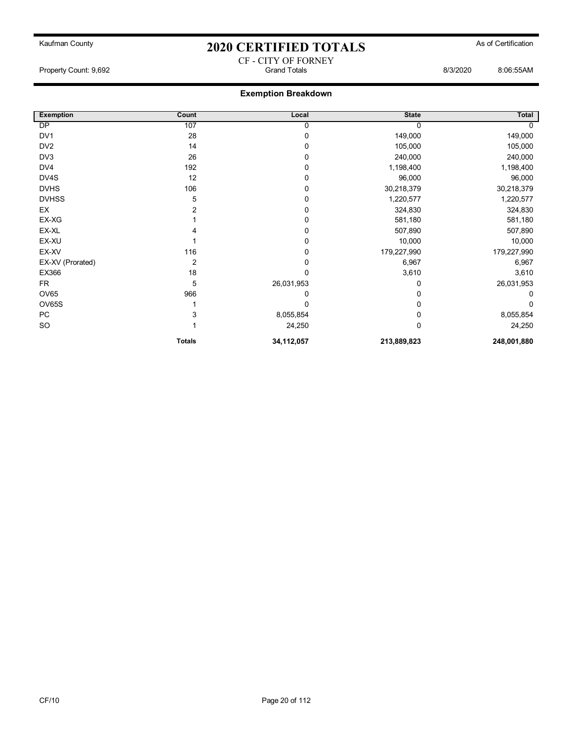### Kaufman County **As of Certification 2020 CERTIFIED TOTALS** As of Certification CF - CITY OF FORNEY

Property Count: 9,692 Grand Totals 8/3/2020 8:06:55AM

| <b>Exemption</b> | Count          | Local      | <b>State</b> | Total       |
|------------------|----------------|------------|--------------|-------------|
| <b>DP</b>        | 107            | 0          | 0            |             |
| DV <sub>1</sub>  | 28             | 0          | 149,000      | 149,000     |
| DV <sub>2</sub>  | 14             | 0          | 105,000      | 105,000     |
| DV <sub>3</sub>  | 26             | 0          | 240,000      | 240,000     |
| DV4              | 192            | 0          | 1,198,400    | 1,198,400   |
| DV4S             | 12             | 0          | 96,000       | 96,000      |
| <b>DVHS</b>      | 106            | 0          | 30,218,379   | 30,218,379  |
| <b>DVHSS</b>     | 5              | 0          | 1,220,577    | 1,220,577   |
| EX               | 2              | 0          | 324,830      | 324,830     |
| EX-XG            |                | 0          | 581,180      | 581,180     |
| EX-XL            |                | 0          | 507,890      | 507,890     |
| EX-XU            |                | 0          | 10,000       | 10,000      |
| EX-XV            | 116            | 0          | 179,227,990  | 179,227,990 |
| EX-XV (Prorated) | $\overline{2}$ | 0          | 6,967        | 6,967       |
| EX366            | 18             | 0          | 3,610        | 3,610       |
| <b>FR</b>        | 5              | 26,031,953 | 0            | 26,031,953  |
| <b>OV65</b>      | 966            | 0          | 0            | 0           |
| <b>OV65S</b>     |                | 0          | 0            | O           |
| <b>PC</b>        | 3              | 8,055,854  | 0            | 8,055,854   |
| SO               |                | 24,250     | $\Omega$     | 24,250      |
|                  | <b>Totals</b>  | 34,112,057 | 213,889,823  | 248,001,880 |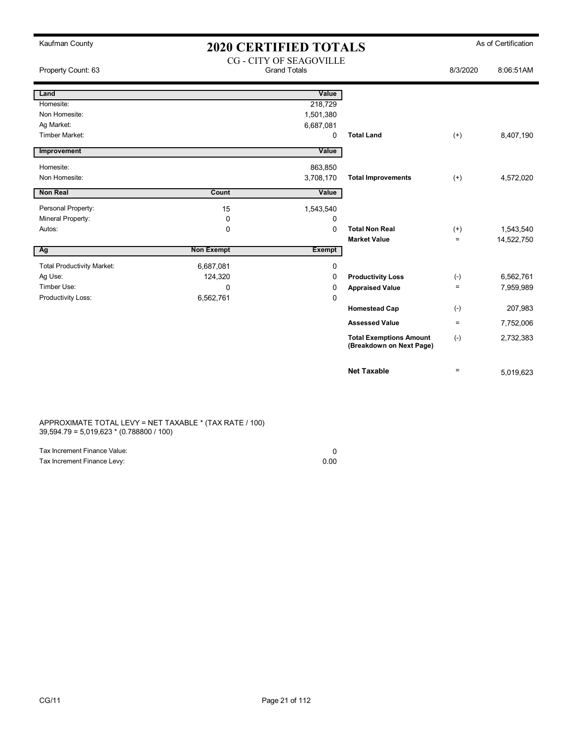| Kaufman County                    |                                                       | <b>2020 CERTIFIED TOTALS</b> |                                                            |           | As of Certification |
|-----------------------------------|-------------------------------------------------------|------------------------------|------------------------------------------------------------|-----------|---------------------|
| Property Count: 63                | <b>CG - CITY OF SEAGOVILLE</b><br><b>Grand Totals</b> |                              | 8/3/2020                                                   | 8:06:51AM |                     |
| Land                              |                                                       | Value                        |                                                            |           |                     |
| Homesite:                         |                                                       | 218,729                      |                                                            |           |                     |
| Non Homesite:                     |                                                       | 1,501,380                    |                                                            |           |                     |
| Ag Market:                        |                                                       | 6,687,081                    |                                                            |           |                     |
| Timber Market:                    |                                                       | 0                            | <b>Total Land</b>                                          | $(+)$     | 8,407,190           |
| Improvement                       |                                                       | Value                        |                                                            |           |                     |
| Homesite:                         |                                                       | 863,850                      |                                                            |           |                     |
| Non Homesite:                     |                                                       | 3,708,170                    | <b>Total Improvements</b>                                  | $(+)$     | 4,572,020           |
| <b>Non Real</b>                   | Count                                                 | Value                        |                                                            |           |                     |
| Personal Property:                | 15                                                    | 1,543,540                    |                                                            |           |                     |
| Mineral Property:                 | 0                                                     | 0                            |                                                            |           |                     |
| Autos:                            | $\mathbf 0$                                           | 0                            | <b>Total Non Real</b>                                      | $(+)$     | 1,543,540           |
|                                   |                                                       |                              | <b>Market Value</b>                                        | $\equiv$  | 14,522,750          |
| Ag                                | <b>Non Exempt</b>                                     | <b>Exempt</b>                |                                                            |           |                     |
| <b>Total Productivity Market:</b> | 6,687,081                                             | 0                            |                                                            |           |                     |
| Ag Use:                           | 124,320                                               | 0                            | <b>Productivity Loss</b>                                   | $(-)$     | 6,562,761           |
| Timber Use:                       | $\Omega$                                              | 0                            | <b>Appraised Value</b>                                     | $\equiv$  | 7,959,989           |
| Productivity Loss:                | 6,562,761                                             | 0                            |                                                            |           |                     |
|                                   |                                                       |                              | <b>Homestead Cap</b>                                       | $(-)$     | 207,983             |
|                                   |                                                       |                              | <b>Assessed Value</b>                                      | $\equiv$  | 7,752,006           |
|                                   |                                                       |                              | <b>Total Exemptions Amount</b><br>(Breakdown on Next Page) | $(-)$     | 2,732,383           |
|                                   |                                                       |                              | <b>Net Taxable</b>                                         | $=$       | 5,019,623           |

APPROXIMATE TOTAL LEVY = NET TAXABLE \* (TAX RATE / 100) 39,594.79 = 5,019,623 \* (0.788800 / 100)

| Tax Increment Finance Value: |      |
|------------------------------|------|
| Tax Increment Finance Levy:  | 0.00 |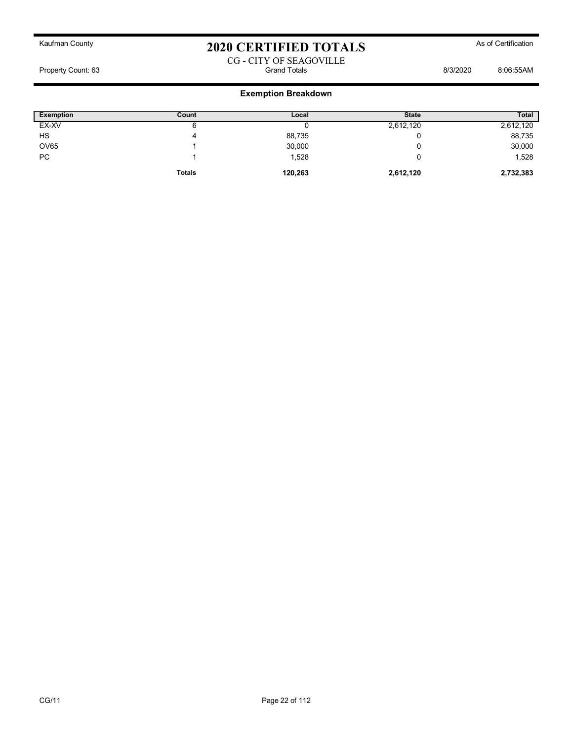#### CG - CITY OF SEAGOVILLE Property Count: 63 Grand Totals 8/3/2020 8:06:55AM

| <b>Exemption</b> | Count         | Local   | <b>State</b> | <b>Total</b> |
|------------------|---------------|---------|--------------|--------------|
| EX-XV            | o             |         | 2,612,120    | 2,612,120    |
| HS               | 4             | 88,735  |              | 88,735       |
| <b>OV65</b>      |               | 30,000  |              | 30,000       |
| <b>PC</b>        |               | 1,528   |              | 1,528        |
|                  | <b>Totals</b> | 120,263 | 2,612,120    | 2,732,383    |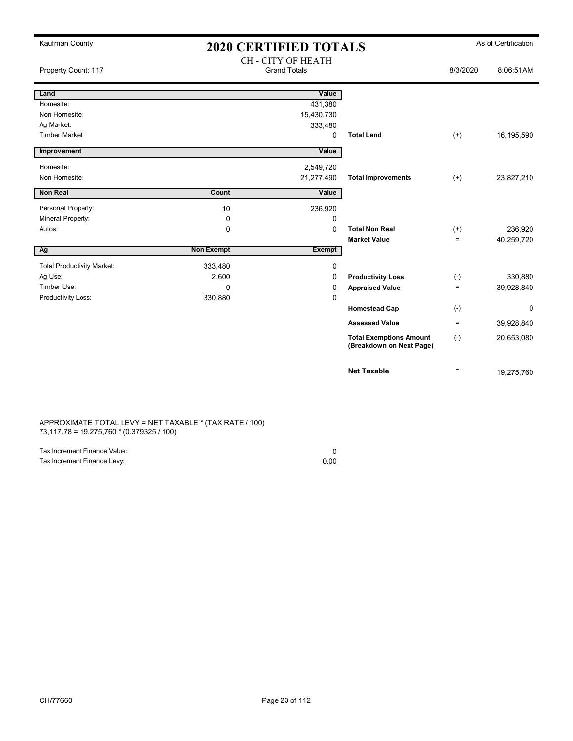| Kaufman County                    |                   | <b>2020 CERTIFIED TOTALS</b>              |                                                            |          | As of Certification |
|-----------------------------------|-------------------|-------------------------------------------|------------------------------------------------------------|----------|---------------------|
| Property Count: 117               |                   | CH - CITY OF HEATH<br><b>Grand Totals</b> |                                                            | 8/3/2020 | 8:06:51AM           |
| Land                              |                   | Value                                     |                                                            |          |                     |
| Homesite:                         |                   | 431,380                                   |                                                            |          |                     |
| Non Homesite:                     |                   | 15,430,730                                |                                                            |          |                     |
| Ag Market:                        |                   | 333,480                                   |                                                            |          |                     |
| Timber Market:                    |                   | 0                                         | <b>Total Land</b>                                          | $(+)$    | 16,195,590          |
| Improvement                       |                   | Value                                     |                                                            |          |                     |
| Homesite:                         |                   | 2,549,720                                 |                                                            |          |                     |
| Non Homesite:                     |                   | 21,277,490                                | <b>Total Improvements</b>                                  | $(+)$    | 23,827,210          |
| <b>Non Real</b>                   | Count             | Value                                     |                                                            |          |                     |
| Personal Property:                | 10                | 236,920                                   |                                                            |          |                     |
| Mineral Property:                 | 0                 | 0                                         |                                                            |          |                     |
| Autos:                            | 0                 | 0                                         | <b>Total Non Real</b>                                      | $^{(+)}$ | 236,920             |
|                                   |                   |                                           | <b>Market Value</b>                                        | $\equiv$ | 40,259,720          |
| Ag                                | <b>Non Exempt</b> | <b>Exempt</b>                             |                                                            |          |                     |
| <b>Total Productivity Market:</b> | 333,480           | 0                                         |                                                            |          |                     |
| Ag Use:                           | 2,600             | 0                                         | <b>Productivity Loss</b>                                   | $(-)$    | 330,880             |
| Timber Use:                       | $\Omega$          | 0                                         | <b>Appraised Value</b>                                     | $\equiv$ | 39,928,840          |
| Productivity Loss:                | 330,880           | 0                                         |                                                            |          |                     |
|                                   |                   |                                           | <b>Homestead Cap</b>                                       | $(-)$    | $\mathbf 0$         |
|                                   |                   |                                           | <b>Assessed Value</b>                                      | $=$      | 39,928,840          |
|                                   |                   |                                           | <b>Total Exemptions Amount</b><br>(Breakdown on Next Page) | $(-)$    | 20,653,080          |
|                                   |                   |                                           | <b>Net Taxable</b>                                         | $\equiv$ | 19,275,760          |

APPROXIMATE TOTAL LEVY = NET TAXABLE \* (TAX RATE / 100) 73,117.78 = 19,275,760 \* (0.379325 / 100)

| Tax Increment Finance Value: |      |
|------------------------------|------|
| Tax Increment Finance Levy:  | 0.00 |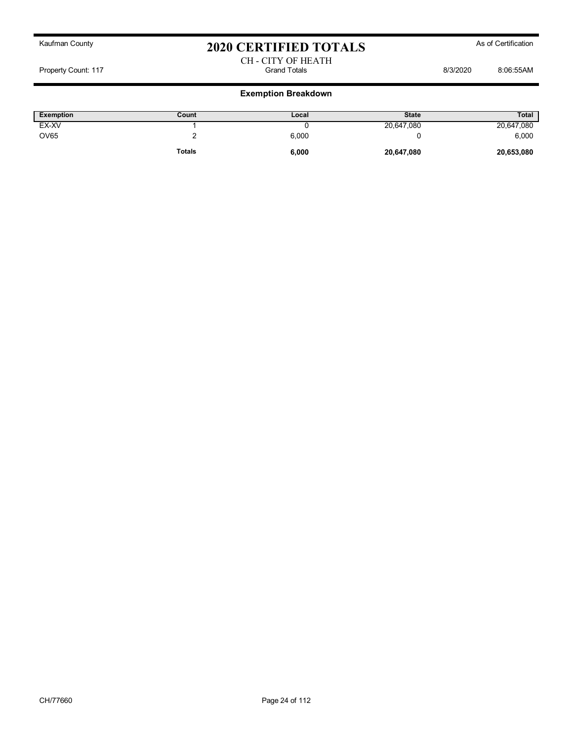CH - CITY OF HEATH Property Count: 117 Grand Totals 8/3/2020 8:06:55AM

| Exemption   | Count         | Local | <b>State</b> | <b>Total</b> |
|-------------|---------------|-------|--------------|--------------|
| EX-XV       |               |       | 20,647,080   | 20,647,080   |
| <b>OV65</b> |               | 6,000 |              | 6,000        |
|             | <b>Totals</b> | 6,000 | 20,647,080   | 20,653,080   |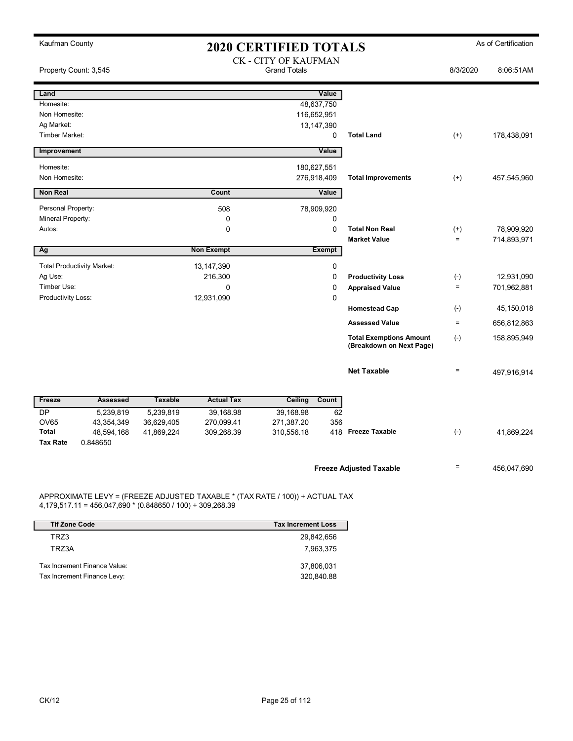| Kaufman County<br><b>2020 CERTIFIED TOTALS</b> |                |                   |                                             | As of Certification |                                                            |              |             |
|------------------------------------------------|----------------|-------------------|---------------------------------------------|---------------------|------------------------------------------------------------|--------------|-------------|
| Property Count: 3,545                          |                |                   | CK - CITY OF KAUFMAN<br><b>Grand Totals</b> |                     |                                                            | 8/3/2020     | 8:06:51AM   |
| Land                                           |                |                   |                                             | Value               |                                                            |              |             |
| Homesite:                                      |                |                   | 48,637,750                                  |                     |                                                            |              |             |
| Non Homesite:                                  |                |                   | 116,652,951                                 |                     |                                                            |              |             |
| Ag Market:                                     |                |                   | 13,147,390                                  |                     |                                                            |              |             |
| Timber Market:                                 |                |                   |                                             | 0                   | <b>Total Land</b>                                          | $(+)$        | 178,438,091 |
| Improvement                                    |                |                   |                                             | Value               |                                                            |              |             |
| Homesite:                                      |                |                   | 180,627,551                                 |                     |                                                            |              |             |
| Non Homesite:                                  |                |                   | 276,918,409                                 |                     | <b>Total Improvements</b>                                  | $(+)$        | 457,545,960 |
| <b>Non Real</b>                                |                | Count             |                                             | Value               |                                                            |              |             |
| Personal Property:                             |                | 508               | 78,909,920                                  |                     |                                                            |              |             |
| Mineral Property:                              |                | 0                 |                                             | 0                   |                                                            |              |             |
| Autos:                                         |                | $\mathbf 0$       |                                             | $\mathbf 0$         | <b>Total Non Real</b>                                      | $^{(+)}$     | 78,909,920  |
|                                                |                |                   |                                             |                     | <b>Market Value</b>                                        | $\equiv$     | 714,893,971 |
| Ag                                             |                | <b>Non Exempt</b> |                                             | <b>Exempt</b>       |                                                            |              |             |
| <b>Total Productivity Market:</b>              |                | 13,147,390        |                                             | 0                   |                                                            |              |             |
| Ag Use:                                        |                | 216,300           |                                             | $\mathbf 0$         | <b>Productivity Loss</b>                                   | $(-)$        | 12,931,090  |
| Timber Use:                                    |                | $\Omega$          |                                             | 0                   | <b>Appraised Value</b>                                     | $\equiv$     | 701,962,881 |
| <b>Productivity Loss:</b>                      |                | 12,931,090        |                                             | 0                   |                                                            |              |             |
|                                                |                |                   |                                             |                     | <b>Homestead Cap</b>                                       | $(\cdot)$    | 45,150,018  |
|                                                |                |                   |                                             |                     | <b>Assessed Value</b>                                      | $\equiv$     | 656,812,863 |
|                                                |                |                   |                                             |                     | <b>Total Exemptions Amount</b><br>(Breakdown on Next Page) | $(\text{-})$ | 158,895,949 |
|                                                |                |                   |                                             |                     | <b>Net Taxable</b>                                         | $\equiv$     | 497,916,914 |
| Freeze<br><b>Assessed</b>                      | <b>Taxable</b> | <b>Actual Tax</b> | Ceiling                                     | Count               |                                                            |              |             |
| <b>DP</b><br>5,239,819                         | 5,239,819      | 39.168.98         | 39,168.98                                   | 62                  |                                                            |              |             |
| <b>OV65</b><br>43,354,349                      | 36,629,405     | 270,099.41        | 271,387.20                                  | 356                 |                                                            |              |             |
| <b>Total</b><br>48,594,168                     | 41,869,224     | 309,268.39        | 310,556.18                                  |                     | 418 Freeze Taxable                                         | $(-)$        | 41,869,224  |
| <b>Tax Rate</b><br>0.848650                    |                |                   |                                             |                     |                                                            |              |             |
|                                                |                |                   |                                             |                     | <b>Freeze Adjusted Taxable</b>                             | $=$          | 456,047,690 |

APPROXIMATE LEVY = (FREEZE ADJUSTED TAXABLE \* (TAX RATE / 100)) + ACTUAL TAX 4,179,517.11 = 456,047,690 \* (0.848650 / 100) + 309,268.39

| <b>Tif Zone Code</b>         | <b>Tax Increment Loss</b> |
|------------------------------|---------------------------|
| TRZ3                         | 29,842,656                |
| TRZ3A                        | 7,963,375                 |
| Tax Increment Finance Value: | 37,806,031                |
| Tax Increment Finance Levy:  | 320,840.88                |

 $\overline{\phantom{a}}$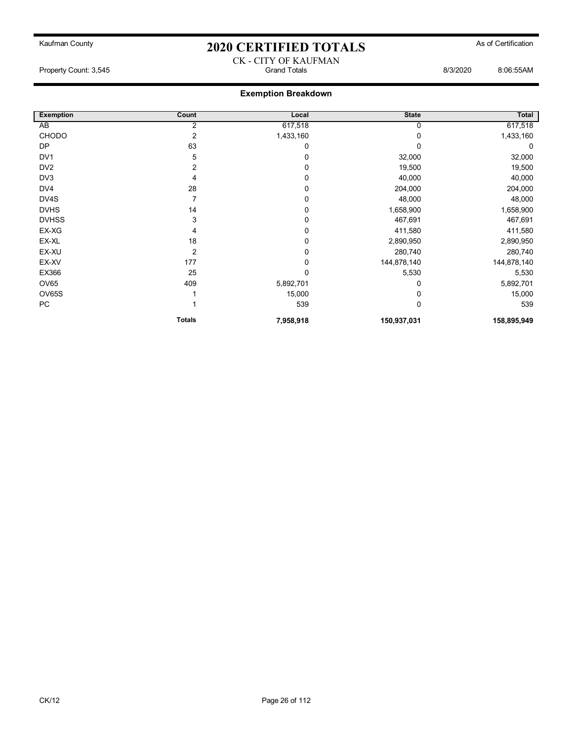### Kaufman County **As of Certification 2020 CERTIFIED TOTALS** As of Certification CK - CITY OF KAUFMAN

Property Count: 3,545 Grand Totals 8/3/2020 8:06:55AM

| <b>Exemption</b> | Count          | Local     | <b>State</b> | Total       |
|------------------|----------------|-----------|--------------|-------------|
| AB               | 2              | 617,518   | 0            | 617,518     |
| CHODO            | 2              | 1,433,160 |              | 1,433,160   |
| <b>DP</b>        | 63             | 0         | U            | 0           |
| DV <sub>1</sub>  | 5              | 0         | 32,000       | 32,000      |
| DV <sub>2</sub>  | 2              | 0         | 19,500       | 19,500      |
| DV3              | 4              | 0         | 40,000       | 40,000      |
| DV4              | 28             | 0         | 204,000      | 204,000     |
| DV4S             |                | 0         | 48,000       | 48,000      |
| <b>DVHS</b>      | 14             | $\Omega$  | 1,658,900    | 1,658,900   |
| <b>DVHSS</b>     | 3              | 0         | 467,691      | 467,691     |
| EX-XG            | 4              | 0         | 411,580      | 411,580     |
| EX-XL            | 18             | 0         | 2,890,950    | 2,890,950   |
| EX-XU            | $\overline{2}$ | 0         | 280,740      | 280,740     |
| EX-XV            | 177            | 0         | 144,878,140  | 144,878,140 |
| EX366            | 25             | 0         | 5,530        | 5,530       |
| <b>OV65</b>      | 409            | 5,892,701 | 0            | 5,892,701   |
| <b>OV65S</b>     |                | 15,000    |              | 15,000      |
| PC               |                | 539       | 0            | 539         |
|                  | <b>Totals</b>  | 7,958,918 | 150,937,031  | 158,895,949 |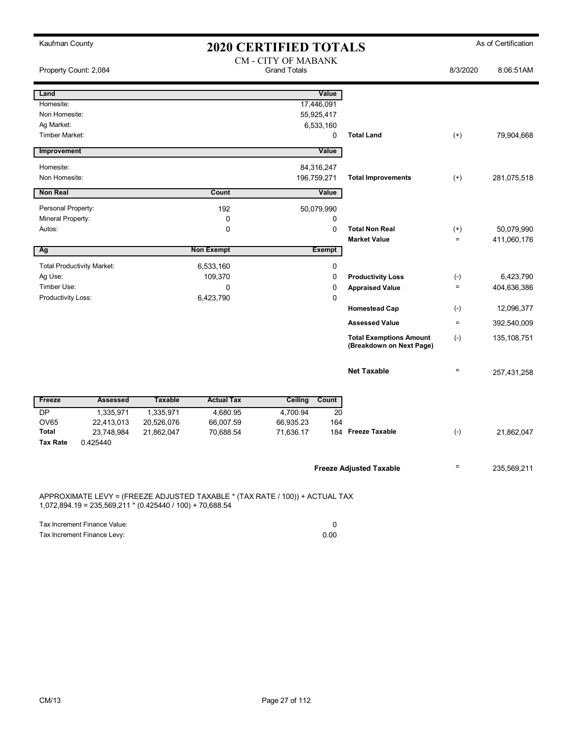| Kaufman County                  |                                                           |                |                                                                              | <b>2020 CERTIFIED TOTALS</b> |                          |                                                            |                   | As of Certification |
|---------------------------------|-----------------------------------------------------------|----------------|------------------------------------------------------------------------------|------------------------------|--------------------------|------------------------------------------------------------|-------------------|---------------------|
|                                 |                                                           |                |                                                                              | <b>CM - CITY OF MABANK</b>   |                          |                                                            |                   |                     |
| Property Count: 2,084           |                                                           |                |                                                                              | <b>Grand Totals</b>          |                          |                                                            | 8/3/2020          | 8:06:51AM           |
| Land                            |                                                           |                |                                                                              |                              | Value                    |                                                            |                   |                     |
| Homesite:                       |                                                           |                |                                                                              | 17,446,091                   |                          |                                                            |                   |                     |
| Non Homesite:                   |                                                           |                |                                                                              | 55,925,417                   |                          |                                                            |                   |                     |
| Ag Market:                      |                                                           |                |                                                                              |                              | 6,533,160                |                                                            |                   |                     |
| Timber Market:                  |                                                           |                |                                                                              |                              | 0                        | <b>Total Land</b>                                          | $^{(+)}$          | 79,904,668          |
| Improvement                     |                                                           |                |                                                                              |                              | Value                    |                                                            |                   |                     |
| Homesite:                       |                                                           |                |                                                                              | 84,316,247                   |                          |                                                            |                   |                     |
| Non Homesite:                   |                                                           |                |                                                                              | 196,759,271                  |                          | <b>Total Improvements</b>                                  | $^{(+)}$          | 281,075,518         |
| <b>Non Real</b>                 |                                                           |                | Count                                                                        |                              | Value                    |                                                            |                   |                     |
| Personal Property:              |                                                           |                | 192                                                                          | 50,079,990                   |                          |                                                            |                   |                     |
| Mineral Property:               |                                                           |                | 0                                                                            |                              | 0                        |                                                            |                   |                     |
| Autos:                          |                                                           |                | 0                                                                            |                              | $\mathbf 0$              | <b>Total Non Real</b>                                      | $^{(+)}$          | 50,079,990          |
| Ag                              |                                                           |                | <b>Non Exempt</b>                                                            |                              | <b>Exempt</b>            | <b>Market Value</b>                                        | $\equiv$          | 411,060,176         |
|                                 |                                                           |                |                                                                              |                              |                          |                                                            |                   |                     |
| Ag Use:                         | <b>Total Productivity Market:</b>                         |                | 6,533,160<br>109,370                                                         |                              | $\pmb{0}$<br>$\mathbf 0$ | <b>Productivity Loss</b>                                   | $(\text{-})$      | 6,423,790           |
| Timber Use:                     |                                                           |                | 0                                                                            |                              | $\pmb{0}$                | <b>Appraised Value</b>                                     | $\equiv$          | 404,636,386         |
| Productivity Loss:              |                                                           |                | 6,423,790                                                                    |                              | $\mathbf 0$              |                                                            |                   |                     |
|                                 |                                                           |                |                                                                              |                              |                          | <b>Homestead Cap</b>                                       | $(-)$             | 12,096,377          |
|                                 |                                                           |                |                                                                              |                              |                          | <b>Assessed Value</b>                                      | $\equiv$          | 392,540,009         |
|                                 |                                                           |                |                                                                              |                              |                          | <b>Total Exemptions Amount</b><br>(Breakdown on Next Page) | $(\text{-})$      | 135, 108, 751       |
|                                 |                                                           |                |                                                                              |                              |                          | <b>Net Taxable</b>                                         | $\equiv$          | 257,431,258         |
| Freeze                          | <b>Assessed</b>                                           | <b>Taxable</b> | <b>Actual Tax</b>                                                            | <b>Ceiling</b>               | Count                    |                                                            |                   |                     |
| <b>DP</b>                       | 1,335,971                                                 | 1,335,971      | 4,680.95                                                                     | 4,700.94                     | 20                       |                                                            |                   |                     |
| <b>OV65</b>                     | 22,413,013                                                | 20,526,076     | 66,007.59                                                                    | 66,935.23                    | 164                      |                                                            |                   |                     |
| <b>Total</b><br><b>Tax Rate</b> | 23,748,984<br>0.425440                                    | 21,862,047     | 70,688.54                                                                    | 71,636.17                    |                          | 184 Freeze Taxable                                         | $(-)$             | 21,862,047          |
|                                 |                                                           |                |                                                                              |                              |                          |                                                            |                   |                     |
|                                 |                                                           |                |                                                                              |                              |                          | <b>Freeze Adjusted Taxable</b>                             | $\qquad \qquad =$ | 235,569,211         |
|                                 | 1,072,894.19 = 235,569,211 * (0.425440 / 100) + 70,688.54 |                | APPROXIMATE LEVY = (FREEZE ADJUSTED TAXABLE * (TAX RATE / 100)) + ACTUAL TAX |                              |                          |                                                            |                   |                     |

| Tax Increment Finance Value: |      |
|------------------------------|------|
| Tax Increment Finance Levy:  | 0.00 |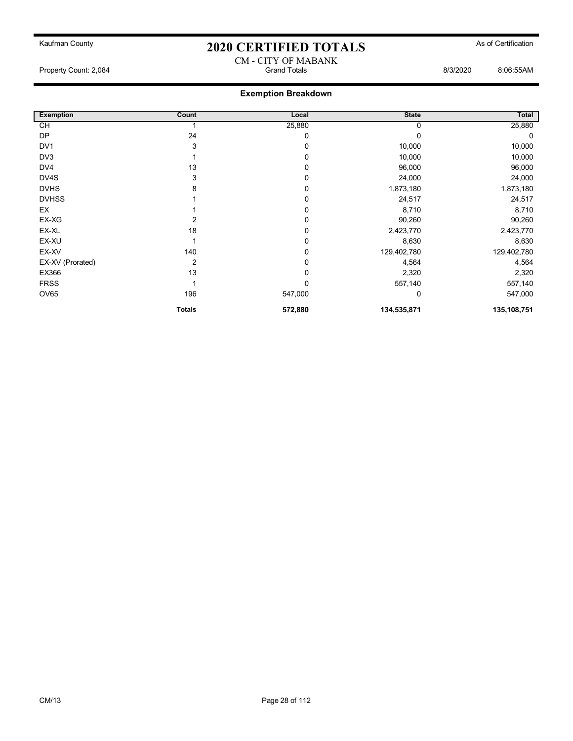#### CM - CITY OF MABANK Property Count: 2,084 Grand Totals 8/3/2020 8:06:55AM

| <b>Exemption</b> | Count         | Local       | <b>State</b> | Total       |
|------------------|---------------|-------------|--------------|-------------|
| $\overline{C}$   |               | 25,880      |              | 25,880      |
| <b>DP</b>        | 24            | 0           |              | 0           |
| DV <sub>1</sub>  | 3             | 0           | 10,000       | 10,000      |
| DV3              |               | 0           | 10,000       | 10,000      |
| DV4              | 13            | 0           | 96,000       | 96,000      |
| DV4S             | 3             | 0           | 24,000       | 24,000      |
| <b>DVHS</b>      | 8             | 0           | 1,873,180    | 1,873,180   |
| <b>DVHSS</b>     |               | 0           | 24,517       | 24,517      |
| <b>EX</b>        |               | 0           | 8,710        | 8,710       |
| EX-XG            | 2             | $\mathbf 0$ | 90,260       | 90,260      |
| EX-XL            | 18            | 0           | 2,423,770    | 2,423,770   |
| EX-XU            |               | 0           | 8,630        | 8,630       |
| EX-XV            | 140           | 0           | 129,402,780  | 129,402,780 |
| EX-XV (Prorated) | 2             | 0           | 4,564        | 4,564       |
| EX366            | 13            | 0           | 2,320        | 2,320       |
| <b>FRSS</b>      |               | 0           | 557,140      | 557,140     |
| <b>OV65</b>      | 196           | 547,000     | 0            | 547,000     |
|                  | <b>Totals</b> | 572,880     | 134,535,871  | 135,108,751 |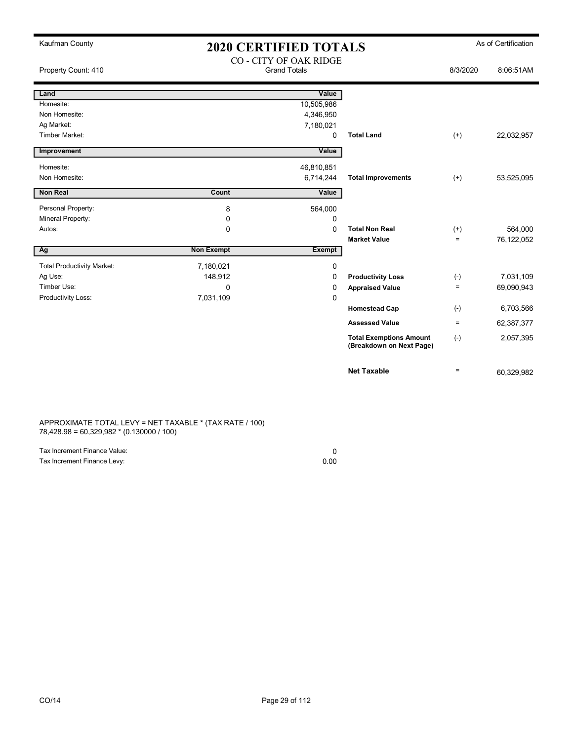| Kaufman County                    | <b>2020 CERTIFIED TOTALS</b><br><b>CO - CITY OF OAK RIDGE</b><br><b>Grand Totals</b> |               |                                                            |          | As of Certification |
|-----------------------------------|--------------------------------------------------------------------------------------|---------------|------------------------------------------------------------|----------|---------------------|
| Property Count: 410               |                                                                                      |               |                                                            | 8/3/2020 | 8:06:51AM           |
| Land                              |                                                                                      | Value         |                                                            |          |                     |
| Homesite:                         |                                                                                      | 10,505,986    |                                                            |          |                     |
| Non Homesite:                     |                                                                                      | 4,346,950     |                                                            |          |                     |
| Ag Market:                        |                                                                                      | 7,180,021     |                                                            |          |                     |
| Timber Market:                    |                                                                                      | 0             | <b>Total Land</b>                                          | $(+)$    | 22,032,957          |
| Improvement                       |                                                                                      | Value         |                                                            |          |                     |
| Homesite:                         |                                                                                      | 46,810,851    |                                                            |          |                     |
| Non Homesite:                     |                                                                                      | 6,714,244     | <b>Total Improvements</b>                                  | $(+)$    | 53,525,095          |
| <b>Non Real</b>                   | Count                                                                                | Value         |                                                            |          |                     |
| Personal Property:                | 8                                                                                    | 564,000       |                                                            |          |                     |
| Mineral Property:                 | $\mathbf 0$                                                                          | 0             |                                                            |          |                     |
| Autos:                            | $\Omega$                                                                             | $\mathbf 0$   | <b>Total Non Real</b>                                      | $(+)$    | 564,000             |
|                                   |                                                                                      |               | <b>Market Value</b>                                        | $=$      | 76,122,052          |
| Ag                                | <b>Non Exempt</b>                                                                    | <b>Exempt</b> |                                                            |          |                     |
| <b>Total Productivity Market:</b> | 7,180,021                                                                            | 0             |                                                            |          |                     |
| Ag Use:                           | 148,912                                                                              | 0             | <b>Productivity Loss</b>                                   | $(-)$    | 7,031,109           |
| Timber Use:                       | 0                                                                                    | 0             | <b>Appraised Value</b>                                     | $=$      | 69,090,943          |
| Productivity Loss:                | 7,031,109                                                                            | 0             |                                                            |          |                     |
|                                   |                                                                                      |               | <b>Homestead Cap</b>                                       | $(-)$    | 6,703,566           |
|                                   |                                                                                      |               | <b>Assessed Value</b>                                      | $=$      | 62,387,377          |
|                                   |                                                                                      |               | <b>Total Exemptions Amount</b><br>(Breakdown on Next Page) | $(-)$    | 2,057,395           |
|                                   |                                                                                      |               | <b>Net Taxable</b>                                         | $=$      | 60,329,982          |

APPROXIMATE TOTAL LEVY = NET TAXABLE \* (TAX RATE / 100) 78,428.98 = 60,329,982 \* (0.130000 / 100)

| Tax Increment Finance Value: |      |
|------------------------------|------|
| Tax Increment Finance Levy:  | 0.00 |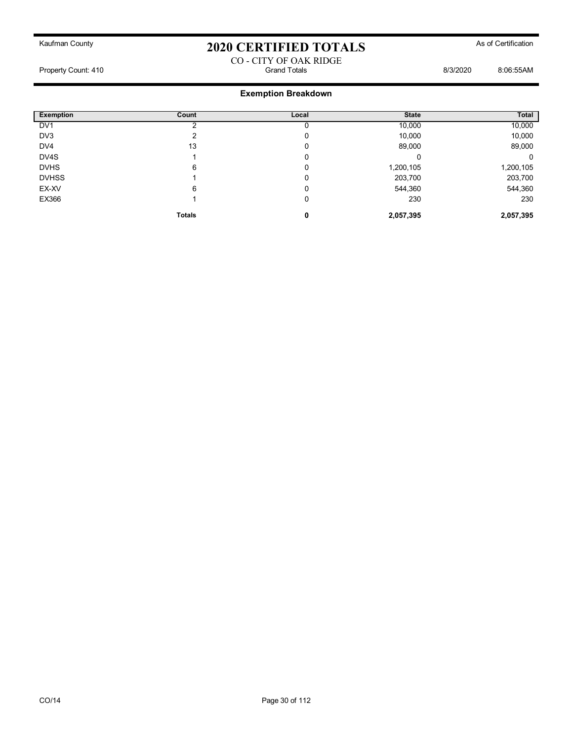#### CO - CITY OF OAK RIDGE Property Count: 410 Grand Totals 8/3/2020 8:06:55AM

| <b>Exemption</b> | Count         | Local | <b>State</b> | Total     |
|------------------|---------------|-------|--------------|-----------|
| DV <sub>1</sub>  |               |       | 10,000       | 10,000    |
| DV3              |               | 0     | 10,000       | 10,000    |
| DV4              | 13            | 0     | 89,000       | 89,000    |
| DV4S             |               | 0     | υ            | 0         |
| <b>DVHS</b>      | 6             | 0     | 1,200,105    | 1,200,105 |
| <b>DVHSS</b>     |               | 0     | 203,700      | 203,700   |
| EX-XV            | 6             | 0     | 544,360      | 544,360   |
| EX366            |               | 0     | 230          | 230       |
|                  | <b>Totals</b> | 0     | 2,057,395    | 2,057,395 |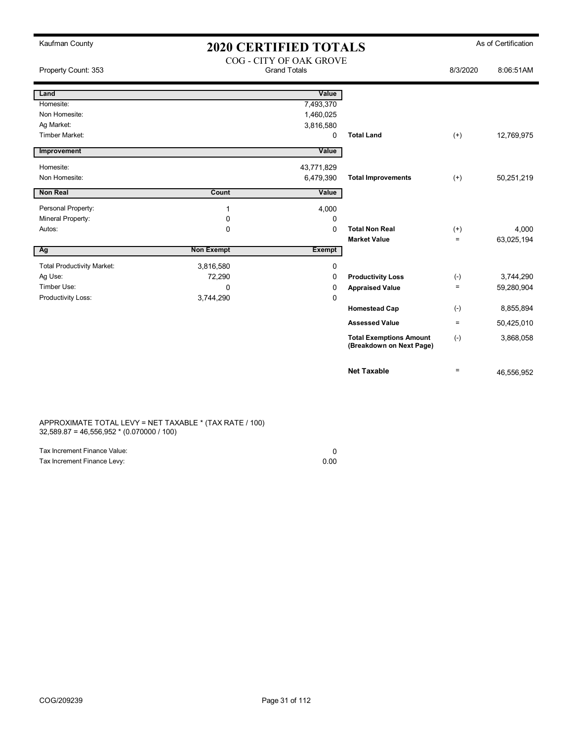| Kaufman County                    | <b>2020 CERTIFIED TOTALS</b>                   |               |                                                            |          | As of Certification |
|-----------------------------------|------------------------------------------------|---------------|------------------------------------------------------------|----------|---------------------|
| Property Count: 353               | COG - CITY OF OAK GROVE<br><b>Grand Totals</b> |               |                                                            | 8/3/2020 | 8:06:51AM           |
| Land                              |                                                | Value         |                                                            |          |                     |
| Homesite:                         |                                                | 7,493,370     |                                                            |          |                     |
| Non Homesite:                     |                                                | 1,460,025     |                                                            |          |                     |
| Ag Market:                        |                                                | 3,816,580     |                                                            |          |                     |
| <b>Timber Market:</b>             |                                                | 0             | <b>Total Land</b>                                          | $(+)$    | 12,769,975          |
| Improvement                       |                                                | Value         |                                                            |          |                     |
| Homesite:                         |                                                | 43,771,829    |                                                            |          |                     |
| Non Homesite:                     |                                                | 6,479,390     | <b>Total Improvements</b>                                  | $(+)$    | 50,251,219          |
| <b>Non Real</b>                   | Count                                          | Value         |                                                            |          |                     |
| Personal Property:                | 1                                              | 4,000         |                                                            |          |                     |
| Mineral Property:                 | 0                                              | $\Omega$      |                                                            |          |                     |
| Autos:                            | $\mathbf 0$                                    | $\Omega$      | <b>Total Non Real</b>                                      | $(+)$    | 4.000               |
|                                   |                                                |               | <b>Market Value</b>                                        | $=$      | 63,025,194          |
| Ag                                | <b>Non Exempt</b>                              | <b>Exempt</b> |                                                            |          |                     |
| <b>Total Productivity Market:</b> | 3,816,580                                      | 0             |                                                            |          |                     |
| Ag Use:                           | 72,290                                         | 0             | <b>Productivity Loss</b>                                   | $(-)$    | 3,744,290           |
| Timber Use:                       | 0                                              | 0             | <b>Appraised Value</b>                                     | $\equiv$ | 59,280,904          |
| Productivity Loss:                | 3,744,290                                      | 0             |                                                            |          |                     |
|                                   |                                                |               | <b>Homestead Cap</b>                                       | $(-)$    | 8,855,894           |
|                                   |                                                |               | <b>Assessed Value</b>                                      | $\equiv$ | 50,425,010          |
|                                   |                                                |               | <b>Total Exemptions Amount</b><br>(Breakdown on Next Page) | $(-)$    | 3,868,058           |
|                                   |                                                |               | <b>Net Taxable</b>                                         | $\equiv$ | 46,556,952          |

APPROXIMATE TOTAL LEVY = NET TAXABLE \* (TAX RATE / 100) 32,589.87 = 46,556,952 \* (0.070000 / 100)

| Tax Increment Finance Value: |      |
|------------------------------|------|
| Tax Increment Finance Levy:  | 0.00 |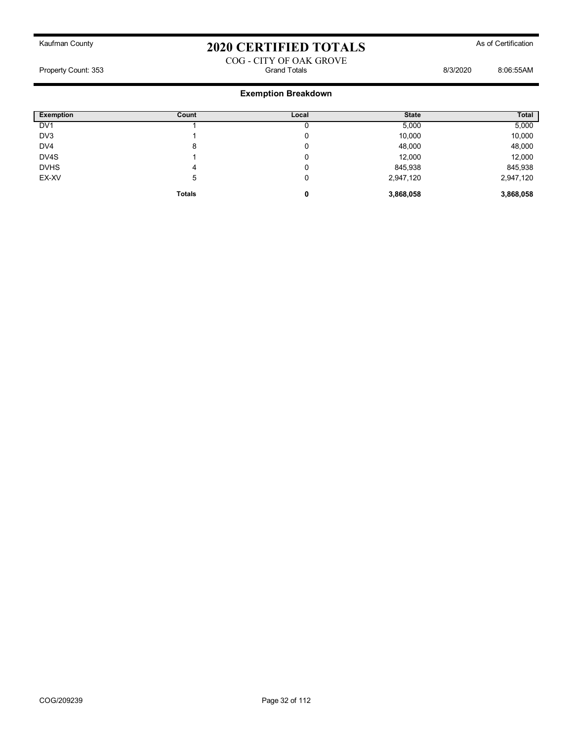### COG - CITY OF OAK GROVE Property Count: 353 **Bisecond Totals** Grand Totals **B**/3/2020 8:06:55AM

| <b>Exemption</b> | Count         | Local | <b>State</b> | Total     |
|------------------|---------------|-------|--------------|-----------|
| DV <sub>1</sub>  |               |       | 5,000        | 5,000     |
| DV3              |               | 0     | 10,000       | 10,000    |
| DV <sub>4</sub>  | 8             | 0     | 48,000       | 48,000    |
| DV4S             |               | 0     | 12,000       | 12,000    |
| <b>DVHS</b>      | 4             | 0     | 845,938      | 845,938   |
| EX-XV            | 5             | 0     | 2,947,120    | 2,947,120 |
|                  | <b>Totals</b> | 0     | 3,868,058    | 3,868,058 |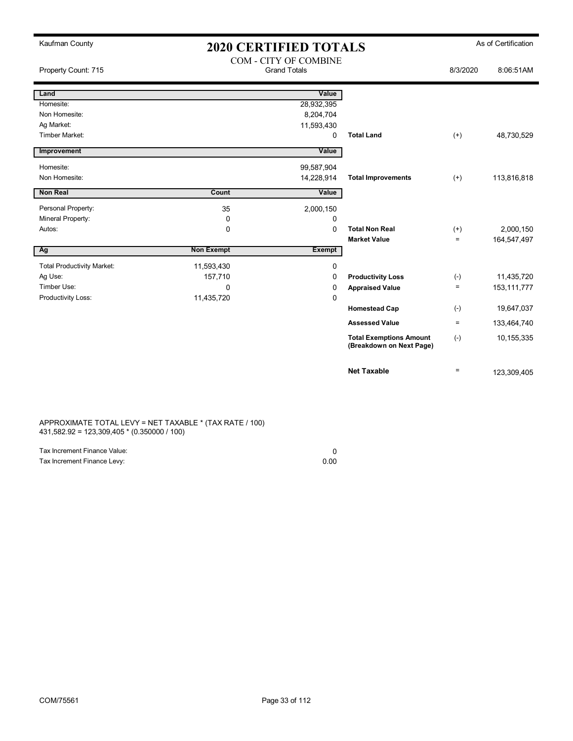| Kaufman County                    | <b>2020 CERTIFIED TOTALS</b>                 |             |                                                            |           | As of Certification |
|-----------------------------------|----------------------------------------------|-------------|------------------------------------------------------------|-----------|---------------------|
| Property Count: 715               | COM - CITY OF COMBINE<br><b>Grand Totals</b> |             | 8/3/2020                                                   | 8:06:51AM |                     |
| Land                              |                                              | Value       |                                                            |           |                     |
| Homesite:                         |                                              | 28,932,395  |                                                            |           |                     |
| Non Homesite:                     |                                              | 8,204,704   |                                                            |           |                     |
| Ag Market:                        |                                              | 11,593,430  |                                                            |           |                     |
| Timber Market:                    |                                              | $\Omega$    | <b>Total Land</b>                                          | $(+)$     | 48,730,529          |
| Improvement                       |                                              | Value       |                                                            |           |                     |
| Homesite:                         |                                              | 99,587,904  |                                                            |           |                     |
| Non Homesite:                     |                                              | 14,228,914  | <b>Total Improvements</b>                                  | $(+)$     | 113,816,818         |
| Non Real                          | Count                                        | Value       |                                                            |           |                     |
| Personal Property:                | 35                                           | 2,000,150   |                                                            |           |                     |
| Mineral Property:                 | 0                                            | 0           |                                                            |           |                     |
| Autos:                            | $\mathbf 0$                                  | $\mathbf 0$ | <b>Total Non Real</b>                                      | $^{(+)}$  | 2,000,150           |
|                                   |                                              |             | <b>Market Value</b>                                        | $\equiv$  | 164,547,497         |
| Ag                                | <b>Non Exempt</b>                            | Exempt      |                                                            |           |                     |
| <b>Total Productivity Market:</b> | 11,593,430                                   | $\mathbf 0$ |                                                            |           |                     |
| Ag Use:                           | 157,710                                      | $\Omega$    | <b>Productivity Loss</b>                                   | $(-)$     | 11,435,720          |
| Timber Use:                       | $\Omega$                                     | $\Omega$    | <b>Appraised Value</b>                                     | $\equiv$  | 153,111,777         |
| Productivity Loss:                | 11,435,720                                   | $\mathbf 0$ |                                                            |           |                     |
|                                   |                                              |             | <b>Homestead Cap</b>                                       | $(-)$     | 19,647,037          |
|                                   |                                              |             | <b>Assessed Value</b>                                      | $\equiv$  | 133,464,740         |
|                                   |                                              |             | <b>Total Exemptions Amount</b><br>(Breakdown on Next Page) | $(-)$     | 10,155,335          |
|                                   |                                              |             | <b>Net Taxable</b>                                         | $\equiv$  | 123,309,405         |

APPROXIMATE TOTAL LEVY = NET TAXABLE \* (TAX RATE / 100) 431,582.92 = 123,309,405 \* (0.350000 / 100)

| Tax Increment Finance Value: |      |
|------------------------------|------|
| Tax Increment Finance Levy:  | 0.00 |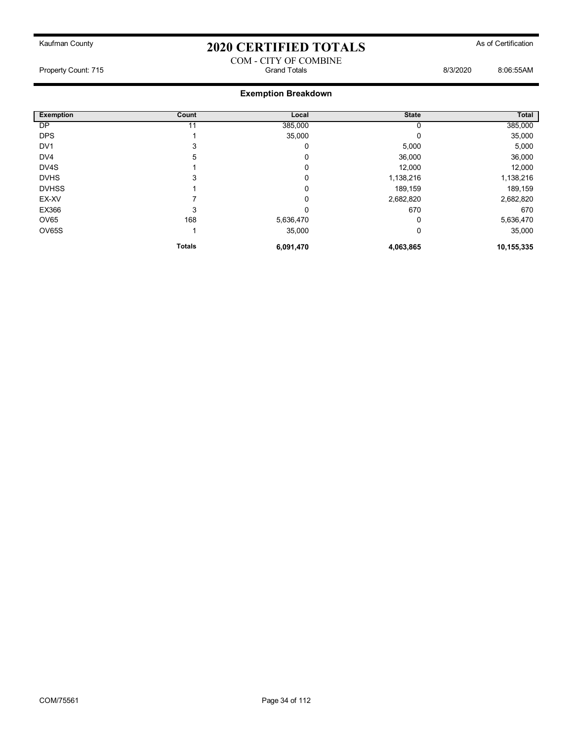# Kaufman County **As of Certification 2020 CERTIFIED TOTALS** As of Certification COM - CITY OF COMBINE

Property Count: 715 Count: 715 Crand Totals Grand Totals Canad Totals B/3/2020 8:06:55AM

| <b>Exemption</b> | Count         | Local     | <b>State</b> | Total      |
|------------------|---------------|-----------|--------------|------------|
| DP               | 11            | 385,000   | 0            | 385,000    |
| <b>DPS</b>       |               | 35,000    | 0            | 35,000     |
| DV <sub>1</sub>  | 3             | 0         | 5,000        | 5,000      |
| DV4              | 5             | 0         | 36,000       | 36,000     |
| DV4S             |               | 0         | 12,000       | 12,000     |
| <b>DVHS</b>      | 3             | 0         | 1,138,216    | 1,138,216  |
| <b>DVHSS</b>     |               | 0         | 189,159      | 189,159    |
| EX-XV            |               | 0         | 2,682,820    | 2,682,820  |
| EX366            | 3             | 0         | 670          | 670        |
| OV65             | 168           | 5,636,470 | 0            | 5,636,470  |
| OV65S            |               | 35,000    | 0            | 35,000     |
|                  | <b>Totals</b> | 6,091,470 | 4,063,865    | 10,155,335 |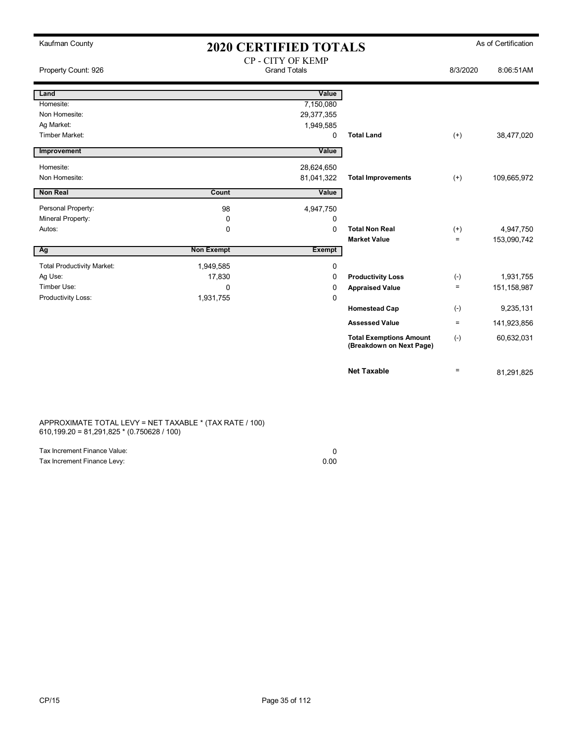| Kaufman County                    | <b>2020 CERTIFIED TOTALS</b> |                                                 |                                                            |          | As of Certification |  |
|-----------------------------------|------------------------------|-------------------------------------------------|------------------------------------------------------------|----------|---------------------|--|
| Property Count: 926               |                              | <b>CP - CITY OF KEMP</b><br><b>Grand Totals</b> |                                                            | 8/3/2020 | 8:06:51AM           |  |
| Land                              |                              | Value                                           |                                                            |          |                     |  |
| Homesite:                         |                              | 7,150,080                                       |                                                            |          |                     |  |
| Non Homesite:                     |                              | 29,377,355                                      |                                                            |          |                     |  |
| Ag Market:                        |                              | 1,949,585                                       |                                                            |          |                     |  |
| Timber Market:                    |                              | 0                                               | <b>Total Land</b>                                          | $(+)$    | 38,477,020          |  |
| Improvement                       |                              | Value                                           |                                                            |          |                     |  |
| Homesite:                         |                              | 28,624,650                                      |                                                            |          |                     |  |
| Non Homesite:                     |                              | 81,041,322                                      | <b>Total Improvements</b>                                  | $(+)$    | 109,665,972         |  |
| <b>Non Real</b>                   | Count                        | Value                                           |                                                            |          |                     |  |
| Personal Property:                | 98                           | 4,947,750                                       |                                                            |          |                     |  |
| Mineral Property:                 | 0                            | 0                                               |                                                            |          |                     |  |
| Autos:                            | $\mathbf 0$                  | $\mathbf{0}$                                    | <b>Total Non Real</b>                                      | $(+)$    | 4,947,750           |  |
|                                   |                              |                                                 | <b>Market Value</b>                                        | $=$      | 153,090,742         |  |
| Ag                                | <b>Non Exempt</b>            | <b>Exempt</b>                                   |                                                            |          |                     |  |
| <b>Total Productivity Market:</b> | 1,949,585                    | 0                                               |                                                            |          |                     |  |
| Ag Use:                           | 17,830                       | $\mathbf 0$                                     | <b>Productivity Loss</b>                                   | $(-)$    | 1,931,755           |  |
| Timber Use:                       | $\mathbf{0}$                 | 0                                               | <b>Appraised Value</b>                                     | $=$      | 151, 158, 987       |  |
| Productivity Loss:                | 1,931,755                    | 0                                               |                                                            |          |                     |  |
|                                   |                              |                                                 | <b>Homestead Cap</b>                                       | $(-)$    | 9,235,131           |  |
|                                   |                              |                                                 | <b>Assessed Value</b>                                      | $=$      | 141,923,856         |  |
|                                   |                              |                                                 | <b>Total Exemptions Amount</b><br>(Breakdown on Next Page) | $(-)$    | 60,632,031          |  |
|                                   |                              |                                                 | <b>Net Taxable</b>                                         | $=$      | 81,291,825          |  |

APPROXIMATE TOTAL LEVY = NET TAXABLE \* (TAX RATE / 100) 610,199.20 = 81,291,825 \* (0.750628 / 100)

| Tax Increment Finance Value: |      |
|------------------------------|------|
| Tax Increment Finance Levy:  | 0.00 |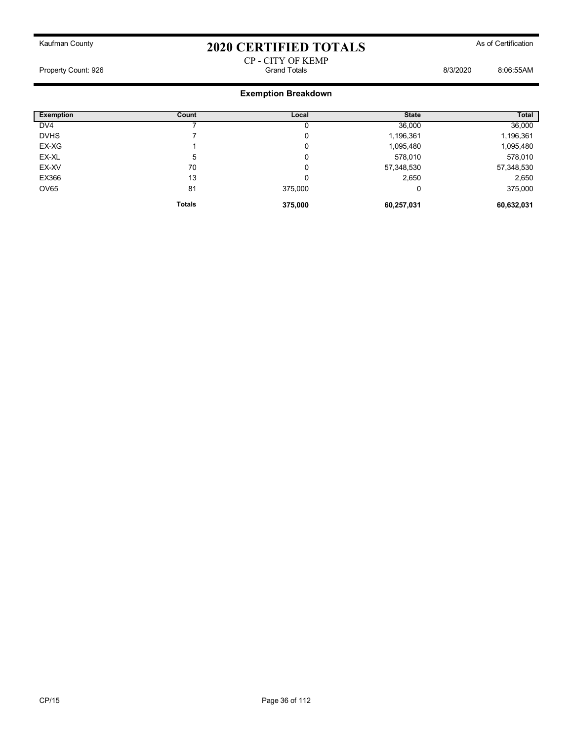#### CP - CITY OF KEMP Property Count: 926 Grand Totals 8/3/2020 8:06:55AM

| <b>Exemption</b> | Count         | Local   | <b>State</b> | Total      |
|------------------|---------------|---------|--------------|------------|
| DV <sub>4</sub>  |               | U       | 36,000       | 36,000     |
| <b>DVHS</b>      |               | 0       | 1,196,361    | 1,196,361  |
| EX-XG            |               | 0       | 1,095,480    | 1,095,480  |
| EX-XL            | 5             | 0       | 578,010      | 578,010    |
| EX-XV            | 70            | 0       | 57,348,530   | 57,348,530 |
| EX366            | 13            | 0       | 2,650        | 2,650      |
| <b>OV65</b>      | 81            | 375,000 | 0            | 375,000    |
|                  | <b>Totals</b> | 375,000 | 60,257,031   | 60,632,031 |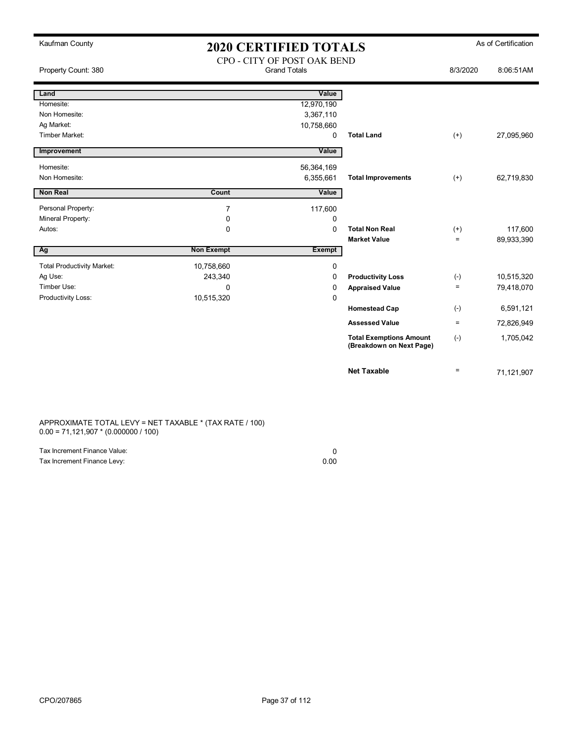| Kaufman County                    | <b>2020 CERTIFIED TOTALS</b> |                                                    |                                                            |                    | As of Certification |
|-----------------------------------|------------------------------|----------------------------------------------------|------------------------------------------------------------|--------------------|---------------------|
| Property Count: 380               |                              | CPO - CITY OF POST OAK BEND<br><b>Grand Totals</b> |                                                            | 8/3/2020           | 8:06:51AM           |
| Land                              |                              | Value                                              |                                                            |                    |                     |
| Homesite:                         |                              | 12,970,190                                         |                                                            |                    |                     |
| Non Homesite:                     |                              | 3,367,110                                          |                                                            |                    |                     |
| Ag Market:                        |                              | 10,758,660                                         |                                                            |                    |                     |
| Timber Market:                    |                              | 0                                                  | <b>Total Land</b>                                          | $(+)$              | 27,095,960          |
| Improvement                       |                              | Value                                              |                                                            |                    |                     |
| Homesite:                         |                              | 56,364,169                                         |                                                            |                    |                     |
| Non Homesite:                     |                              | 6,355,661                                          | <b>Total Improvements</b>                                  | $(+)$              | 62,719,830          |
| Non Real                          | Count                        | Value                                              |                                                            |                    |                     |
| Personal Property:                | $\overline{7}$               | 117,600                                            |                                                            |                    |                     |
| Mineral Property:                 | 0                            | 0                                                  |                                                            |                    |                     |
| Autos:                            | 0                            | 0                                                  | <b>Total Non Real</b>                                      | $^{(+)}$           | 117,600             |
|                                   |                              |                                                    | <b>Market Value</b>                                        | $\equiv$           | 89,933,390          |
| Ag                                | <b>Non Exempt</b>            | <b>Exempt</b>                                      |                                                            |                    |                     |
| <b>Total Productivity Market:</b> | 10,758,660                   | 0                                                  |                                                            |                    |                     |
| Ag Use:                           | 243,340                      | $\Omega$                                           | <b>Productivity Loss</b>                                   | $(\textnormal{-})$ | 10,515,320          |
| Timber Use:                       | 0                            | 0                                                  | <b>Appraised Value</b>                                     | $\equiv$           | 79,418,070          |
| Productivity Loss:                | 10,515,320                   | 0                                                  |                                                            |                    |                     |
|                                   |                              |                                                    | <b>Homestead Cap</b>                                       | $(-)$              | 6,591,121           |
|                                   |                              |                                                    | <b>Assessed Value</b>                                      | $\equiv$           | 72,826,949          |
|                                   |                              |                                                    | <b>Total Exemptions Amount</b><br>(Breakdown on Next Page) | $(-)$              | 1,705,042           |
|                                   |                              |                                                    | <b>Net Taxable</b>                                         | $=$                | 71,121,907          |

APPROXIMATE TOTAL LEVY = NET TAXABLE \* (TAX RATE / 100) 0.00 = 71,121,907 \* (0.000000 / 100)

| Tax Increment Finance Value: |      |
|------------------------------|------|
| Tax Increment Finance Levy:  | 0.00 |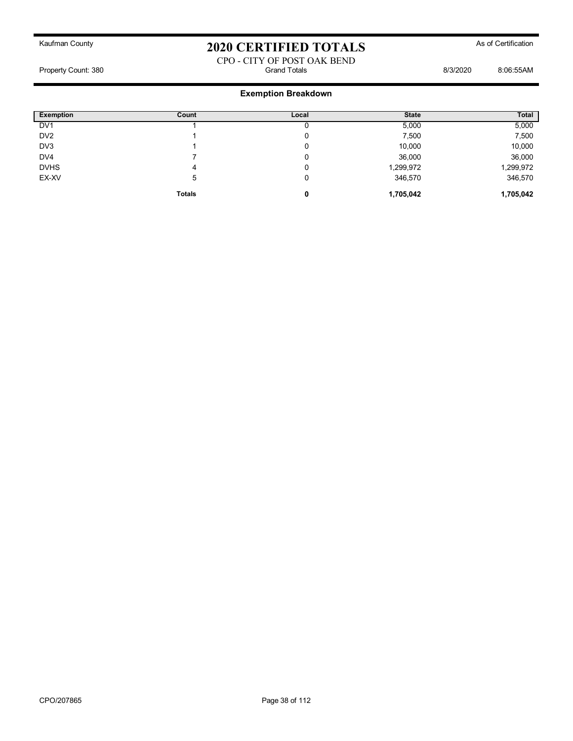### CPO - CITY OF POST OAK BEND Property Count: 380 **Billion** Botals **Count: 380** Grand Totals **8/3/2020** 8:06:55AM

| <b>Exemption</b> | Count         | Local | <b>State</b> | Total     |
|------------------|---------------|-------|--------------|-----------|
| DV <sub>1</sub>  |               |       | 5,000        | 5,000     |
| DV <sub>2</sub>  |               | U     | 7,500        | 7,500     |
| DV <sub>3</sub>  |               | 0     | 10,000       | 10,000    |
| DV <sub>4</sub>  |               | 0     | 36,000       | 36,000    |
| <b>DVHS</b>      | 4             | υ     | 1,299,972    | 1,299,972 |
| EX-XV            | 5             | 0     | 346,570      | 346,570   |
|                  | <b>Totals</b> | 0     | 1,705,042    | 1,705,042 |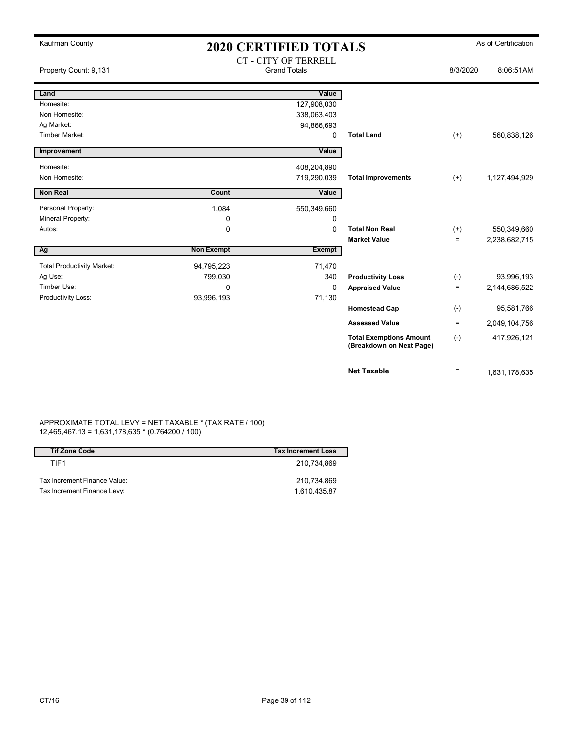| Kaufman County                    | <b>2020 CERTIFIED TOTALS</b> |                             |                                                            |                   | As of Certification |
|-----------------------------------|------------------------------|-----------------------------|------------------------------------------------------------|-------------------|---------------------|
|                                   |                              | <b>CT - CITY OF TERRELL</b> |                                                            |                   |                     |
| Property Count: 9,131             |                              | <b>Grand Totals</b>         |                                                            | 8/3/2020          | 8:06:51AM           |
|                                   |                              |                             |                                                            |                   |                     |
| Land                              |                              | Value                       |                                                            |                   |                     |
| Homesite:                         |                              | 127,908,030                 |                                                            |                   |                     |
| Non Homesite:                     |                              | 338,063,403                 |                                                            |                   |                     |
| Ag Market:                        |                              | 94,866,693                  |                                                            |                   |                     |
| Timber Market:                    |                              | 0                           | <b>Total Land</b>                                          | $^{(+)}$          | 560,838,126         |
| Improvement                       |                              | Value                       |                                                            |                   |                     |
| Homesite:                         |                              | 408,204,890                 |                                                            |                   |                     |
| Non Homesite:                     |                              | 719,290,039                 | <b>Total Improvements</b>                                  | $(+)$             | 1,127,494,929       |
| <b>Non Real</b>                   | Count                        | Value                       |                                                            |                   |                     |
| Personal Property:                | 1,084                        | 550,349,660                 |                                                            |                   |                     |
| Mineral Property:                 | 0                            | 0                           |                                                            |                   |                     |
| Autos:                            | $\mathbf 0$                  | $\mathbf{0}$                | <b>Total Non Real</b>                                      | $^{(+)}$          | 550,349,660         |
|                                   |                              |                             | <b>Market Value</b>                                        | $\equiv$          | 2,238,682,715       |
| $\overline{Ag}$                   | <b>Non Exempt</b>            | <b>Exempt</b>               |                                                            |                   |                     |
| <b>Total Productivity Market:</b> | 94,795,223                   | 71,470                      |                                                            |                   |                     |
| Ag Use:                           | 799,030                      | 340                         | <b>Productivity Loss</b>                                   | $(-)$             | 93,996,193          |
| Timber Use:                       | $\mathbf{0}$                 | $\Omega$                    | <b>Appraised Value</b>                                     | $\equiv$          | 2,144,686,522       |
| Productivity Loss:                | 93,996,193                   | 71,130                      |                                                            |                   |                     |
|                                   |                              |                             | <b>Homestead Cap</b>                                       | $(-)$             | 95,581,766          |
|                                   |                              |                             | <b>Assessed Value</b>                                      | $\qquad \qquad =$ | 2,049,104,756       |
|                                   |                              |                             | <b>Total Exemptions Amount</b><br>(Breakdown on Next Page) | $(-)$             | 417,926,121         |
|                                   |                              |                             | <b>Net Taxable</b>                                         | $\qquad \qquad =$ | 1,631,178,635       |

#### APPROXIMATE TOTAL LEVY = NET TAXABLE \* (TAX RATE / 100) 12,465,467.13 = 1,631,178,635 \* (0.764200 / 100)

| <b>Tif Zone Code</b>         | <b>Tax Increment Loss</b> |
|------------------------------|---------------------------|
| TIF1                         | 210.734.869               |
| Tax Increment Finance Value: | 210.734.869               |
| Tax Increment Finance Levy:  | 1.610.435.87              |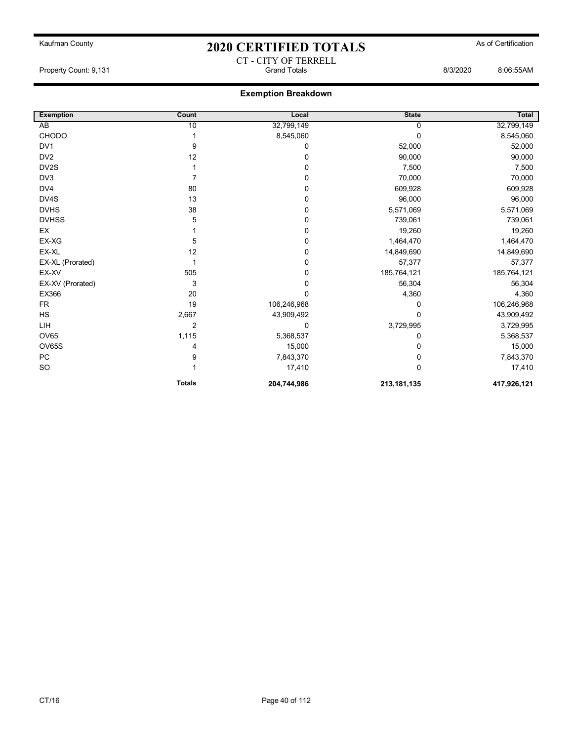### Kaufman County **As of Certification 2020 CERTIFIED TOTALS** As of Certification CT - CITY OF TERRELL

Property Count: 9,131 Grand Totals 8/3/2020 8:06:55AM

| <b>Exemption</b> | Count         | Local       | <b>State</b> | Total       |
|------------------|---------------|-------------|--------------|-------------|
| AB               | 10            | 32,799,149  | 0            | 32,799,149  |
| CHODO            |               | 8,545,060   | $\Omega$     | 8,545,060   |
| DV <sub>1</sub>  | 9             | 0           | 52,000       | 52,000      |
| DV <sub>2</sub>  | 12            | 0           | 90,000       | 90,000      |
| DV2S             |               | 0           | 7,500        | 7,500       |
| DV3              | 7             | 0           | 70,000       | 70,000      |
| DV4              | 80            | 0           | 609,928      | 609,928     |
| DV4S             | 13            | 0           | 96,000       | 96,000      |
| <b>DVHS</b>      | 38            | 0           | 5,571,069    | 5,571,069   |
| <b>DVHSS</b>     | 5             | 0           | 739,061      | 739,061     |
| EX               |               | 0           | 19,260       | 19,260      |
| EX-XG            | 5             | 0           | 1,464,470    | 1,464,470   |
| EX-XL            | 12            | 0           | 14,849,690   | 14,849,690  |
| EX-XL (Prorated) | 1             | 0           | 57,377       | 57,377      |
| EX-XV            | 505           | 0           | 185,764,121  | 185,764,121 |
| EX-XV (Prorated) | 3             | 0           | 56,304       | 56,304      |
| EX366            | 20            | 0           | 4,360        | 4,360       |
| <b>FR</b>        | 19            | 106,246,968 | 0            | 106,246,968 |
| <b>HS</b>        | 2,667         | 43,909,492  | 0            | 43,909,492  |
| LIH              | 2             | 0           | 3,729,995    | 3,729,995   |
| OV65             | 1,115         | 5,368,537   | 0            | 5,368,537   |
| OV65S            | 4             | 15,000      | 0            | 15,000      |
| PC               | 9             | 7,843,370   | 0            | 7,843,370   |
| <b>SO</b>        |               | 17,410      | $\Omega$     | 17,410      |
|                  | <b>Totals</b> | 204,744,986 | 213,181,135  | 417,926,121 |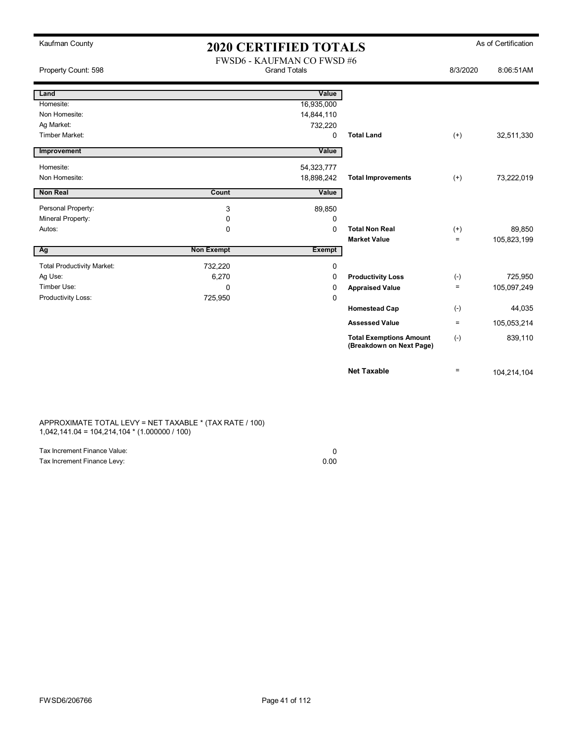| Kaufman County                    | <b>2020 CERTIFIED TOTALS</b>                            |               |                                                            |                   | As of Certification |
|-----------------------------------|---------------------------------------------------------|---------------|------------------------------------------------------------|-------------------|---------------------|
| Property Count: 598               | <b>FWSD6 - KAUFMAN CO FWSD#6</b><br><b>Grand Totals</b> |               | 8/3/2020                                                   | 8:06:51AM         |                     |
| Land                              |                                                         | Value         |                                                            |                   |                     |
| Homesite:                         |                                                         | 16,935,000    |                                                            |                   |                     |
| Non Homesite:                     |                                                         | 14,844,110    |                                                            |                   |                     |
| Ag Market:                        |                                                         | 732,220       |                                                            |                   |                     |
| <b>Timber Market:</b>             |                                                         | 0             | <b>Total Land</b>                                          | $(+)$             | 32,511,330          |
| Improvement                       |                                                         | Value         |                                                            |                   |                     |
| Homesite:                         |                                                         | 54,323,777    |                                                            |                   |                     |
| Non Homesite:                     |                                                         | 18,898,242    | <b>Total Improvements</b>                                  | $(+)$             | 73,222,019          |
| <b>Non Real</b>                   | Count                                                   | Value         |                                                            |                   |                     |
| Personal Property:                | 3                                                       | 89,850        |                                                            |                   |                     |
| Mineral Property:                 | 0                                                       | 0             |                                                            |                   |                     |
| Autos:                            | $\Omega$                                                | $\Omega$      | <b>Total Non Real</b>                                      | $^{(+)}$          | 89,850              |
|                                   |                                                         |               | <b>Market Value</b>                                        | $\equiv$          | 105,823,199         |
| Ag                                | <b>Non Exempt</b>                                       | <b>Exempt</b> |                                                            |                   |                     |
| <b>Total Productivity Market:</b> | 732,220                                                 | 0             |                                                            |                   |                     |
| Ag Use:                           | 6,270                                                   | 0             | <b>Productivity Loss</b>                                   | $(-)$             | 725,950             |
| Timber Use:                       | 0                                                       | 0             | <b>Appraised Value</b>                                     | $\equiv$          | 105,097,249         |
| Productivity Loss:                | 725,950                                                 | 0             |                                                            |                   |                     |
|                                   |                                                         |               | <b>Homestead Cap</b>                                       | $(-)$             | 44,035              |
|                                   |                                                         |               | <b>Assessed Value</b>                                      | $\equiv$          | 105,053,214         |
|                                   |                                                         |               | <b>Total Exemptions Amount</b><br>(Breakdown on Next Page) | $(-)$             | 839,110             |
|                                   |                                                         |               | <b>Net Taxable</b>                                         | $\qquad \qquad =$ | 104,214,104         |

APPROXIMATE TOTAL LEVY = NET TAXABLE \* (TAX RATE / 100) 1,042,141.04 = 104,214,104 \* (1.000000 / 100)

| Tax Increment Finance Value: |      |
|------------------------------|------|
| Tax Increment Finance Levy:  | 0.00 |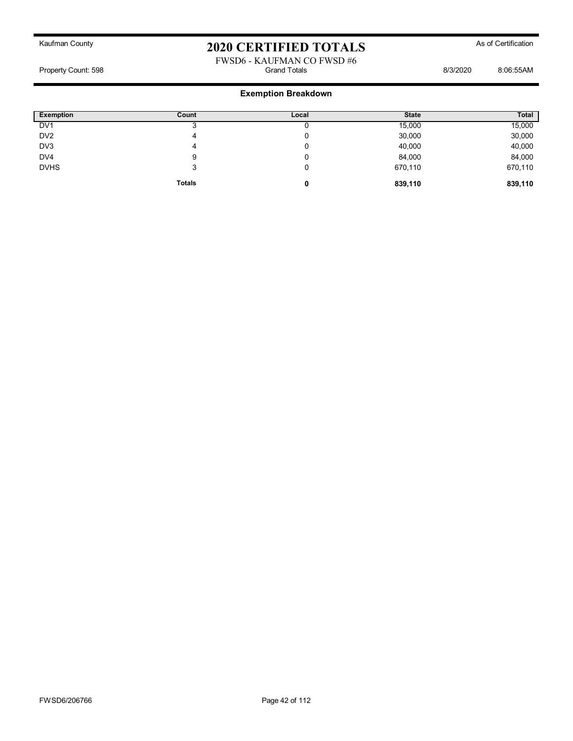#### FWSD6 - KAUFMAN CO FWSD #6<br>Grand Totals Property Count: 598 **Billion** Botals **Count: 598** Grand Totals **B**illion Botals **8/3/2020** 8:06:55AM

| <b>Exemption</b> | Count         | Local | <b>State</b> | <b>Total</b> |
|------------------|---------------|-------|--------------|--------------|
| DV <sub>1</sub>  |               |       | 15,000       | 15,000       |
| DV <sub>2</sub>  | 4             |       | 30,000       | 30,000       |
| DV3              | 4             | 0     | 40,000       | 40,000       |
| DV4              | 9             | 0     | 84,000       | 84,000       |
| <b>DVHS</b>      | 3             | 0     | 670,110      | 670,110      |
|                  | <b>Totals</b> | 0     | 839,110      | 839,110      |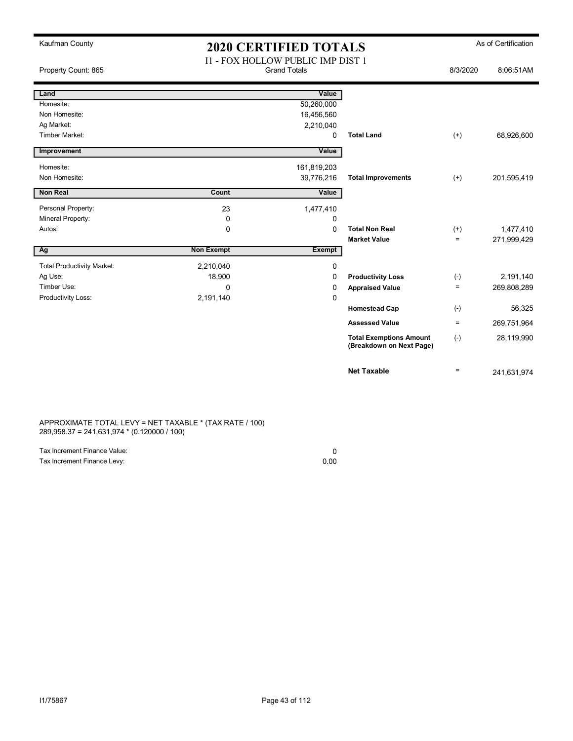| Kaufman County                    | <b>2020 CERTIFIED TOTALS</b>                                    |               |                                                            |          | As of Certification |
|-----------------------------------|-----------------------------------------------------------------|---------------|------------------------------------------------------------|----------|---------------------|
| Property Count: 865               | <b>I1 - FOX HOLLOW PUBLIC IMP DIST 1</b><br><b>Grand Totals</b> |               |                                                            | 8/3/2020 | 8:06:51AM           |
| Land                              |                                                                 | Value         |                                                            |          |                     |
| Homesite:                         |                                                                 | 50,260,000    |                                                            |          |                     |
| Non Homesite:                     |                                                                 | 16,456,560    |                                                            |          |                     |
| Ag Market:                        |                                                                 | 2,210,040     |                                                            |          |                     |
| Timber Market:                    |                                                                 | 0             | <b>Total Land</b>                                          | $(+)$    | 68,926,600          |
| Improvement                       |                                                                 | Value         |                                                            |          |                     |
| Homesite:                         |                                                                 | 161,819,203   |                                                            |          |                     |
| Non Homesite:                     |                                                                 | 39,776,216    | <b>Total Improvements</b>                                  | $(+)$    | 201,595,419         |
| Non Real                          | Count                                                           | Value         |                                                            |          |                     |
| Personal Property:                | 23                                                              | 1,477,410     |                                                            |          |                     |
| Mineral Property:                 | 0                                                               | 0             |                                                            |          |                     |
| Autos:                            | $\mathbf 0$                                                     | $\mathbf 0$   | <b>Total Non Real</b>                                      | $(+)$    | 1,477,410           |
|                                   |                                                                 |               | <b>Market Value</b>                                        | $=$      | 271,999,429         |
| Ag                                | <b>Non Exempt</b>                                               | <b>Exempt</b> |                                                            |          |                     |
| <b>Total Productivity Market:</b> | 2,210,040                                                       | $\mathbf 0$   |                                                            |          |                     |
| Ag Use:                           | 18,900                                                          | $\Omega$      | <b>Productivity Loss</b>                                   | $(-)$    | 2,191,140           |
| Timber Use:                       | 0                                                               | 0             | <b>Appraised Value</b>                                     | $\equiv$ | 269,808,289         |
| Productivity Loss:                | 2,191,140                                                       | $\mathbf 0$   |                                                            |          |                     |
|                                   |                                                                 |               | <b>Homestead Cap</b>                                       | $(-)$    | 56,325              |
|                                   |                                                                 |               | <b>Assessed Value</b>                                      | $\equiv$ | 269,751,964         |
|                                   |                                                                 |               | <b>Total Exemptions Amount</b><br>(Breakdown on Next Page) | $(-)$    | 28,119,990          |
|                                   |                                                                 |               | <b>Net Taxable</b>                                         | $=$      | 241,631,974         |

APPROXIMATE TOTAL LEVY = NET TAXABLE \* (TAX RATE / 100) 289,958.37 = 241,631,974 \* (0.120000 / 100)

| Tax Increment Finance Value: |      |
|------------------------------|------|
| Tax Increment Finance Levy:  | 0.00 |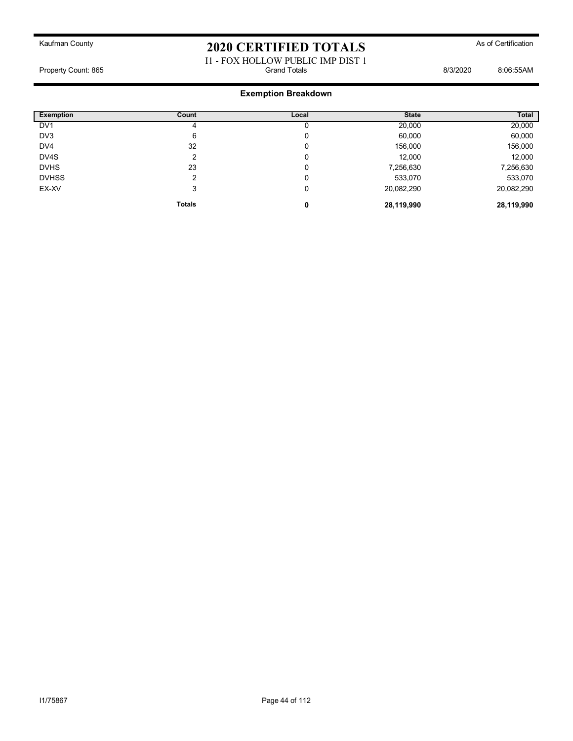### I1 - FOX HOLLOW PUBLIC IMP DIST 1 Property Count: 865 8:06:55AM

| <b>Exemption</b> | Count         | Local  | <b>State</b> | Total      |
|------------------|---------------|--------|--------------|------------|
| DV <sub>1</sub>  |               |        | 20,000       | 20,000     |
| DV <sub>3</sub>  | 6             | n<br>υ | 60,000       | 60,000     |
| DV4              | 32            | 0      | 156,000      | 156,000    |
| DV4S             |               | 0      | 12,000       | 12,000     |
| <b>DVHS</b>      | 23            | 0      | 7,256,630    | 7,256,630  |
| <b>DVHSS</b>     |               | C      | 533,070      | 533,070    |
| EX-XV            | 3             | 0      | 20,082,290   | 20,082,290 |
|                  | <b>Totals</b> | 0      | 28,119,990   | 28,119,990 |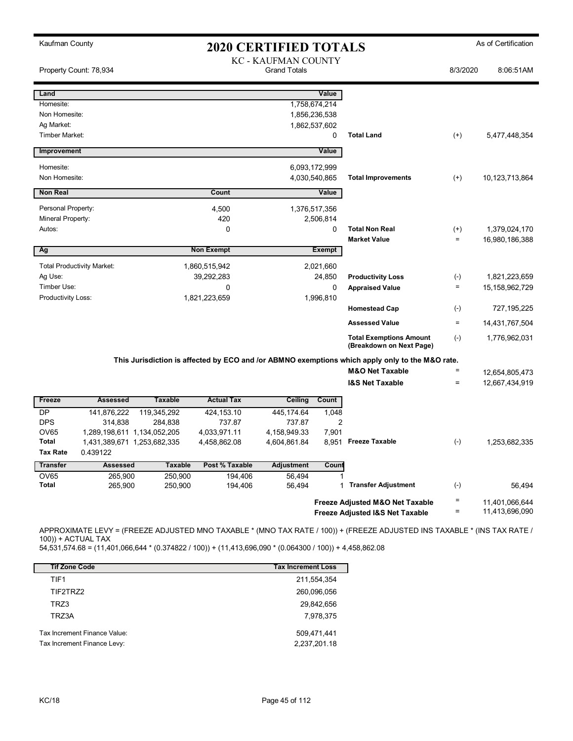| Kaufman County     |                                   |                    |                    | <b>2020 CERTIFIED TOTALS</b>               |                |                                                                                                 |                    | As of Certification |
|--------------------|-----------------------------------|--------------------|--------------------|--------------------------------------------|----------------|-------------------------------------------------------------------------------------------------|--------------------|---------------------|
|                    | Property Count: 78,934            |                    |                    | KC - KAUFMAN COUNTY<br><b>Grand Totals</b> |                |                                                                                                 | 8/3/2020           | 8:06:51AM           |
| Land               |                                   |                    |                    |                                            | Value          |                                                                                                 |                    |                     |
| Homesite:          |                                   |                    |                    |                                            | 1,758,674,214  |                                                                                                 |                    |                     |
| Non Homesite:      |                                   |                    |                    |                                            | 1,856,236,538  |                                                                                                 |                    |                     |
| Ag Market:         |                                   |                    |                    |                                            | 1,862,537,602  |                                                                                                 |                    |                     |
| Timber Market:     |                                   |                    |                    |                                            | 0              | <b>Total Land</b>                                                                               | $^{(+)}$           | 5,477,448,354       |
| Improvement        |                                   |                    |                    |                                            | Value          |                                                                                                 |                    |                     |
| Homesite:          |                                   |                    |                    |                                            | 6,093,172,999  |                                                                                                 |                    |                     |
| Non Homesite:      |                                   |                    |                    |                                            | 4,030,540,865  | <b>Total Improvements</b>                                                                       | $^{(+)}$           | 10,123,713,864      |
| <b>Non Real</b>    |                                   |                    | Count              |                                            | Value          |                                                                                                 |                    |                     |
| Personal Property: |                                   |                    | 4,500              |                                            | 1,376,517,356  |                                                                                                 |                    |                     |
| Mineral Property:  |                                   |                    | 420                |                                            | 2,506,814      |                                                                                                 |                    |                     |
| Autos:             |                                   |                    | $\Omega$           |                                            | 0              | <b>Total Non Real</b>                                                                           | $^{(+)}$           | 1,379,024,170       |
|                    |                                   |                    |                    |                                            |                | <b>Market Value</b>                                                                             | $\qquad \qquad =$  | 16,980,186,388      |
| Ag                 |                                   |                    | <b>Non Exempt</b>  |                                            | <b>Exempt</b>  |                                                                                                 |                    |                     |
|                    | <b>Total Productivity Market:</b> |                    | 1,860,515,942      |                                            | 2,021,660      |                                                                                                 |                    |                     |
| Ag Use:            |                                   |                    | 39,292,283         |                                            | 24,850         | <b>Productivity Loss</b>                                                                        | $(\textnormal{-})$ | 1,821,223,659       |
| Timber Use:        |                                   |                    | 0                  |                                            | 0              | <b>Appraised Value</b>                                                                          | $\equiv$           | 15, 158, 962, 729   |
| Productivity Loss: |                                   |                    | 1,821,223,659      |                                            | 1,996,810      |                                                                                                 |                    |                     |
|                    |                                   |                    |                    |                                            |                | <b>Homestead Cap</b>                                                                            | $(\textnormal{-})$ | 727, 195, 225       |
|                    |                                   |                    |                    |                                            |                | <b>Assessed Value</b>                                                                           | $\quad \  \  =$    | 14,431,767,504      |
|                    |                                   |                    |                    |                                            |                | <b>Total Exemptions Amount</b><br>(Breakdown on Next Page)                                      | $(-)$              | 1,776,962,031       |
|                    |                                   |                    |                    |                                            |                | This Jurisdiction is affected by ECO and /or ABMNO exemptions which apply only to the M&O rate. |                    |                     |
|                    |                                   |                    |                    |                                            |                | <b>M&amp;O Net Taxable</b>                                                                      | $\quad \  \  =$    | 12,654,805,473      |
|                    |                                   |                    |                    |                                            |                | <b>I&amp;S Net Taxable</b>                                                                      | $\equiv$           | 12,667,434,919      |
| Freeze             | <b>Assessed</b>                   | <b>Taxable</b>     | <b>Actual Tax</b>  | Ceiling                                    | Count          |                                                                                                 |                    |                     |
| <b>DP</b>          | 141,876,222                       | 119,345,292        | 424,153.10         | 445,174.64                                 | 1,048          |                                                                                                 |                    |                     |
| <b>DPS</b>         | 314,838                           | 284,838            | 737.87             | 737.87                                     | $\overline{2}$ |                                                                                                 |                    |                     |
| OV65               | 1,289,198,611 1,134,052,205       |                    | 4,033,971.11       | 4,158,949.33                               | 7,901          |                                                                                                 |                    |                     |
| Total              | 1,431,389,671 1,253,682,335       |                    | 4,458,862.08       | 4,604,861.84                               |                | 8,951 Freeze Taxable                                                                            | $(-)$              | 1,253,682,335       |
| Tax Rate           | 0.439122                          |                    |                    |                                            |                |                                                                                                 |                    |                     |
| <b>Transfer</b>    | <b>Assessed</b>                   | <b>Taxable</b>     | Post % Taxable     | Adjustment                                 | Count          |                                                                                                 |                    |                     |
| OV65<br>Total      | 265,900<br>265,900                | 250,900<br>250,900 | 194,406<br>194,406 | 56,494<br>56,494                           | 1              | <b>Transfer Adjustment</b>                                                                      | $(\text{-})$       | 56,494              |
|                    |                                   |                    |                    |                                            |                |                                                                                                 |                    |                     |
|                    |                                   |                    |                    |                                            |                | Freeze Adjusted M&O Net Taxable                                                                 | $\quad \  \  =$    | 11,401,066,644      |
|                    |                                   |                    |                    |                                            |                | Freeze Adjusted I&S Net Taxable                                                                 | $\equiv$           | 11,413,696,090      |

APPROXIMATE LEVY = (FREEZE ADJUSTED MNO TAXABLE \* (MNO TAX RATE / 100)) + (FREEZE ADJUSTED INS TAXABLE \* (INS TAX RATE / 100)) + ACTUAL TAX

54,531,574.68 = (11,401,066,644 \* (0.374822 / 100)) + (11,413,696,090 \* (0.064300 / 100)) + 4,458,862.08

| <b>Tif Zone Code</b>         | <b>Tax Increment Loss</b> |
|------------------------------|---------------------------|
| TIF1                         | 211,554,354               |
| TIF2TRZ2                     | 260,096,056               |
| TRZ3                         | 29,842,656                |
| TRZ3A                        | 7,978,375                 |
| Tax Increment Finance Value: | 509,471,441               |
| Tax Increment Finance Levy:  | 2,237,201.18              |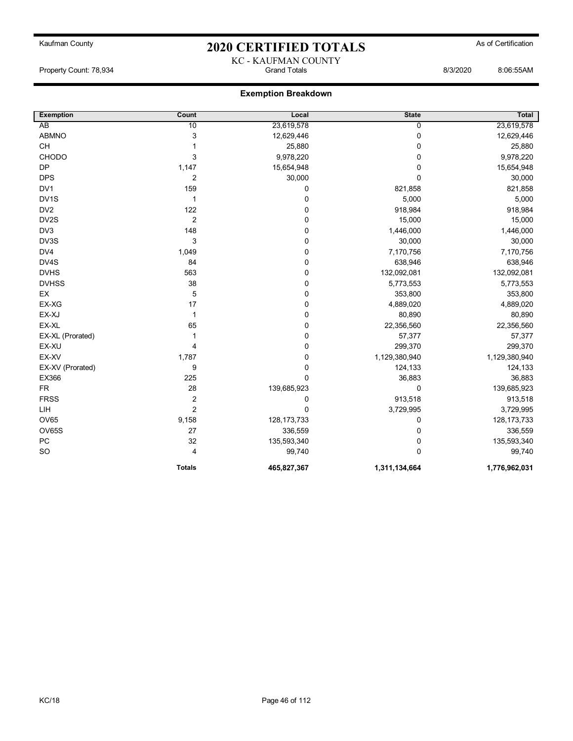### Kaufman County **As of Certification 2020 CERTIFIED TOTALS** As of Certification KC - KAUFMAN COUNTY

Property Count: 78,934 Grand Totals 8/3/2020 8:06:55AM

| <b>Exemption</b>  | Count          | Local         | <b>State</b>   | <b>Total</b>  |
|-------------------|----------------|---------------|----------------|---------------|
| AB                | 10             | 23,619,578    | $\overline{0}$ | 23,619,578    |
| <b>ABMNO</b>      | 3              | 12,629,446    | 0              | 12,629,446    |
| CH                | 1              | 25,880        | $\mathbf 0$    | 25,880        |
| CHODO             | 3              | 9,978,220     | 0              | 9,978,220     |
| <b>DP</b>         | 1,147          | 15,654,948    | 0              | 15,654,948    |
| <b>DPS</b>        | $\overline{2}$ | 30,000        | $\mathbf{0}$   | 30,000        |
| DV1               | 159            | 0             | 821,858        | 821,858       |
| DV <sub>1</sub> S | $\mathbf{1}$   | 0             | 5,000          | 5,000         |
| DV <sub>2</sub>   | 122            | 0             | 918,984        | 918,984       |
| DV2S              | $\overline{2}$ | $\mathbf 0$   | 15,000         | 15,000        |
| DV <sub>3</sub>   | 148            | 0             | 1,446,000      | 1,446,000     |
| DV3S              | 3              | 0             | 30,000         | 30,000        |
| DV4               | 1,049          | 0             | 7,170,756      | 7,170,756     |
| DV4S              | 84             | 0             | 638,946        | 638,946       |
| <b>DVHS</b>       | 563            | 0             | 132,092,081    | 132,092,081   |
| <b>DVHSS</b>      | 38             | 0             | 5,773,553      | 5,773,553     |
| EX                | 5              | 0             | 353,800        | 353,800       |
| EX-XG             | 17             | 0             | 4,889,020      | 4,889,020     |
| EX-XJ             | $\mathbf{1}$   | 0             | 80,890         | 80,890        |
| EX-XL             | 65             | 0             | 22,356,560     | 22,356,560    |
| EX-XL (Prorated)  | 1              | 0             | 57,377         | 57,377        |
| EX-XU             | 4              | 0             | 299,370        | 299,370       |
| EX-XV             | 1,787          | 0             | 1,129,380,940  | 1,129,380,940 |
| EX-XV (Prorated)  | 9              | 0             | 124,133        | 124,133       |
| EX366             | 225            | $\mathbf 0$   | 36,883         | 36,883        |
| <b>FR</b>         | 28             | 139,685,923   | 0              | 139,685,923   |
| <b>FRSS</b>       | $\overline{2}$ | 0             | 913,518        | 913,518       |
| LIH               | $\overline{c}$ | $\mathbf 0$   | 3,729,995      | 3,729,995     |
| OV65              | 9,158          | 128, 173, 733 | 0              | 128, 173, 733 |
| OV65S             | 27             | 336,559       | 0              | 336,559       |
| PC                | 32             | 135,593,340   | 0              | 135,593,340   |
| <b>SO</b>         | 4              | 99,740        | 0              | 99,740        |
|                   | <b>Totals</b>  | 465,827,367   | 1,311,134,664  | 1,776,962,031 |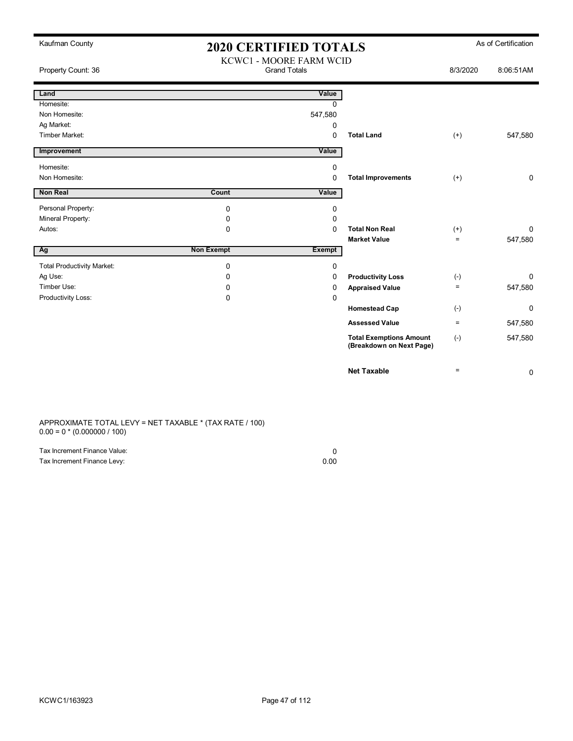| Kaufman County                    | <b>2020 CERTIFIED TOTALS</b> |                                                |                                                            |          | As of Certification |
|-----------------------------------|------------------------------|------------------------------------------------|------------------------------------------------------------|----------|---------------------|
| Property Count: 36                |                              | KCWC1 - MOORE FARM WCID<br><b>Grand Totals</b> |                                                            | 8/3/2020 | 8:06:51AM           |
| Land                              |                              | Value                                          |                                                            |          |                     |
| Homesite:                         |                              | $\Omega$                                       |                                                            |          |                     |
| Non Homesite:                     |                              | 547,580                                        |                                                            |          |                     |
| Ag Market:                        |                              | 0                                              |                                                            |          |                     |
| Timber Market:                    |                              | $\Omega$                                       | <b>Total Land</b>                                          | $^{(+)}$ | 547,580             |
| Improvement                       |                              | Value                                          |                                                            |          |                     |
| Homesite:                         |                              | $\mathbf 0$                                    |                                                            |          |                     |
| Non Homesite:                     |                              | $\mathbf 0$                                    | <b>Total Improvements</b>                                  | $(+)$    | 0                   |
| Non Real                          | Count                        | Value                                          |                                                            |          |                     |
| Personal Property:                | 0                            | 0                                              |                                                            |          |                     |
| Mineral Property:                 | 0                            | $\mathbf 0$                                    |                                                            |          |                     |
| Autos:                            | $\mathbf 0$                  | $\Omega$                                       | <b>Total Non Real</b>                                      | $(+)$    | 0                   |
|                                   |                              |                                                | <b>Market Value</b>                                        | $=$      | 547,580             |
| Ag                                | <b>Non Exempt</b>            | <b>Exempt</b>                                  |                                                            |          |                     |
| <b>Total Productivity Market:</b> | 0                            | 0                                              |                                                            |          |                     |
| Ag Use:                           | 0                            | 0                                              | <b>Productivity Loss</b>                                   | $(-)$    | 0                   |
| Timber Use:                       | 0                            | $\mathbf 0$                                    | <b>Appraised Value</b>                                     | $=$      | 547,580             |
| Productivity Loss:                | $\Omega$                     | $\mathbf 0$                                    |                                                            |          |                     |
|                                   |                              |                                                | <b>Homestead Cap</b>                                       | $(-)$    | 0                   |
|                                   |                              |                                                | <b>Assessed Value</b>                                      | $\equiv$ | 547,580             |
|                                   |                              |                                                | <b>Total Exemptions Amount</b><br>(Breakdown on Next Page) | $(-)$    | 547,580             |
|                                   |                              |                                                | <b>Net Taxable</b>                                         | $=$      | 0                   |

APPROXIMATE TOTAL LEVY = NET TAXABLE \* (TAX RATE / 100) 0.00 = 0 \* (0.000000 / 100)

| Tax Increment Finance Value: |      |
|------------------------------|------|
| Tax Increment Finance Levy:  | 0.00 |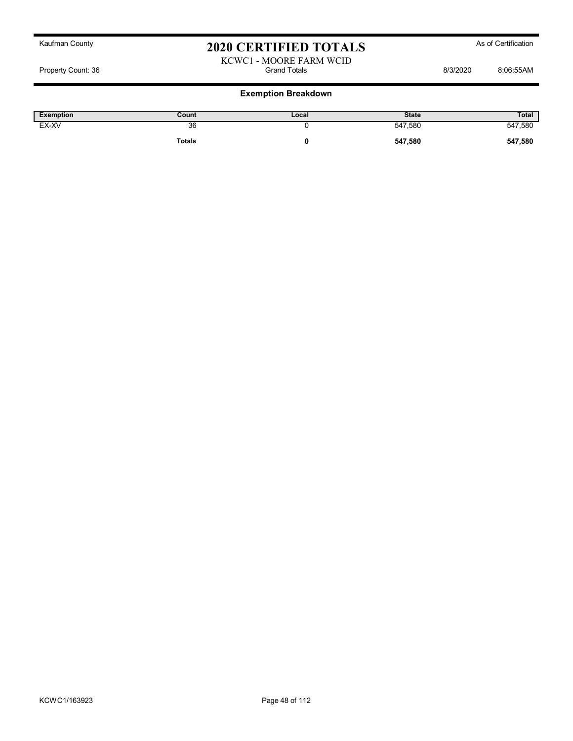KCWC1 - MOORE FARM WCID Property Count: 36 and Totals Grand Totals 613/2020 8:06:55AM

| Exemption | Count         | Local | <b>State</b> | Total   |
|-----------|---------------|-------|--------------|---------|
| EX-XV     | 36            |       | 547,580      | 547,580 |
|           | <b>Totals</b> |       | 547,580      | 547,580 |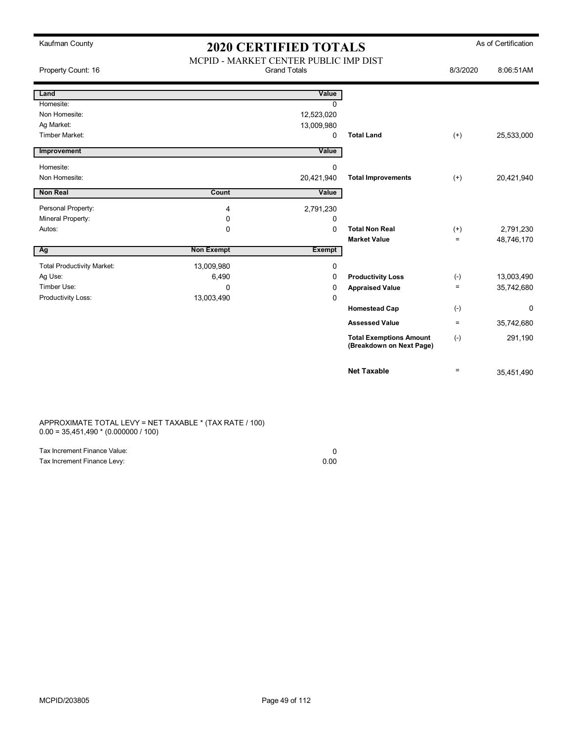| Kaufman County                    | <b>2020 CERTIFIED TOTALS</b>                                 |               |                                                            | As of Certification |            |
|-----------------------------------|--------------------------------------------------------------|---------------|------------------------------------------------------------|---------------------|------------|
| Property Count: 16                | MCPID - MARKET CENTER PUBLIC IMP DIST<br><b>Grand Totals</b> |               |                                                            | 8/3/2020            | 8:06:51AM  |
| Land                              |                                                              | Value         |                                                            |                     |            |
| Homesite:                         |                                                              | $\Omega$      |                                                            |                     |            |
| Non Homesite:                     |                                                              | 12,523,020    |                                                            |                     |            |
| Ag Market:                        |                                                              | 13,009,980    |                                                            |                     |            |
| Timber Market:                    |                                                              | $\Omega$      | <b>Total Land</b>                                          | $^{(+)}$            | 25,533,000 |
| Improvement                       |                                                              | Value         |                                                            |                     |            |
| Homesite:                         |                                                              | 0             |                                                            |                     |            |
| Non Homesite:                     |                                                              | 20,421,940    | <b>Total Improvements</b>                                  | $(+)$               | 20,421,940 |
| Non Real                          | Count                                                        | Value         |                                                            |                     |            |
| Personal Property:                | 4                                                            | 2,791,230     |                                                            |                     |            |
| Mineral Property:                 | 0                                                            | 0             |                                                            |                     |            |
| Autos:                            | $\mathbf 0$                                                  | $\Omega$      | <b>Total Non Real</b>                                      | $^{(+)}$            | 2,791,230  |
|                                   |                                                              |               | <b>Market Value</b>                                        | $\equiv$            | 48,746,170 |
| Ag                                | <b>Non Exempt</b>                                            | <b>Exempt</b> |                                                            |                     |            |
| <b>Total Productivity Market:</b> | 13,009,980                                                   | 0             |                                                            |                     |            |
| Ag Use:                           | 6,490                                                        | 0             | <b>Productivity Loss</b>                                   | $(-)$               | 13,003,490 |
| Timber Use:                       | $\Omega$                                                     | 0             | <b>Appraised Value</b>                                     | $\equiv$            | 35,742,680 |
| Productivity Loss:                | 13,003,490                                                   | 0             |                                                            |                     |            |
|                                   |                                                              |               | <b>Homestead Cap</b>                                       | $(-)$               | 0          |
|                                   |                                                              |               | <b>Assessed Value</b>                                      | $\equiv$            | 35,742,680 |
|                                   |                                                              |               | <b>Total Exemptions Amount</b><br>(Breakdown on Next Page) | $(-)$               | 291,190    |
|                                   |                                                              |               | <b>Net Taxable</b>                                         | $\equiv$            | 35,451,490 |

APPROXIMATE TOTAL LEVY = NET TAXABLE \* (TAX RATE / 100) 0.00 = 35,451,490 \* (0.000000 / 100)

| Tax Increment Finance Value: |      |
|------------------------------|------|
| Tax Increment Finance Levy:  | 0.00 |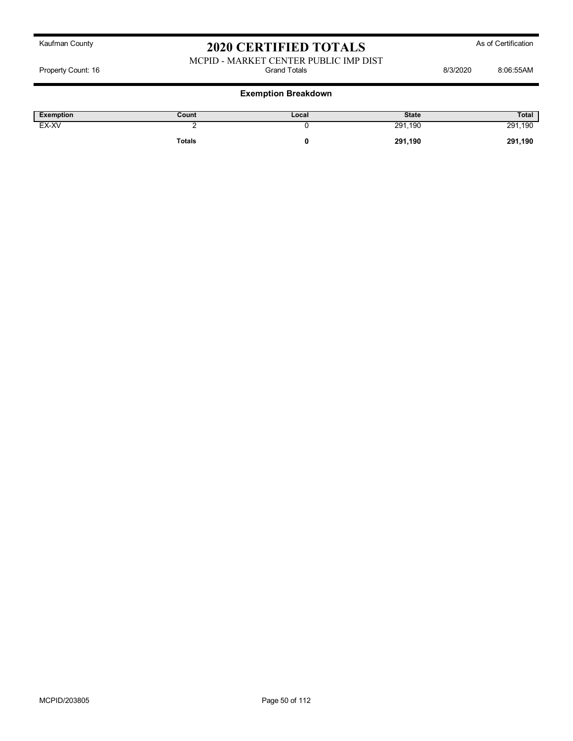#### MCPID - MARKET CENTER PUBLIC IMP DIST Property Count: 16 **Bisecond Totals** Grand Totals **B**isecond Grand Totals 8/3/2020 8:06:55AM

| <b>Exemption</b> | Count         | Local | <b>State</b> | <b>Total</b> |
|------------------|---------------|-------|--------------|--------------|
| EX-XV            |               |       | 291,190      | 291,190      |
|                  | <b>Totals</b> |       | 291,190      | 291,190      |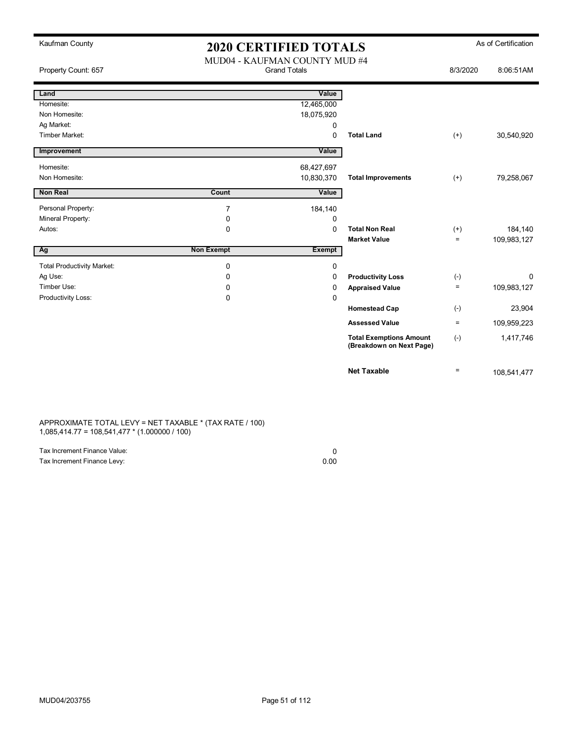| Kaufman County                    | <b>2020 CERTIFIED TOTALS</b> |                                                      |                                                            |          | As of Certification |
|-----------------------------------|------------------------------|------------------------------------------------------|------------------------------------------------------------|----------|---------------------|
| Property Count: 657               |                              | MUD04 - KAUFMAN COUNTY MUD #4<br><b>Grand Totals</b> |                                                            |          | 8:06:51AM           |
| Land                              |                              | Value                                                |                                                            |          |                     |
| Homesite:                         |                              | 12,465,000                                           |                                                            |          |                     |
| Non Homesite:                     |                              | 18,075,920                                           |                                                            |          |                     |
| Ag Market:                        |                              | 0                                                    |                                                            |          |                     |
| <b>Timber Market:</b>             |                              | $\Omega$                                             | <b>Total Land</b>                                          | $(+)$    | 30,540,920          |
| Improvement                       |                              | Value                                                |                                                            |          |                     |
| Homesite:                         |                              | 68,427,697                                           |                                                            |          |                     |
| Non Homesite:                     |                              | 10,830,370                                           | <b>Total Improvements</b>                                  | $(+)$    | 79,258,067          |
| <b>Non Real</b>                   | Count                        | Value                                                |                                                            |          |                     |
| Personal Property:                | $\overline{7}$               | 184,140                                              |                                                            |          |                     |
| Mineral Property:                 | 0                            | 0                                                    |                                                            |          |                     |
| Autos:                            | $\mathbf 0$                  | $\mathbf 0$                                          | <b>Total Non Real</b>                                      | $(+)$    | 184,140             |
|                                   |                              |                                                      | <b>Market Value</b>                                        | $\equiv$ | 109,983,127         |
| Ag                                | <b>Non Exempt</b>            | Exempt                                               |                                                            |          |                     |
| <b>Total Productivity Market:</b> | 0                            | $\mathbf 0$                                          |                                                            |          |                     |
| Ag Use:                           | 0                            | 0                                                    | <b>Productivity Loss</b>                                   | $(-)$    | 0                   |
| Timber Use:                       | 0                            | $\Omega$                                             | <b>Appraised Value</b>                                     | $=$      | 109,983,127         |
| Productivity Loss:                | 0                            | 0                                                    |                                                            |          |                     |
|                                   |                              |                                                      | <b>Homestead Cap</b>                                       | $(-)$    | 23,904              |
|                                   |                              |                                                      | <b>Assessed Value</b>                                      | $\equiv$ | 109,959,223         |
|                                   |                              |                                                      | <b>Total Exemptions Amount</b><br>(Breakdown on Next Page) | $(-)$    | 1,417,746           |
|                                   |                              |                                                      | <b>Net Taxable</b>                                         | $\equiv$ | 108,541,477         |

#### APPROXIMATE TOTAL LEVY = NET TAXABLE \* (TAX RATE / 100) 1,085,414.77 = 108,541,477 \* (1.000000 / 100)

| Tax Increment Finance Value: |      |
|------------------------------|------|
| Tax Increment Finance Levy:  | 0.00 |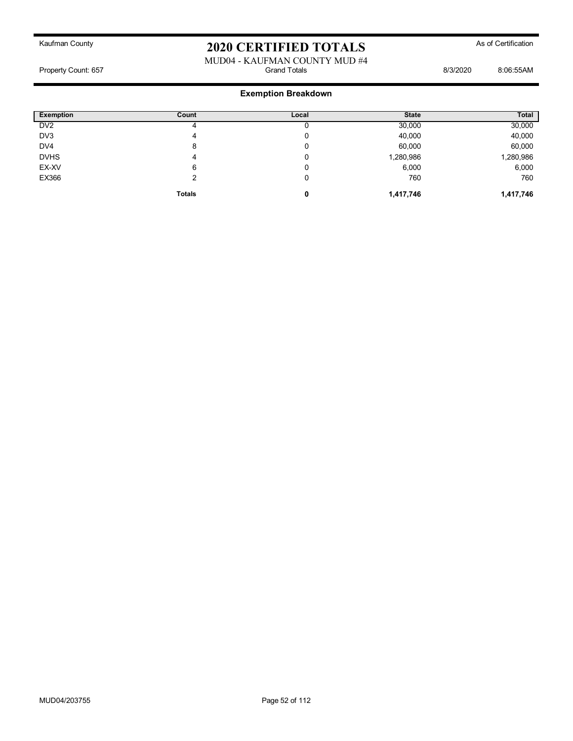#### MUD04 - KAUFMAN COUNTY MUD #4<br>Grand Totals Property Count: 657 6:06:55AM

| <b>Exemption</b> | Count         | Local | <b>State</b> | Total     |
|------------------|---------------|-------|--------------|-----------|
| DV <sub>2</sub>  | 4             |       | 30,000       | 30,000    |
| DV3              | 4             | U     | 40,000       | 40,000    |
| DV <sub>4</sub>  | 8             | U     | 60,000       | 60,000    |
| <b>DVHS</b>      | 4             | U     | 1,280,986    | 1,280,986 |
| EX-XV            | 6             | υ     | 6,000        | 6,000     |
| EX366            |               | U     | 760          | 760       |
|                  | <b>Totals</b> | 0     | 1,417,746    | 1,417,746 |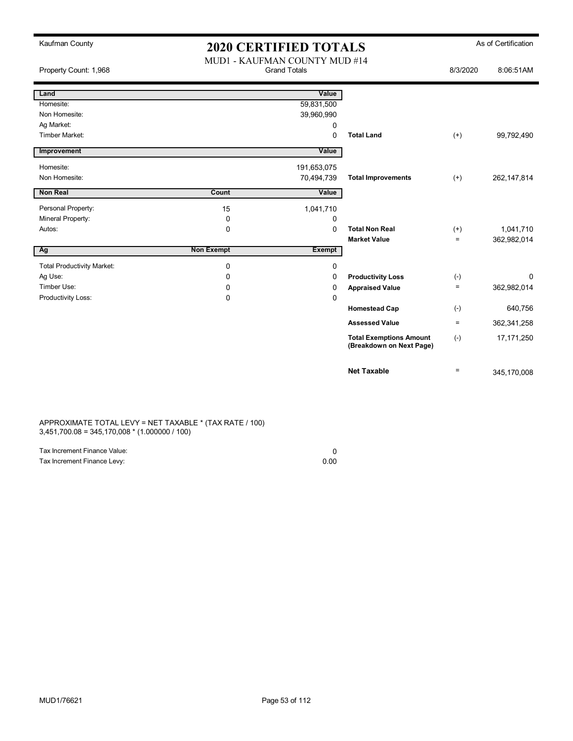| Kaufman County                    | <b>2020 CERTIFIED TOTALS</b> |                                                      |                                                            |                   | As of Certification |
|-----------------------------------|------------------------------|------------------------------------------------------|------------------------------------------------------------|-------------------|---------------------|
| Property Count: 1,968             |                              | MUD1 - KAUFMAN COUNTY MUD #14<br><b>Grand Totals</b> |                                                            |                   | 8:06:51AM           |
| Land                              |                              | Value                                                |                                                            |                   |                     |
| Homesite:                         |                              | 59,831,500                                           |                                                            |                   |                     |
| Non Homesite:                     |                              | 39,960,990                                           |                                                            |                   |                     |
| Ag Market:                        |                              | 0                                                    |                                                            |                   |                     |
| <b>Timber Market:</b>             |                              | $\Omega$                                             | <b>Total Land</b>                                          | $(+)$             | 99,792,490          |
| Improvement                       |                              | Value                                                |                                                            |                   |                     |
| Homesite:                         |                              | 191,653,075                                          |                                                            |                   |                     |
| Non Homesite:                     |                              | 70,494,739                                           | <b>Total Improvements</b>                                  | $(+)$             | 262, 147, 814       |
| <b>Non Real</b>                   | Count                        | Value                                                |                                                            |                   |                     |
| Personal Property:                | 15                           | 1,041,710                                            |                                                            |                   |                     |
| Mineral Property:                 | $\mathbf 0$                  | 0                                                    |                                                            |                   |                     |
| Autos:                            | 0                            | 0                                                    | <b>Total Non Real</b>                                      | $(+)$             | 1,041,710           |
|                                   |                              |                                                      | <b>Market Value</b>                                        | $\equiv$          | 362,982,014         |
| Ag                                | <b>Non Exempt</b>            | <b>Exempt</b>                                        |                                                            |                   |                     |
| <b>Total Productivity Market:</b> | $\mathbf 0$                  | 0                                                    |                                                            |                   |                     |
| Ag Use:                           | 0                            | 0                                                    | <b>Productivity Loss</b>                                   | $(-)$             | 0                   |
| Timber Use:                       | $\Omega$                     | 0                                                    | <b>Appraised Value</b>                                     | $\qquad \qquad =$ | 362,982,014         |
| Productivity Loss:                | $\Omega$                     | 0                                                    |                                                            |                   |                     |
|                                   |                              |                                                      | <b>Homestead Cap</b>                                       | $(-)$             | 640,756             |
|                                   |                              |                                                      | <b>Assessed Value</b>                                      | $\equiv$          | 362,341,258         |
|                                   |                              |                                                      | <b>Total Exemptions Amount</b><br>(Breakdown on Next Page) | $(-)$             | 17,171,250          |
|                                   |                              |                                                      | <b>Net Taxable</b>                                         | $\equiv$          | 345,170,008         |

APPROXIMATE TOTAL LEVY = NET TAXABLE \* (TAX RATE / 100) 3,451,700.08 = 345,170,008 \* (1.000000 / 100)

| Tax Increment Finance Value: |      |
|------------------------------|------|
| Tax Increment Finance Levy:  | 0.00 |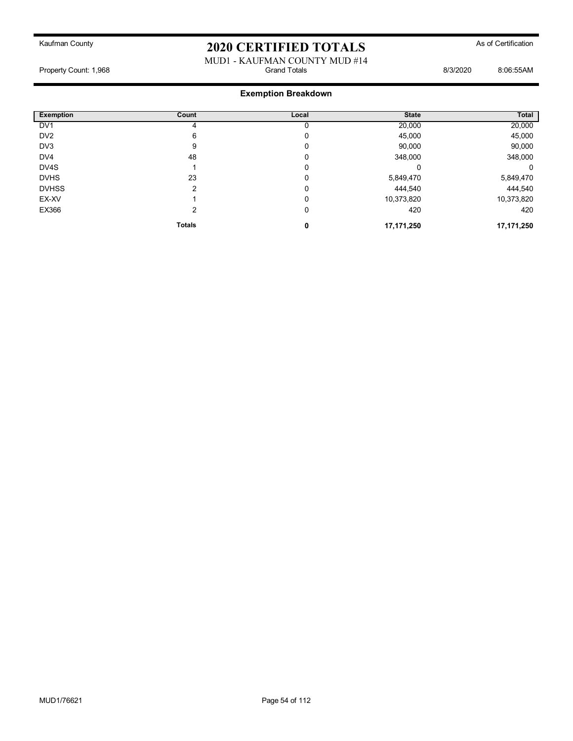#### MUD1 - KAUFMAN COUNTY MUD #14 Property Count: 1,968 Grand Totals 8/3/2020 8:06:55AM

| <b>Exemption</b> | Count         | Local | <b>State</b> | Total      |
|------------------|---------------|-------|--------------|------------|
| DV <sub>1</sub>  |               |       | 20,000       | 20,000     |
| DV <sub>2</sub>  | 6             | 0     | 45,000       | 45,000     |
| DV <sub>3</sub>  | 9             | 0     | 90,000       | 90,000     |
| DV <sub>4</sub>  | 48            | 0     | 348,000      | 348,000    |
| DV4S             |               | 0     |              | 0          |
| <b>DVHS</b>      | 23            | 0     | 5,849,470    | 5,849,470  |
| <b>DVHSS</b>     | າ             | 0     | 444,540      | 444,540    |
| EX-XV            |               | 0     | 10,373,820   | 10,373,820 |
| EX366            | 2             | 0     | 420          | 420        |
|                  | <b>Totals</b> | 0     | 17,171,250   | 17,171,250 |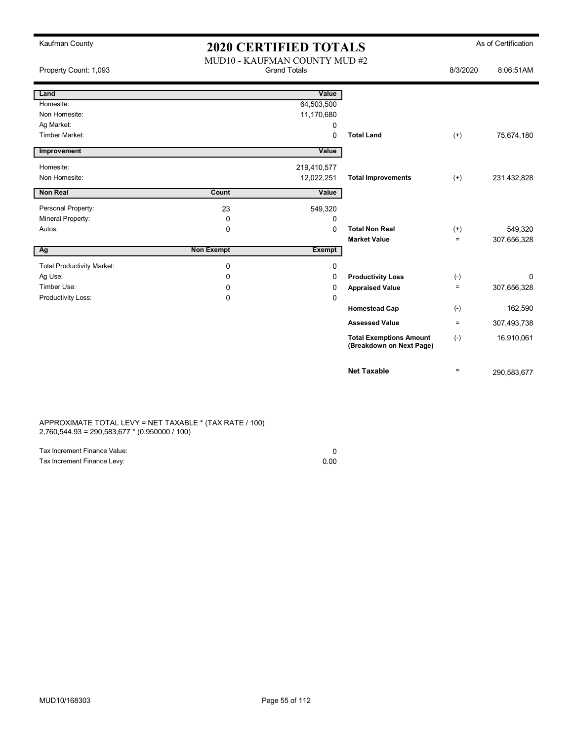| Kaufman County                    | <b>2020 CERTIFIED TOTALS</b>                         |               |                                                            |                   | As of Certification |
|-----------------------------------|------------------------------------------------------|---------------|------------------------------------------------------------|-------------------|---------------------|
| Property Count: 1,093             | MUD10 - KAUFMAN COUNTY MUD #2<br><b>Grand Totals</b> |               |                                                            | 8/3/2020          | 8:06:51AM           |
| Land                              |                                                      | Value         |                                                            |                   |                     |
| Homesite:                         |                                                      | 64,503,500    |                                                            |                   |                     |
| Non Homesite:                     |                                                      | 11,170,680    |                                                            |                   |                     |
| Ag Market:                        |                                                      | 0             |                                                            |                   |                     |
| Timber Market:                    |                                                      | $\mathbf 0$   | <b>Total Land</b>                                          | $(+)$             | 75,674,180          |
| Improvement                       |                                                      | Value         |                                                            |                   |                     |
| Homesite:                         |                                                      | 219,410,577   |                                                            |                   |                     |
| Non Homesite:                     |                                                      | 12,022,251    | <b>Total Improvements</b>                                  | $(+)$             | 231,432,828         |
| Non Real                          | Count                                                | Value         |                                                            |                   |                     |
| Personal Property:                | 23                                                   | 549,320       |                                                            |                   |                     |
| Mineral Property:                 | 0                                                    | 0             |                                                            |                   |                     |
| Autos:                            | 0                                                    | $\mathbf 0$   | <b>Total Non Real</b>                                      | $^{(+)}$          | 549,320             |
|                                   |                                                      |               | <b>Market Value</b>                                        | $\equiv$          | 307,656,328         |
| Ag                                | <b>Non Exempt</b>                                    | <b>Exempt</b> |                                                            |                   |                     |
| <b>Total Productivity Market:</b> | 0                                                    | $\mathbf 0$   |                                                            |                   |                     |
| Ag Use:                           | 0                                                    | $\Omega$      | <b>Productivity Loss</b>                                   | $(-)$             | 0                   |
| Timber Use:                       | 0                                                    | $\Omega$      | <b>Appraised Value</b>                                     | $\qquad \qquad =$ | 307,656,328         |
| Productivity Loss:                | 0                                                    | $\mathbf 0$   |                                                            |                   |                     |
|                                   |                                                      |               | <b>Homestead Cap</b>                                       | $(-)$             | 162,590             |
|                                   |                                                      |               | <b>Assessed Value</b>                                      | $\equiv$          | 307,493,738         |
|                                   |                                                      |               | <b>Total Exemptions Amount</b><br>(Breakdown on Next Page) | $(-)$             | 16,910,061          |
|                                   |                                                      |               | <b>Net Taxable</b>                                         | $\equiv$          | 290,583,677         |

APPROXIMATE TOTAL LEVY = NET TAXABLE \* (TAX RATE / 100) 2,760,544.93 = 290,583,677 \* (0.950000 / 100)

| Tax Increment Finance Value: |      |
|------------------------------|------|
| Tax Increment Finance Levy:  | 0.00 |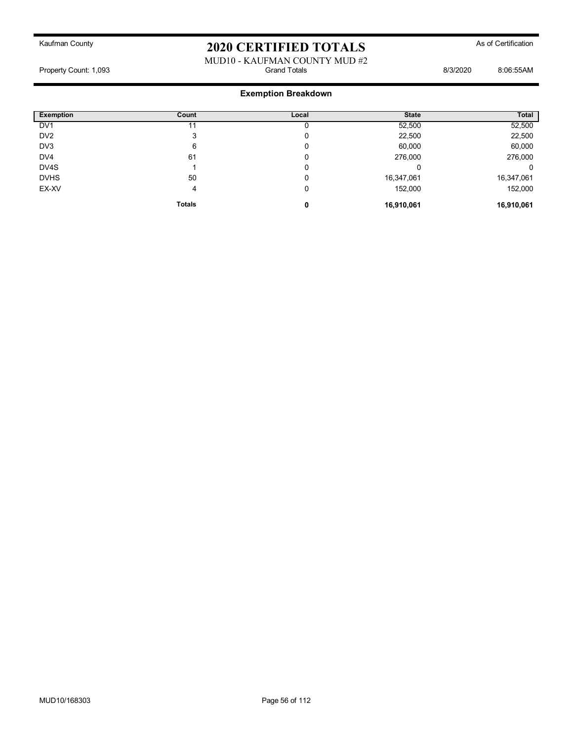#### MUD10 - KAUFMAN COUNTY MUD #2<br>Grand Totals Property Count: 1,093 **Billion** Count: 1,093 **Grand Totals** Grand Totals **8/3/2020** 8:06:55AM

| <b>Exemption</b> | Count         | Local | <b>State</b> | Total      |
|------------------|---------------|-------|--------------|------------|
| DV <sub>1</sub>  |               |       | 52,500       | 52,500     |
| DV <sub>2</sub>  | 3             | 0     | 22,500       | 22,500     |
| DV3              | 6             | 0     | 60,000       | 60,000     |
| DV4              | 61            | 0     | 276,000      | 276,000    |
| DV4S             |               | 0     |              | 0          |
| <b>DVHS</b>      | 50            | C     | 16,347,061   | 16,347,061 |
| EX-XV            | 4             | 0     | 152,000      | 152,000    |
|                  | <b>Totals</b> | 0     | 16,910,061   | 16,910,061 |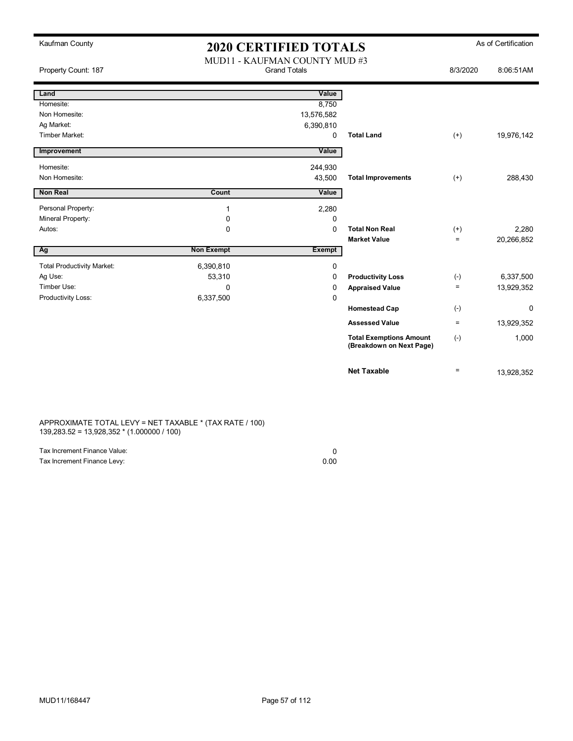| Kaufman County                    | <b>2020 CERTIFIED TOTALS</b>                         |               |                                                            |                   | As of Certification |
|-----------------------------------|------------------------------------------------------|---------------|------------------------------------------------------------|-------------------|---------------------|
| Property Count: 187               | MUD11 - KAUFMAN COUNTY MUD #3<br><b>Grand Totals</b> |               |                                                            | 8/3/2020          | 8:06:51AM           |
| Land                              |                                                      | Value         |                                                            |                   |                     |
| Homesite:                         |                                                      | 8,750         |                                                            |                   |                     |
| Non Homesite:                     |                                                      | 13,576,582    |                                                            |                   |                     |
| Ag Market:                        |                                                      | 6,390,810     |                                                            |                   |                     |
| <b>Timber Market:</b>             |                                                      | 0             | <b>Total Land</b>                                          | $^{(+)}$          | 19,976,142          |
| Improvement                       |                                                      | Value         |                                                            |                   |                     |
| Homesite:                         |                                                      | 244,930       |                                                            |                   |                     |
| Non Homesite:                     |                                                      | 43,500        | <b>Total Improvements</b>                                  | $(+)$             | 288,430             |
| <b>Non Real</b>                   | Count                                                | Value         |                                                            |                   |                     |
| Personal Property:                | $\mathbf{1}$                                         | 2,280         |                                                            |                   |                     |
| Mineral Property:                 | 0                                                    | 0             |                                                            |                   |                     |
| Autos:                            | 0                                                    | 0             | <b>Total Non Real</b>                                      | $^{(+)}$          | 2,280               |
|                                   |                                                      |               | <b>Market Value</b>                                        | $\equiv$          | 20,266,852          |
| Ag                                | <b>Non Exempt</b>                                    | <b>Exempt</b> |                                                            |                   |                     |
| <b>Total Productivity Market:</b> | 6,390,810                                            | 0             |                                                            |                   |                     |
| Ag Use:                           | 53,310                                               | 0             | <b>Productivity Loss</b>                                   | $(\text{-})$      | 6,337,500           |
| Timber Use:                       | 0                                                    | 0             | <b>Appraised Value</b>                                     | $\equiv$          | 13,929,352          |
| Productivity Loss:                | 6,337,500                                            | 0             |                                                            |                   |                     |
|                                   |                                                      |               | <b>Homestead Cap</b>                                       | $(-)$             | 0                   |
|                                   |                                                      |               | <b>Assessed Value</b>                                      | $\qquad \qquad =$ | 13,929,352          |
|                                   |                                                      |               | <b>Total Exemptions Amount</b><br>(Breakdown on Next Page) | $(-)$             | 1,000               |
|                                   |                                                      |               | <b>Net Taxable</b>                                         | $\equiv$          | 13,928,352          |

APPROXIMATE TOTAL LEVY = NET TAXABLE \* (TAX RATE / 100) 139,283.52 = 13,928,352 \* (1.000000 / 100)

| Tax Increment Finance Value: |      |
|------------------------------|------|
| Tax Increment Finance Levy:  | 0.00 |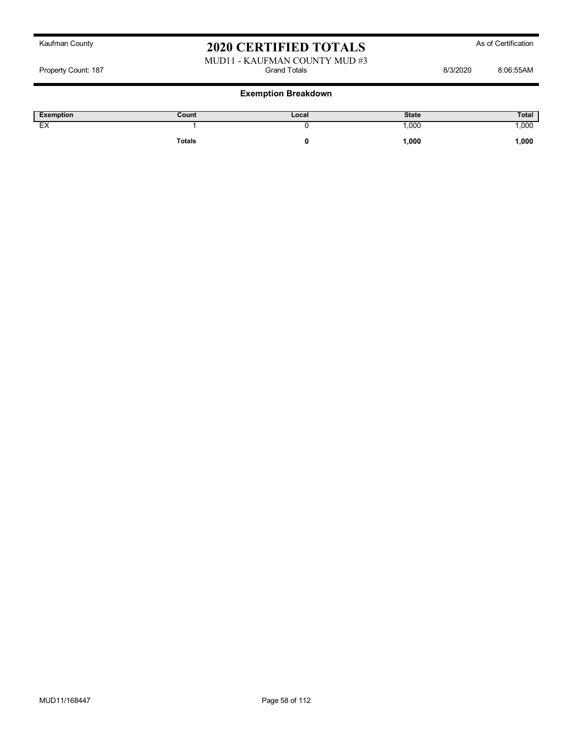#### MUD11 - KAUFMAN COUNTY MUD #3<br>Grand Totals Property Count: 187 and Totals 6/3/2020 8:06:55AM

| <b>Exemption</b>              | Count  | Local | <b>State</b> | Total |
|-------------------------------|--------|-------|--------------|-------|
| $\overline{\phantom{a}}$<br>⊷ |        |       | ,000         | 000.  |
|                               | Totals |       | 1,000        | 1,000 |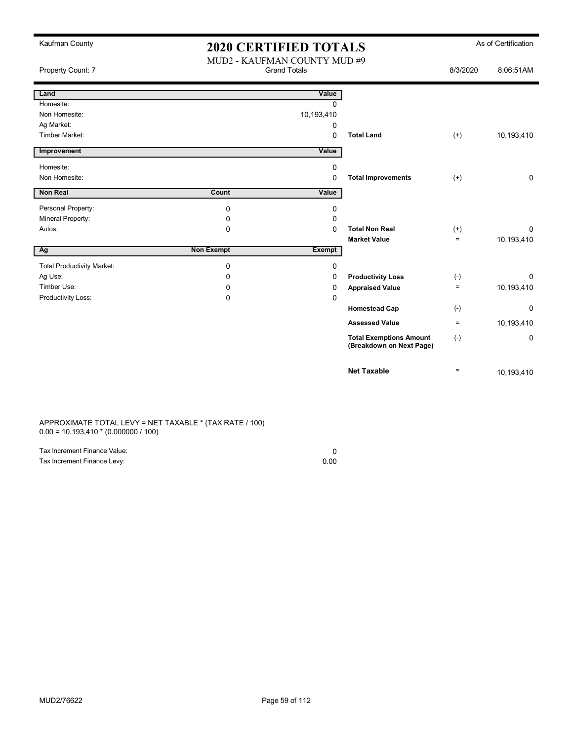| Kaufman County                    |                   | <b>2020 CERTIFIED TOTALS</b>                        |                                                            |                   | As of Certification |
|-----------------------------------|-------------------|-----------------------------------------------------|------------------------------------------------------------|-------------------|---------------------|
| Property Count: 7                 |                   | MUD2 - KAUFMAN COUNTY MUD #9<br><b>Grand Totals</b> |                                                            |                   | 8:06:51AM           |
| Land                              |                   | Value                                               |                                                            |                   |                     |
| Homesite:                         |                   | $\Omega$                                            |                                                            |                   |                     |
| Non Homesite:                     |                   | 10,193,410                                          |                                                            |                   |                     |
| Ag Market:                        |                   | 0                                                   |                                                            |                   |                     |
| Timber Market:                    |                   | $\Omega$                                            | <b>Total Land</b>                                          | $(+)$             | 10,193,410          |
| Improvement                       |                   | Value                                               |                                                            |                   |                     |
| Homesite:                         |                   | 0                                                   |                                                            |                   |                     |
| Non Homesite:                     |                   | 0                                                   | <b>Total Improvements</b>                                  | $^{(+)}$          | 0                   |
| Non Real                          | Count             | Value                                               |                                                            |                   |                     |
| Personal Property:                | $\mathbf 0$       | 0                                                   |                                                            |                   |                     |
| Mineral Property:                 | $\mathbf 0$       | 0                                                   |                                                            |                   |                     |
| Autos:                            | $\Omega$          | $\Omega$                                            | <b>Total Non Real</b>                                      | $^{(+)}$          | 0                   |
|                                   |                   |                                                     | <b>Market Value</b>                                        | $\equiv$          | 10,193,410          |
| Ag                                | <b>Non Exempt</b> | <b>Exempt</b>                                       |                                                            |                   |                     |
| <b>Total Productivity Market:</b> | $\mathbf 0$       | 0                                                   |                                                            |                   |                     |
| Ag Use:                           | 0                 | 0                                                   | <b>Productivity Loss</b>                                   | $(-)$             | 0                   |
| Timber Use:                       | 0                 | 0                                                   | <b>Appraised Value</b>                                     | $\qquad \qquad =$ | 10,193,410          |
| Productivity Loss:                | $\mathbf 0$       | 0                                                   |                                                            |                   |                     |
|                                   |                   |                                                     | <b>Homestead Cap</b>                                       | $(-)$             | 0                   |
|                                   |                   |                                                     | <b>Assessed Value</b>                                      | $\equiv$          | 10,193,410          |
|                                   |                   |                                                     | <b>Total Exemptions Amount</b><br>(Breakdown on Next Page) | $(-)$             | 0                   |
|                                   |                   |                                                     | <b>Net Taxable</b>                                         | $\equiv$          | 10,193,410          |

APPROXIMATE TOTAL LEVY = NET TAXABLE \* (TAX RATE / 100) 0.00 = 10,193,410 \* (0.000000 / 100)

| Tax Increment Finance Value: |      |
|------------------------------|------|
| Tax Increment Finance Levy:  | 0.00 |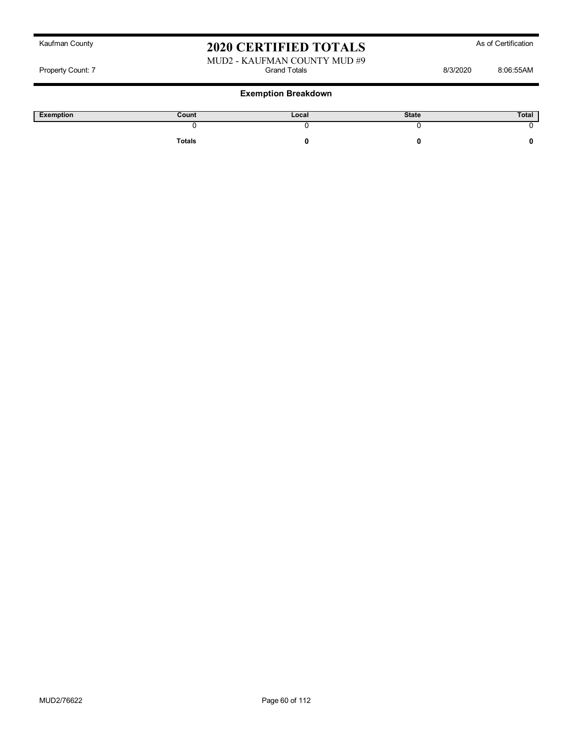Property Count: 7 Grand Totals 8/3/2020 8:06:55AM

#### **Exemption Breakdown**

| Exemption | Count  | Local | <b>State</b> | Total |
|-----------|--------|-------|--------------|-------|
|           |        |       |              |       |
|           | Totals |       |              |       |

MUD2 - KAUFMAN COUNTY MUD #9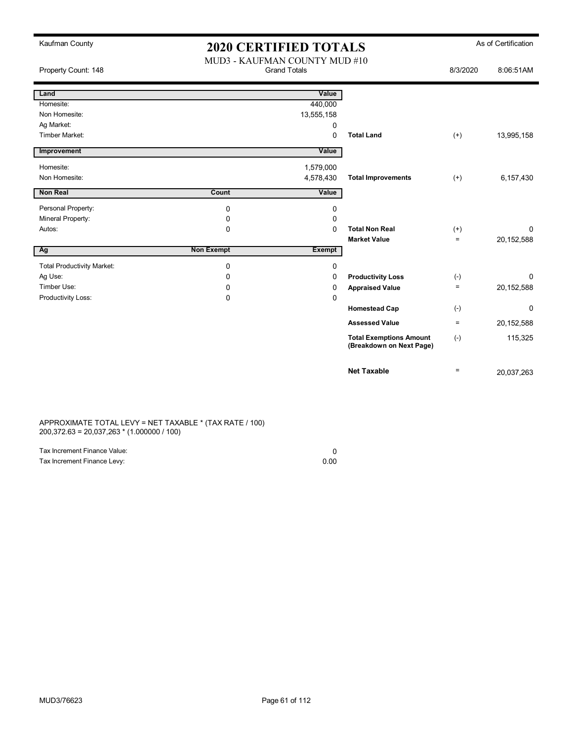| Kaufman County                    | <b>2020 CERTIFIED TOTALS</b> |                                                      |                                                            |          | As of Certification |
|-----------------------------------|------------------------------|------------------------------------------------------|------------------------------------------------------------|----------|---------------------|
| Property Count: 148               |                              | MUD3 - KAUFMAN COUNTY MUD #10<br><b>Grand Totals</b> |                                                            |          | 8:06:51AM           |
| Land                              |                              | Value                                                |                                                            |          |                     |
| Homesite:                         |                              | 440,000                                              |                                                            |          |                     |
| Non Homesite:                     |                              | 13,555,158                                           |                                                            |          |                     |
| Ag Market:                        |                              | 0                                                    |                                                            |          |                     |
| Timber Market:                    |                              | $\Omega$                                             | <b>Total Land</b>                                          | $^{(+)}$ | 13,995,158          |
| Improvement                       |                              | Value                                                |                                                            |          |                     |
| Homesite:                         |                              | 1,579,000                                            |                                                            |          |                     |
| Non Homesite:                     |                              | 4,578,430                                            | <b>Total Improvements</b>                                  | $(+)$    | 6,157,430           |
| <b>Non Real</b>                   | Count                        | Value                                                |                                                            |          |                     |
| Personal Property:                | $\Omega$                     | 0                                                    |                                                            |          |                     |
| Mineral Property:                 | 0                            | 0                                                    |                                                            |          |                     |
| Autos:                            | $\Omega$                     | $\Omega$                                             | <b>Total Non Real</b>                                      | $^{(+)}$ | 0                   |
|                                   |                              |                                                      | <b>Market Value</b>                                        | $=$      | 20, 152, 588        |
| Ag                                | <b>Non Exempt</b>            | Exempt                                               |                                                            |          |                     |
| <b>Total Productivity Market:</b> | 0                            | 0                                                    |                                                            |          |                     |
| Ag Use:                           | 0                            | 0                                                    | <b>Productivity Loss</b>                                   | $(-)$    | 0                   |
| Timber Use:                       | 0                            | 0                                                    | <b>Appraised Value</b>                                     | $=$      | 20,152,588          |
| Productivity Loss:                | 0                            | $\mathbf 0$                                          |                                                            |          |                     |
|                                   |                              |                                                      | <b>Homestead Cap</b>                                       | $(-)$    | 0                   |
|                                   |                              |                                                      | <b>Assessed Value</b>                                      | $\equiv$ | 20, 152, 588        |
|                                   |                              |                                                      | <b>Total Exemptions Amount</b><br>(Breakdown on Next Page) | $(-)$    | 115,325             |
|                                   |                              |                                                      | <b>Net Taxable</b>                                         | $\equiv$ | 20,037,263          |

APPROXIMATE TOTAL LEVY = NET TAXABLE \* (TAX RATE / 100) 200,372.63 = 20,037,263 \* (1.000000 / 100)

| Tax Increment Finance Value: |      |
|------------------------------|------|
| Tax Increment Finance Levy:  | 0.00 |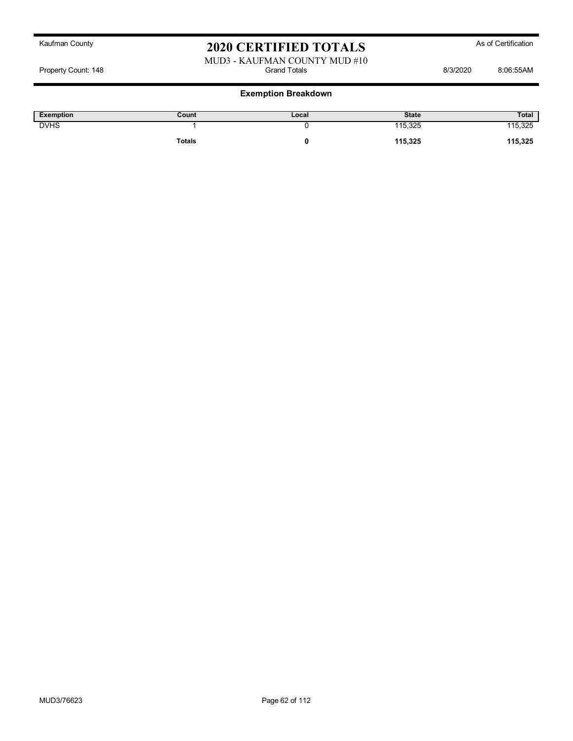#### MUD3 - KAUFMAN COUNTY MUD #10<br>Grand Totals Property Count: 148 **Billion** Botals **Count: 148** Crand Totals **B**illion Botals **8/3/2020** 8:06:55AM

| <b>Exemption</b> | Count         | Local | <b>State</b> | Total   |
|------------------|---------------|-------|--------------|---------|
| <b>DVHS</b>      |               |       | 115,325      | 115,325 |
|                  | <b>Totals</b> |       | 115,325      | 115,325 |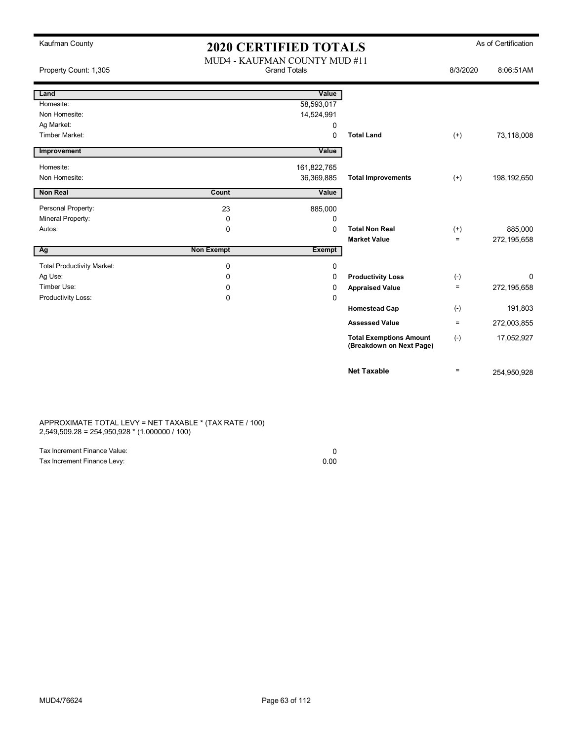| Kaufman County                    | <b>2020 CERTIFIED TOTALS</b>                         |               |                                                            |          | As of Certification |
|-----------------------------------|------------------------------------------------------|---------------|------------------------------------------------------------|----------|---------------------|
| Property Count: 1,305             | MUD4 - KAUFMAN COUNTY MUD #11<br><b>Grand Totals</b> |               |                                                            | 8/3/2020 | 8:06:51AM           |
| Land                              |                                                      | Value         |                                                            |          |                     |
| Homesite:                         |                                                      | 58,593,017    |                                                            |          |                     |
| Non Homesite:                     |                                                      | 14,524,991    |                                                            |          |                     |
| Ag Market:                        |                                                      | 0             |                                                            |          |                     |
| <b>Timber Market:</b>             |                                                      | $\Omega$      | <b>Total Land</b>                                          | $(+)$    | 73,118,008          |
| Improvement                       |                                                      | Value         |                                                            |          |                     |
| Homesite:                         |                                                      | 161,822,765   |                                                            |          |                     |
| Non Homesite:                     |                                                      | 36,369,885    | <b>Total Improvements</b>                                  | $(+)$    | 198,192,650         |
| <b>Non Real</b>                   | Count                                                | Value         |                                                            |          |                     |
| Personal Property:                | 23                                                   | 885,000       |                                                            |          |                     |
| Mineral Property:                 | 0                                                    | 0             |                                                            |          |                     |
| Autos:                            | 0                                                    | 0             | <b>Total Non Real</b>                                      | $^{(+)}$ | 885,000             |
|                                   |                                                      |               | <b>Market Value</b>                                        | $\equiv$ | 272,195,658         |
| Ag                                | <b>Non Exempt</b>                                    | <b>Exempt</b> |                                                            |          |                     |
| <b>Total Productivity Market:</b> | $\mathbf 0$                                          | 0             |                                                            |          |                     |
| Ag Use:                           | $\Omega$                                             | $\Omega$      | <b>Productivity Loss</b>                                   | $(-)$    | $\Omega$            |
| Timber Use:                       | $\Omega$                                             | $\Omega$      | <b>Appraised Value</b>                                     | $\equiv$ | 272,195,658         |
| Productivity Loss:                | $\mathbf 0$                                          | $\mathbf 0$   |                                                            |          |                     |
|                                   |                                                      |               | <b>Homestead Cap</b>                                       | $(-)$    | 191,803             |
|                                   |                                                      |               | <b>Assessed Value</b>                                      | $\equiv$ | 272,003,855         |
|                                   |                                                      |               | <b>Total Exemptions Amount</b><br>(Breakdown on Next Page) | $(-)$    | 17,052,927          |
|                                   |                                                      |               | <b>Net Taxable</b>                                         | $\equiv$ | 254,950,928         |

APPROXIMATE TOTAL LEVY = NET TAXABLE \* (TAX RATE / 100) 2,549,509.28 = 254,950,928 \* (1.000000 / 100)

| Tax Increment Finance Value: |      |
|------------------------------|------|
| Tax Increment Finance Levy:  | 0.00 |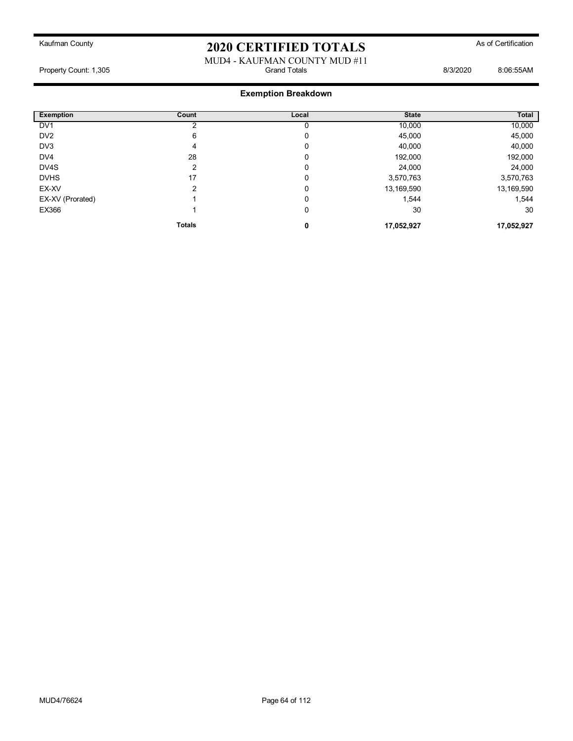#### MUD4 - KAUFMAN COUNTY MUD #11<br>Grand Totals Property Count: 1,305 **Biograph Count: 1,305** Grand Totals **B**iograph Count: 1,305 **8:06:55AM**

| <b>Exemption</b> | Count         | Local | <b>State</b> | Total      |
|------------------|---------------|-------|--------------|------------|
| DV <sub>1</sub>  |               |       | 10,000       | 10,000     |
| DV <sub>2</sub>  | 6             | 0     | 45,000       | 45,000     |
| DV3              | 4             | 0     | 40,000       | 40,000     |
| DV <sub>4</sub>  | 28            | 0     | 192,000      | 192,000    |
| DV4S             | 2             | 0     | 24,000       | 24,000     |
| <b>DVHS</b>      | 17            | 0     | 3,570,763    | 3,570,763  |
| EX-XV            | 2             | 0     | 13,169,590   | 13,169,590 |
| EX-XV (Prorated) |               | 0     | 1,544        | 1,544      |
| EX366            |               | 0     | 30           | 30         |
|                  | <b>Totals</b> | 0     | 17,052,927   | 17,052,927 |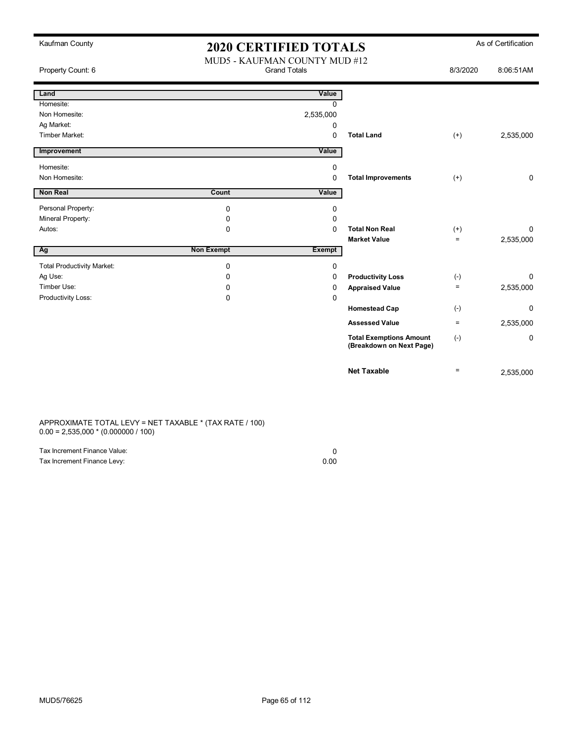| Kaufman County                    | <b>2020 CERTIFIED TOTALS</b> |                                                      |                                                            |                   | As of Certification |
|-----------------------------------|------------------------------|------------------------------------------------------|------------------------------------------------------------|-------------------|---------------------|
| Property Count: 6                 |                              | MUD5 - KAUFMAN COUNTY MUD #12<br><b>Grand Totals</b> |                                                            |                   | 8:06:51AM           |
| Land                              |                              | Value                                                |                                                            |                   |                     |
| Homesite:                         |                              | $\Omega$                                             |                                                            |                   |                     |
| Non Homesite:                     |                              | 2,535,000                                            |                                                            |                   |                     |
| Ag Market:                        |                              | 0                                                    |                                                            |                   |                     |
| Timber Market:                    |                              | $\Omega$                                             | <b>Total Land</b>                                          | $(+)$             | 2,535,000           |
| Improvement                       |                              | Value                                                |                                                            |                   |                     |
| Homesite:                         |                              | $\mathbf 0$                                          |                                                            |                   |                     |
| Non Homesite:                     |                              | $\mathbf 0$                                          | <b>Total Improvements</b>                                  | $(+)$             | 0                   |
| Non Real                          | Count                        | Value                                                |                                                            |                   |                     |
| Personal Property:                | 0                            | 0                                                    |                                                            |                   |                     |
| Mineral Property:                 | 0                            | 0                                                    |                                                            |                   |                     |
| Autos:                            | 0                            | $\Omega$                                             | <b>Total Non Real</b>                                      | $^{(+)}$          | 0                   |
|                                   |                              |                                                      | <b>Market Value</b>                                        | $=$               | 2,535,000           |
| Ag                                | <b>Non Exempt</b>            | <b>Exempt</b>                                        |                                                            |                   |                     |
| <b>Total Productivity Market:</b> | 0                            | 0                                                    |                                                            |                   |                     |
| Ag Use:                           | 0                            | $\mathbf 0$                                          | <b>Productivity Loss</b>                                   | $(-)$             | 0                   |
| Timber Use:                       | 0                            | 0                                                    | <b>Appraised Value</b>                                     | $\qquad \qquad =$ | 2,535,000           |
| Productivity Loss:                | 0                            | 0                                                    |                                                            |                   |                     |
|                                   |                              |                                                      | <b>Homestead Cap</b>                                       | $(-)$             | 0                   |
|                                   |                              |                                                      | <b>Assessed Value</b>                                      | $\equiv$          | 2,535,000           |
|                                   |                              |                                                      | <b>Total Exemptions Amount</b><br>(Breakdown on Next Page) | $(-)$             | 0                   |
|                                   |                              |                                                      | <b>Net Taxable</b>                                         | $\equiv$          | 2,535,000           |

APPROXIMATE TOTAL LEVY = NET TAXABLE \* (TAX RATE / 100) 0.00 = 2,535,000 \* (0.000000 / 100)

| Tax Increment Finance Value: |      |
|------------------------------|------|
| Tax Increment Finance Levy:  | 0.00 |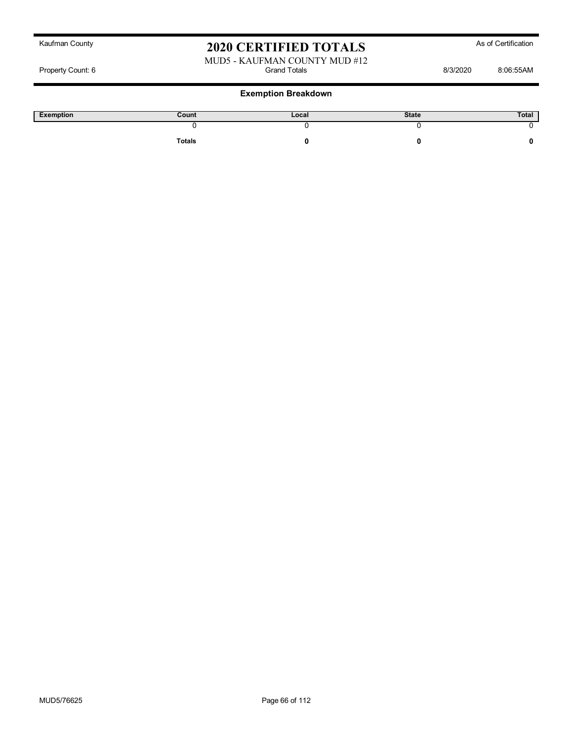#### MUD5 - KAUFMAN COUNTY MUD #12 Property Count: 6 Grand Totals 8/3/2020 8:06:55AM

| Exemption | Count  | Local | <b>State</b> | Total |
|-----------|--------|-------|--------------|-------|
|           |        |       |              |       |
|           | Totals |       |              |       |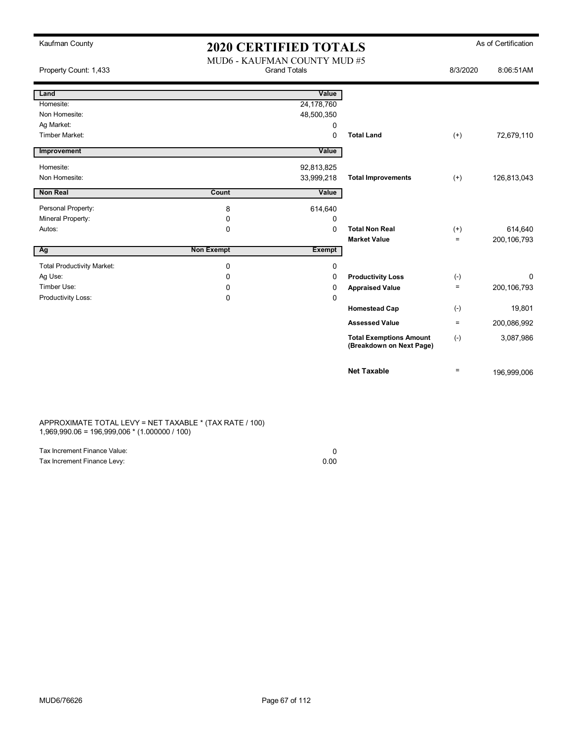| Kaufman County                    |                   | <b>2020 CERTIFIED TOTALS</b>                        |                                                            |          | As of Certification |
|-----------------------------------|-------------------|-----------------------------------------------------|------------------------------------------------------------|----------|---------------------|
| Property Count: 1,433             |                   | MUD6 - KAUFMAN COUNTY MUD #5<br><b>Grand Totals</b> |                                                            |          | 8:06:51AM           |
|                                   |                   |                                                     |                                                            | 8/3/2020 |                     |
| Land                              |                   | Value                                               |                                                            |          |                     |
| Homesite:                         |                   | 24,178,760                                          |                                                            |          |                     |
| Non Homesite:                     |                   | 48,500,350                                          |                                                            |          |                     |
| Ag Market:                        |                   | 0                                                   |                                                            |          |                     |
| Timber Market:                    |                   | $\Omega$                                            | <b>Total Land</b>                                          | $(+)$    | 72,679,110          |
| Improvement                       |                   | Value                                               |                                                            |          |                     |
| Homesite:                         |                   | 92,813,825                                          |                                                            |          |                     |
| Non Homesite:                     |                   | 33,999,218                                          | <b>Total Improvements</b>                                  | $(+)$    | 126,813,043         |
| <b>Non Real</b>                   | Count             | Value                                               |                                                            |          |                     |
| Personal Property:                | 8                 | 614,640                                             |                                                            |          |                     |
| Mineral Property:                 | 0                 | 0                                                   |                                                            |          |                     |
| Autos:                            | $\mathbf{0}$      | $\Omega$                                            | <b>Total Non Real</b>                                      | $(+)$    | 614,640             |
|                                   |                   |                                                     | <b>Market Value</b>                                        | $=$      | 200, 106, 793       |
| Ag                                | <b>Non Exempt</b> | <b>Exempt</b>                                       |                                                            |          |                     |
| <b>Total Productivity Market:</b> | 0                 | 0                                                   |                                                            |          |                     |
| Ag Use:                           | 0                 | 0                                                   | <b>Productivity Loss</b>                                   | $(-)$    | 0                   |
| Timber Use:                       | 0                 | 0                                                   | <b>Appraised Value</b>                                     | $=$      | 200, 106, 793       |
| Productivity Loss:                | 0                 | 0                                                   |                                                            |          |                     |
|                                   |                   |                                                     | <b>Homestead Cap</b>                                       | $(-)$    | 19,801              |
|                                   |                   |                                                     | <b>Assessed Value</b>                                      | $\equiv$ | 200,086,992         |
|                                   |                   |                                                     | <b>Total Exemptions Amount</b><br>(Breakdown on Next Page) | $(-)$    | 3,087,986           |
|                                   |                   |                                                     | <b>Net Taxable</b>                                         | $\equiv$ | 196,999,006         |

APPROXIMATE TOTAL LEVY = NET TAXABLE \* (TAX RATE / 100) 1,969,990.06 = 196,999,006 \* (1.000000 / 100)

| Tax Increment Finance Value: |      |
|------------------------------|------|
| Tax Increment Finance Levy:  | 0.00 |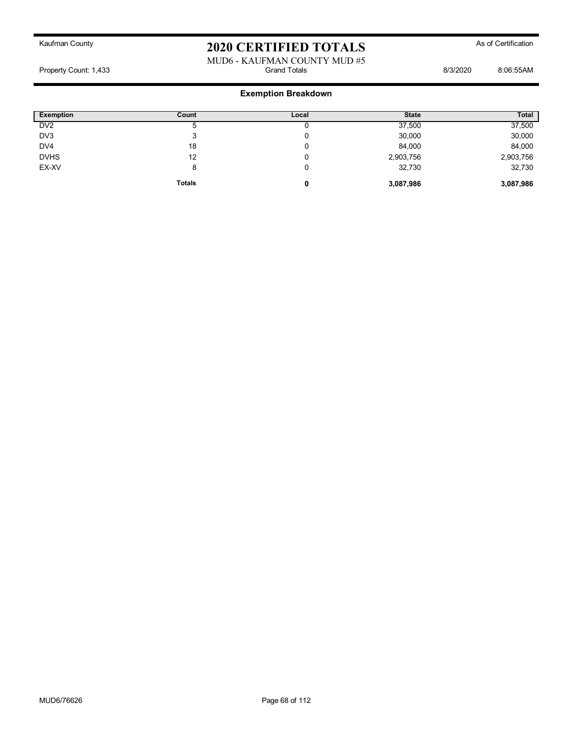#### MUD6 - KAUFMAN COUNTY MUD #5<br>Grand Totals Property Count: 1,433 **Billion** Grand Totals **Counting the Counting State of Counting State 3/3/2020** 8:06:55AM

| <b>Exemption</b> | Count         | Local | <b>State</b> | Total     |
|------------------|---------------|-------|--------------|-----------|
| DV2              | G             |       | 37,500       | 37,500    |
| DV3              | 3             | U     | 30,000       | 30,000    |
| DV <sub>4</sub>  | 18            | U     | 84,000       | 84,000    |
| <b>DVHS</b>      | 12            | U     | 2,903,756    | 2,903,756 |
| EX-XV            | 8             | U     | 32,730       | 32,730    |
|                  | <b>Totals</b> | 0     | 3,087,986    | 3,087,986 |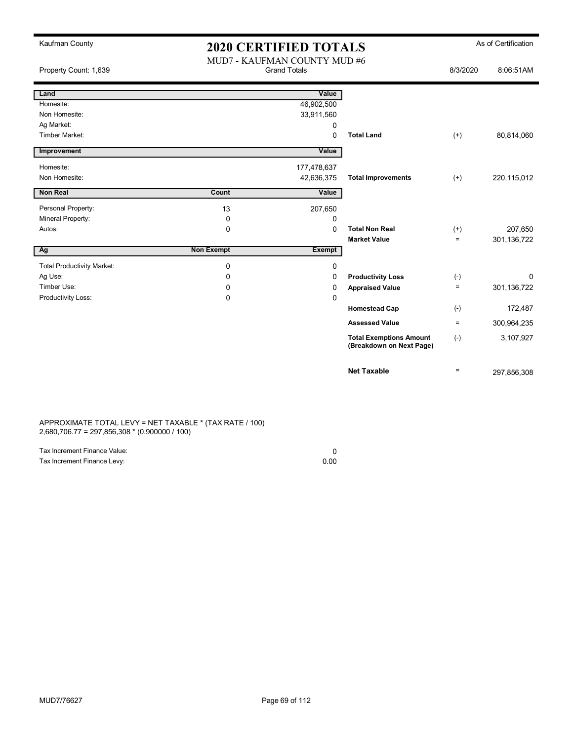| Kaufman County                    | <b>2020 CERTIFIED TOTALS</b> |                                                     |                                                            | As of Certification |             |
|-----------------------------------|------------------------------|-----------------------------------------------------|------------------------------------------------------------|---------------------|-------------|
| Property Count: 1,639             |                              | MUD7 - KAUFMAN COUNTY MUD #6<br><b>Grand Totals</b> |                                                            | 8/3/2020            | 8:06:51AM   |
| Land                              |                              | Value                                               |                                                            |                     |             |
| Homesite:                         |                              | 46,902,500                                          |                                                            |                     |             |
| Non Homesite:                     |                              | 33,911,560                                          |                                                            |                     |             |
| Ag Market:                        |                              | 0                                                   |                                                            |                     |             |
| Timber Market:                    |                              | 0                                                   | <b>Total Land</b>                                          | $(+)$               | 80,814,060  |
| Improvement                       |                              | Value                                               |                                                            |                     |             |
| Homesite:                         |                              | 177,478,637                                         |                                                            |                     |             |
| Non Homesite:                     |                              | 42,636,375                                          | <b>Total Improvements</b>                                  | $(+)$               | 220,115,012 |
| <b>Non Real</b>                   | Count                        | Value                                               |                                                            |                     |             |
| Personal Property:                | 13                           | 207,650                                             |                                                            |                     |             |
| Mineral Property:                 | 0                            | 0                                                   |                                                            |                     |             |
| Autos:                            | 0                            | $\Omega$                                            | <b>Total Non Real</b>                                      | $^{(+)}$            | 207,650     |
|                                   |                              |                                                     | <b>Market Value</b>                                        | $=$                 | 301,136,722 |
| Ag                                | <b>Non Exempt</b>            | <b>Exempt</b>                                       |                                                            |                     |             |
| <b>Total Productivity Market:</b> | $\mathbf 0$                  | 0                                                   |                                                            |                     |             |
| Ag Use:                           | 0                            | 0                                                   | <b>Productivity Loss</b>                                   | $(-)$               | 0           |
| Timber Use:                       | 0                            | 0                                                   | <b>Appraised Value</b>                                     | $\equiv$            | 301,136,722 |
| Productivity Loss:                | 0                            | 0                                                   |                                                            |                     |             |
|                                   |                              |                                                     | <b>Homestead Cap</b>                                       | $(-)$               | 172,487     |
|                                   |                              |                                                     | <b>Assessed Value</b>                                      | $\equiv$            | 300,964,235 |
|                                   |                              |                                                     | <b>Total Exemptions Amount</b><br>(Breakdown on Next Page) | $(-)$               | 3,107,927   |
|                                   |                              |                                                     | <b>Net Taxable</b>                                         | $\equiv$            | 297,856,308 |

APPROXIMATE TOTAL LEVY = NET TAXABLE \* (TAX RATE / 100) 2,680,706.77 = 297,856,308 \* (0.900000 / 100)

| Tax Increment Finance Value: |      |
|------------------------------|------|
| Tax Increment Finance Levy:  | 0.00 |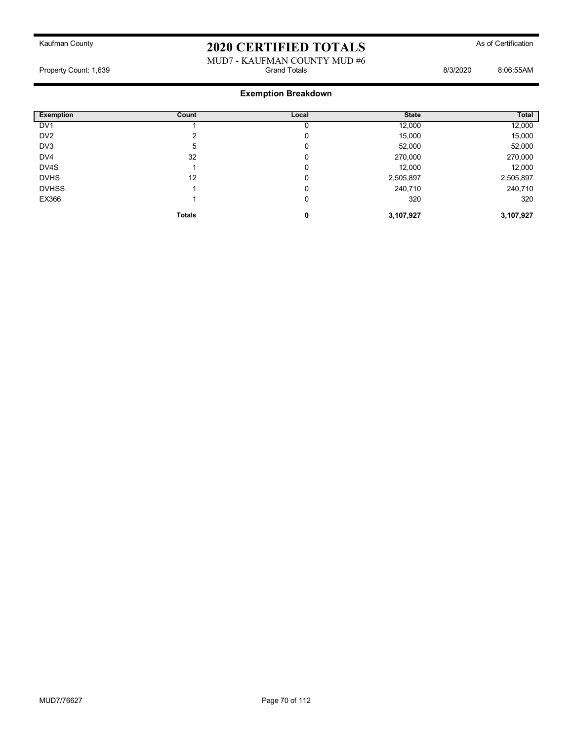#### MUD7 - KAUFMAN COUNTY MUD #6<br>Grand Totals Property Count: 1,639 **Billion** Botals **Count: 1,639 Billion** Botals **B**illion Botals **B**illion Botals **B**illion Botals **Billion** Botals **Billion** Botals **Billion** Botals **Billion** Botals **Billion** Botals **Billion** Botal

| <b>Exemption</b><br>L | Count         | Local | <b>State</b> | Total     |
|-----------------------|---------------|-------|--------------|-----------|
| DV <sub>1</sub>       |               | U     | 12,000       | 12,000    |
| DV <sub>2</sub>       |               | 0     | 15,000       | 15,000    |
| DV3                   | 5             | 0     | 52,000       | 52,000    |
| DV4                   | 32            | 0     | 270,000      | 270,000   |
| DV4S                  |               | 0     | 12,000       | 12,000    |
| <b>DVHS</b>           | 12            | 0     | 2,505,897    | 2,505,897 |
| <b>DVHSS</b>          |               | 0     | 240,710      | 240,710   |
| EX366                 |               | 0     | 320          | 320       |
|                       | <b>Totals</b> | 0     | 3,107,927    | 3,107,927 |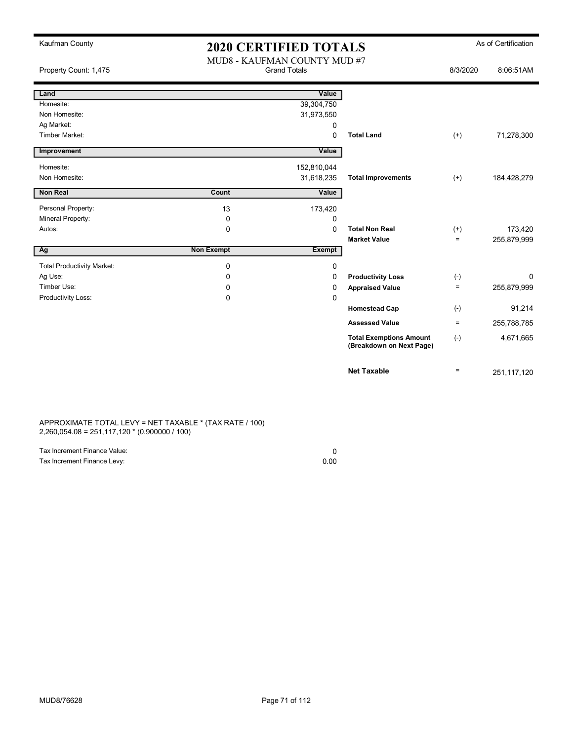| Kaufman County                    | <b>2020 CERTIFIED TOTALS</b> |                                                     |                                                            | As of Certification |             |
|-----------------------------------|------------------------------|-----------------------------------------------------|------------------------------------------------------------|---------------------|-------------|
| Property Count: 1,475             |                              | MUD8 - KAUFMAN COUNTY MUD #7<br><b>Grand Totals</b> |                                                            | 8/3/2020            | 8:06:51AM   |
| Land                              |                              | Value                                               |                                                            |                     |             |
| Homesite:                         |                              | 39,304,750                                          |                                                            |                     |             |
| Non Homesite:                     |                              | 31,973,550                                          |                                                            |                     |             |
| Ag Market:                        |                              | 0                                                   |                                                            |                     |             |
| Timber Market:                    |                              | 0                                                   | <b>Total Land</b>                                          | $(+)$               | 71,278,300  |
| Improvement                       |                              | Value                                               |                                                            |                     |             |
| Homesite:                         |                              | 152,810,044                                         |                                                            |                     |             |
| Non Homesite:                     |                              | 31,618,235                                          | <b>Total Improvements</b>                                  | $(+)$               | 184,428,279 |
| <b>Non Real</b>                   | Count                        | Value                                               |                                                            |                     |             |
| Personal Property:                | 13                           | 173,420                                             |                                                            |                     |             |
| Mineral Property:                 | 0                            | 0                                                   |                                                            |                     |             |
| Autos:                            | $\mathbf 0$                  | $\Omega$                                            | <b>Total Non Real</b>                                      | $^{(+)}$            | 173,420     |
|                                   |                              |                                                     | <b>Market Value</b>                                        | $\equiv$            | 255,879,999 |
| Ag                                | <b>Non Exempt</b>            | <b>Exempt</b>                                       |                                                            |                     |             |
| <b>Total Productivity Market:</b> | 0                            | 0                                                   |                                                            |                     |             |
| Ag Use:                           | 0                            | 0                                                   | <b>Productivity Loss</b>                                   | $(-)$               | 0           |
| Timber Use:                       | $\Omega$                     | 0                                                   | <b>Appraised Value</b>                                     | $=$                 | 255,879,999 |
| Productivity Loss:                | 0                            | 0                                                   |                                                            |                     |             |
|                                   |                              |                                                     | <b>Homestead Cap</b>                                       | $(-)$               | 91,214      |
|                                   |                              |                                                     | <b>Assessed Value</b>                                      | $\equiv$            | 255,788,785 |
|                                   |                              |                                                     | <b>Total Exemptions Amount</b><br>(Breakdown on Next Page) | $(-)$               | 4,671,665   |
|                                   |                              |                                                     | <b>Net Taxable</b>                                         | $\equiv$            | 251,117,120 |

APPROXIMATE TOTAL LEVY = NET TAXABLE \* (TAX RATE / 100) 2,260,054.08 = 251,117,120 \* (0.900000 / 100)

| Tax Increment Finance Value: |      |
|------------------------------|------|
| Tax Increment Finance Levy:  | 0.00 |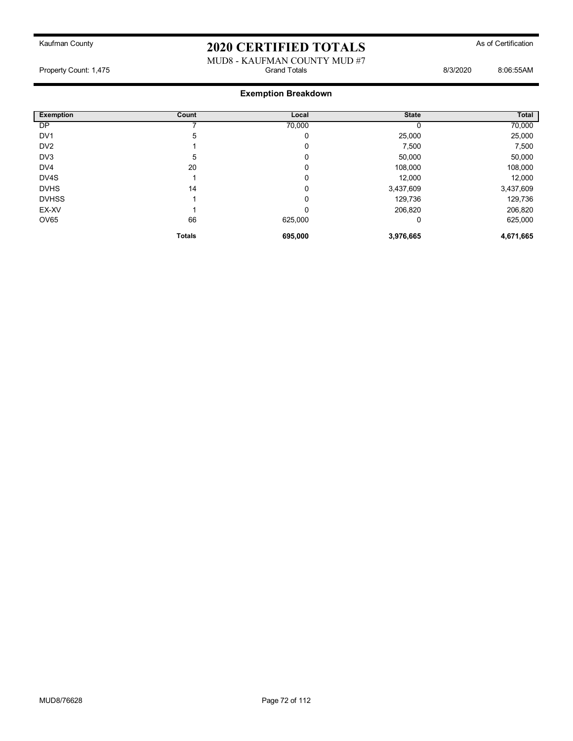### MUD8 - KAUFMAN COUNTY MUD #7<br>Grand Totals Property Count: 1,475 **Biograph Controlled Acts** Grand Totals **B**iograph Count: 1,475 **8:06:55AM**

| <b>Exemption</b> | Count         | Local   | <b>State</b> | Total     |
|------------------|---------------|---------|--------------|-----------|
| DP               |               | 70,000  |              | 70,000    |
| DV <sub>1</sub>  | 5             | 0       | 25,000       | 25,000    |
| DV <sub>2</sub>  |               | 0       | 7,500        | 7,500     |
| DV3              | 5             | 0       | 50,000       | 50,000    |
| DV4              | 20            | 0       | 108,000      | 108,000   |
| DV4S             |               | 0       | 12,000       | 12,000    |
| <b>DVHS</b>      | 14            | 0       | 3,437,609    | 3,437,609 |
| <b>DVHSS</b>     |               | 0       | 129,736      | 129,736   |
| EX-XV            |               | 0       | 206,820      | 206,820   |
| OV65             | 66            | 625,000 | 0            | 625,000   |
|                  | <b>Totals</b> | 695,000 | 3,976,665    | 4,671,665 |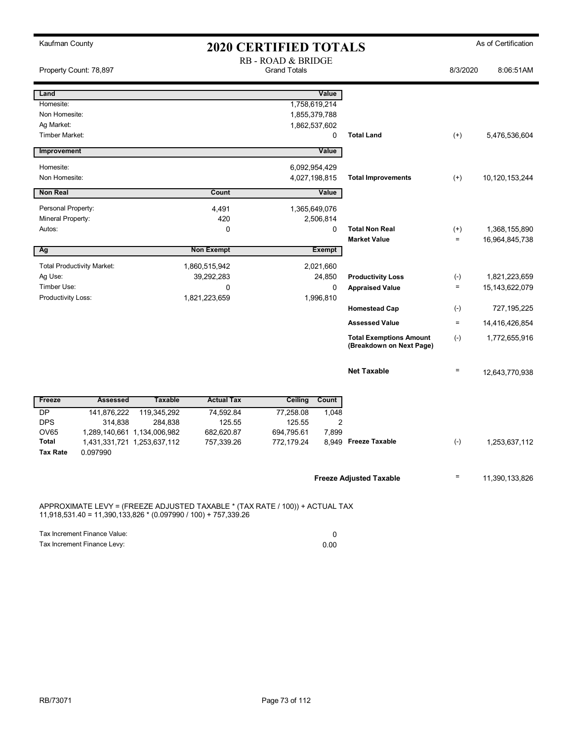| Kaufman County                                                                                                                                   |                                                            |                          | <b>2020 CERTIFIED TOTALS</b>              |             |                                                            |          | As of Certification |
|--------------------------------------------------------------------------------------------------------------------------------------------------|------------------------------------------------------------|--------------------------|-------------------------------------------|-------------|------------------------------------------------------------|----------|---------------------|
| Property Count: 78,897                                                                                                                           |                                                            |                          | RB - ROAD & BRIDGE<br><b>Grand Totals</b> |             |                                                            | 8/3/2020 | 8:06:51AM           |
| Land                                                                                                                                             |                                                            |                          |                                           | Value       |                                                            |          |                     |
| Homesite:                                                                                                                                        |                                                            |                          | 1,758,619,214                             |             |                                                            |          |                     |
| Non Homesite:                                                                                                                                    |                                                            |                          | 1,855,379,788                             |             |                                                            |          |                     |
| Ag Market:<br>Timber Market:                                                                                                                     |                                                            |                          | 1,862,537,602                             | $\mathbf 0$ | <b>Total Land</b>                                          | $^{(+)}$ | 5,476,536,604       |
|                                                                                                                                                  |                                                            |                          |                                           |             |                                                            |          |                     |
| Improvement                                                                                                                                      |                                                            |                          |                                           | Value       |                                                            |          |                     |
| Homesite:                                                                                                                                        |                                                            |                          | 6,092,954,429                             |             |                                                            |          |                     |
| Non Homesite:                                                                                                                                    |                                                            |                          | 4,027,198,815                             |             | <b>Total Improvements</b>                                  | $^{(+)}$ | 10,120,153,244      |
| <b>Non Real</b>                                                                                                                                  |                                                            | Count                    |                                           | Value       |                                                            |          |                     |
| Personal Property:                                                                                                                               |                                                            | 4,491                    | 1,365,649,076                             |             |                                                            |          |                     |
| Mineral Property:                                                                                                                                |                                                            | 420                      |                                           | 2,506,814   |                                                            |          |                     |
| Autos:                                                                                                                                           |                                                            | 0                        |                                           | 0           | <b>Total Non Real</b>                                      | $^{(+)}$ | 1,368,155,890       |
|                                                                                                                                                  |                                                            |                          |                                           |             | <b>Market Value</b>                                        | $\equiv$ | 16,964,845,738      |
| Ag                                                                                                                                               |                                                            | <b>Non Exempt</b>        |                                           | Exempt      |                                                            |          |                     |
| <b>Total Productivity Market:</b>                                                                                                                |                                                            | 1,860,515,942            |                                           | 2,021,660   |                                                            |          |                     |
| Ag Use:                                                                                                                                          |                                                            | 39,292,283               |                                           | 24,850      | <b>Productivity Loss</b>                                   | $(-)$    | 1,821,223,659       |
| Timber Use:                                                                                                                                      |                                                            | 0                        |                                           | 0           | <b>Appraised Value</b>                                     | $\equiv$ | 15,143,622,079      |
| Productivity Loss:                                                                                                                               |                                                            | 1,821,223,659            |                                           | 1,996,810   |                                                            | $(-)$    | 727, 195, 225       |
|                                                                                                                                                  |                                                            |                          |                                           |             | <b>Homestead Cap</b>                                       |          |                     |
|                                                                                                                                                  |                                                            |                          |                                           |             | <b>Assessed Value</b>                                      | $\equiv$ | 14,416,426,854      |
|                                                                                                                                                  |                                                            |                          |                                           |             | <b>Total Exemptions Amount</b><br>(Breakdown on Next Page) | $(-)$    | 1,772,655,916       |
|                                                                                                                                                  |                                                            |                          |                                           |             | <b>Net Taxable</b>                                         | $\equiv$ | 12,643,770,938      |
| Freeze<br><b>Assessed</b>                                                                                                                        | <b>Taxable</b>                                             | <b>Actual Tax</b>        | <b>Ceiling</b>                            | Count       |                                                            |          |                     |
| <b>DP</b><br>141,876,222                                                                                                                         | 119,345,292                                                | 74,592.84                | 77,258.08                                 | 1,048       |                                                            |          |                     |
| <b>DPS</b><br>314,838                                                                                                                            | 284,838                                                    | 125.55                   | 125.55                                    | 2           |                                                            |          |                     |
| OV65<br>Total                                                                                                                                    | 1,289,140,661 1,134,006,982<br>1,431,331,721 1,253,637,112 | 682,620.87<br>757,339.26 | 694,795.61<br>772,179.24                  | 7,899       | 8,949 Freeze Taxable                                       | $(-)$    | 1,253,637,112       |
| <b>Tax Rate</b><br>0.097990                                                                                                                      |                                                            |                          |                                           |             |                                                            |          |                     |
|                                                                                                                                                  |                                                            |                          |                                           |             | <b>Freeze Adjusted Taxable</b>                             | Ξ        | 11,390,133,826      |
| APPROXIMATE LEVY = (FREEZE ADJUSTED TAXABLE * (TAX RATE / 100)) + ACTUAL TAX<br>$11,918,531.40 = 11,390,133,826 * (0.097990 / 100) + 757,339.26$ |                                                            |                          |                                           |             |                                                            |          |                     |
| Tax Increment Finance Value:                                                                                                                     |                                                            |                          |                                           | 0           |                                                            |          |                     |

Tax Increment Finance Levy: 0.00

RB/73071 Page 73 of 112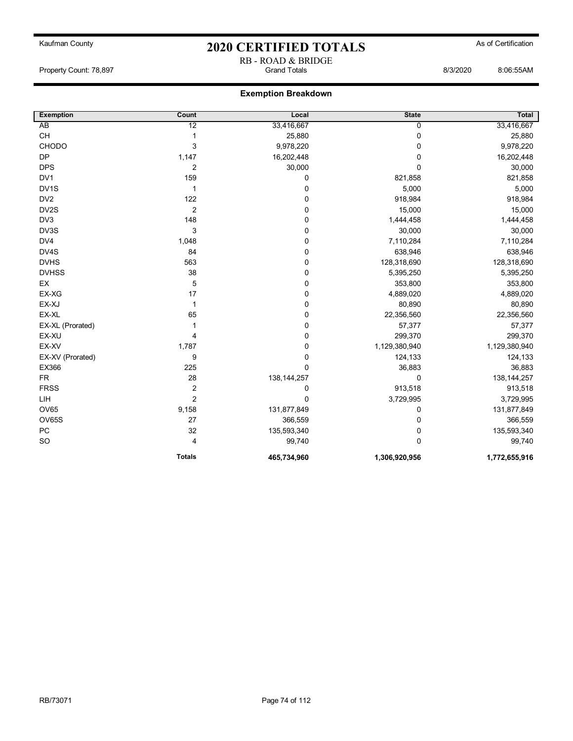## Kaufman County **As of Certification 2020 CERTIFIED TOTALS** As of Certification RB - ROAD & BRIDGE

Property Count: 78,897 Grand Totals 8/3/2020 8:06:55AM

| <b>Exemption</b>  | Count          | Local         | <b>State</b>  | <b>Total</b>  |
|-------------------|----------------|---------------|---------------|---------------|
| AB                | 12             | 33,416,667    | 0             | 33,416,667    |
| CH                | 1              | 25,880        | $\mathbf 0$   | 25,880        |
| CHODO             | 3              | 9,978,220     | 0             | 9,978,220     |
| DP                | 1,147          | 16,202,448    | 0             | 16,202,448    |
| <b>DPS</b>        | 2              | 30,000        | $\mathbf 0$   | 30,000        |
| DV1               | 159            | $\pmb{0}$     | 821,858       | 821,858       |
| DV <sub>1</sub> S | $\mathbf{1}$   | $\mathbf 0$   | 5,000         | 5,000         |
| DV <sub>2</sub>   | 122            | $\mathbf 0$   | 918,984       | 918,984       |
| DV2S              | $\overline{2}$ | $\mathbf 0$   | 15,000        | 15,000        |
| DV3               | 148            | $\pmb{0}$     | 1,444,458     | 1,444,458     |
| DV3S              | 3              | $\pmb{0}$     | 30,000        | 30,000        |
| DV4               | 1,048          | $\pmb{0}$     | 7,110,284     | 7,110,284     |
| DV4S              | 84             | $\pmb{0}$     | 638,946       | 638,946       |
| <b>DVHS</b>       | 563            | $\pmb{0}$     | 128,318,690   | 128,318,690   |
| <b>DVHSS</b>      | 38             | $\pmb{0}$     | 5,395,250     | 5,395,250     |
| EX                | 5              | $\pmb{0}$     | 353,800       | 353,800       |
| EX-XG             | 17             | $\pmb{0}$     | 4,889,020     | 4,889,020     |
| EX-XJ             | $\mathbf{1}$   | $\pmb{0}$     | 80,890        | 80,890        |
| EX-XL             | 65             | $\pmb{0}$     | 22,356,560    | 22,356,560    |
| EX-XL (Prorated)  | 1              | $\pmb{0}$     | 57,377        | 57,377        |
| EX-XU             | 4              | $\mathbf 0$   | 299,370       | 299,370       |
| EX-XV             | 1,787          | $\pmb{0}$     | 1,129,380,940 | 1,129,380,940 |
| EX-XV (Prorated)  | 9              | $\pmb{0}$     | 124,133       | 124,133       |
| EX366             | 225            | $\mathbf 0$   | 36,883        | 36,883        |
| <b>FR</b>         | 28             | 138, 144, 257 | 0             | 138, 144, 257 |
| <b>FRSS</b>       | $\overline{2}$ | $\mathbf 0$   | 913,518       | 913,518       |
| LIH               | $\overline{2}$ | $\mathbf 0$   | 3,729,995     | 3,729,995     |
| <b>OV65</b>       | 9,158          | 131,877,849   | 0             | 131,877,849   |
| OV65S             | 27             | 366,559       | 0             | 366,559       |
| ${\sf PC}$        | 32             | 135,593,340   | 0             | 135,593,340   |
| <b>SO</b>         | 4              | 99,740        | $\Omega$      | 99,740        |
|                   | <b>Totals</b>  | 465,734,960   | 1,306,920,956 | 1,772,655,916 |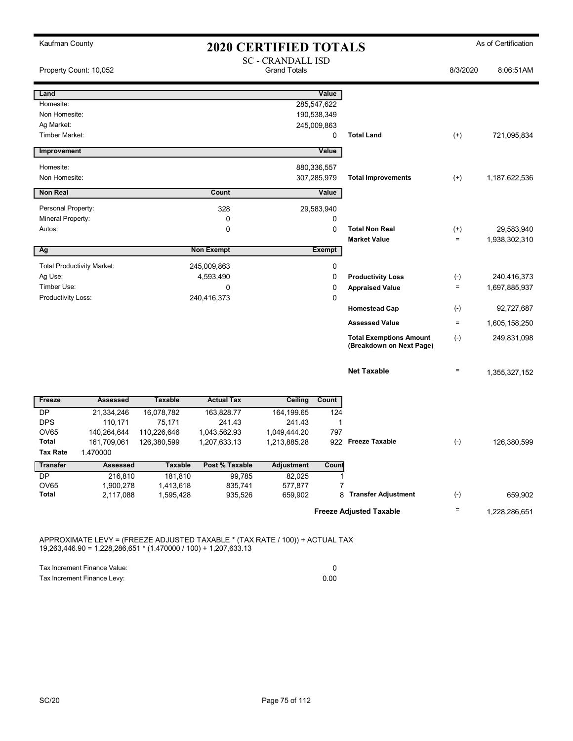| Kaufman County                               | <b>2020 CERTIFIED TOTALS</b> |                   |                                                 |             |                                                            |                    | As of Certification |
|----------------------------------------------|------------------------------|-------------------|-------------------------------------------------|-------------|------------------------------------------------------------|--------------------|---------------------|
| Property Count: 10,052                       |                              |                   | <b>SC - CRANDALL ISD</b><br><b>Grand Totals</b> |             |                                                            | 8/3/2020           | 8:06:51AM           |
| Land                                         |                              |                   |                                                 | Value       |                                                            |                    |                     |
| Homesite:                                    |                              |                   |                                                 | 285,547,622 |                                                            |                    |                     |
| Non Homesite:                                |                              |                   |                                                 | 190,538,349 |                                                            |                    |                     |
| Ag Market:                                   |                              |                   |                                                 | 245,009,863 |                                                            |                    |                     |
| Timber Market:                               |                              |                   |                                                 | $\mathbf 0$ | <b>Total Land</b>                                          | $(+)$              | 721,095,834         |
| Improvement                                  |                              |                   |                                                 | Value       |                                                            |                    |                     |
| Homesite:                                    |                              |                   |                                                 | 880,336,557 |                                                            |                    |                     |
| Non Homesite:                                |                              |                   |                                                 | 307,285,979 | <b>Total Improvements</b>                                  | $^{(+)}$           | 1,187,622,536       |
| <b>Non Real</b>                              |                              | Count             |                                                 | Value       |                                                            |                    |                     |
| Personal Property:                           |                              | 328               |                                                 | 29,583,940  |                                                            |                    |                     |
| Mineral Property:                            |                              | 0                 |                                                 | 0           |                                                            |                    |                     |
| Autos:                                       |                              | $\mathbf 0$       |                                                 | $\mathbf 0$ | <b>Total Non Real</b>                                      | $^{(+)}$           | 29,583,940          |
|                                              |                              |                   |                                                 |             | <b>Market Value</b>                                        | $\qquad \qquad =$  | 1,938,302,310       |
| Ag                                           |                              | <b>Non Exempt</b> |                                                 | Exempt      |                                                            |                    |                     |
| <b>Total Productivity Market:</b>            |                              | 245,009,863       |                                                 | 0           |                                                            |                    |                     |
| Ag Use:                                      |                              | 4,593,490         |                                                 | 0           | <b>Productivity Loss</b>                                   | $(-)$              | 240,416,373         |
| Timber Use:                                  |                              | 0                 |                                                 | 0           | <b>Appraised Value</b>                                     | $\qquad \qquad =$  | 1,697,885,937       |
| Productivity Loss:                           |                              | 240,416,373       |                                                 | $\mathbf 0$ |                                                            |                    |                     |
|                                              |                              |                   |                                                 |             | <b>Homestead Cap</b>                                       | $(\cdot)$          | 92,727,687          |
|                                              |                              |                   |                                                 |             | <b>Assessed Value</b>                                      | $\qquad \qquad =$  | 1,605,158,250       |
|                                              |                              |                   |                                                 |             | <b>Total Exemptions Amount</b><br>(Breakdown on Next Page) | $(-)$              | 249,831,098         |
|                                              |                              |                   |                                                 |             | <b>Net Taxable</b>                                         | $\quad \  \  =$    | 1,355,327,152       |
| <b>Assessed</b><br><b>Freeze</b>             | <b>Taxable</b>               | <b>Actual Tax</b> | Ceiling                                         | Count       |                                                            |                    |                     |
| <b>DP</b><br>21,334,246                      | 16,078,782                   | 163,828.77        | 164,199.65                                      | 124         |                                                            |                    |                     |
| <b>DPS</b><br>110,171                        | 75,171                       | 241.43            | 241.43                                          | 1           |                                                            |                    |                     |
| OV65<br>140,264,644                          | 110,226,646                  | 1,043,562.93      | 1,049,444.20                                    | 797         |                                                            |                    |                     |
| 161,709,061<br>Total<br>Tax Rate<br>1.470000 | 126,380,599                  | 1,207,633.13      | 1,213,885.28                                    |             | 922 Freeze Taxable                                         | $(\textnormal{-})$ | 126,380,599         |
| <b>Transfer</b><br><b>Assessed</b>           | <b>Taxable</b>               | Post % Taxable    | <b>Adjustment</b>                               | Count       |                                                            |                    |                     |
| DP<br>216,810                                | 181,810                      | 99,785            | 82,025                                          | 1           |                                                            |                    |                     |
| OV65<br>1,900,278                            | 1,413,618                    | 835,741           | 577,877                                         | 7           |                                                            |                    |                     |
| Total<br>2,117,088                           | 1,595,428                    | 935,526           | 659,902                                         | 8           | <b>Transfer Adjustment</b>                                 | $(\text{-})$       | 659,902             |
|                                              |                              |                   |                                                 |             | <b>Freeze Adjusted Taxable</b>                             | Ξ                  | 1,228,286,651       |

APPROXIMATE LEVY = (FREEZE ADJUSTED TAXABLE \* (TAX RATE / 100)) + ACTUAL TAX 19,263,446.90 = 1,228,286,651 \* (1.470000 / 100) + 1,207,633.13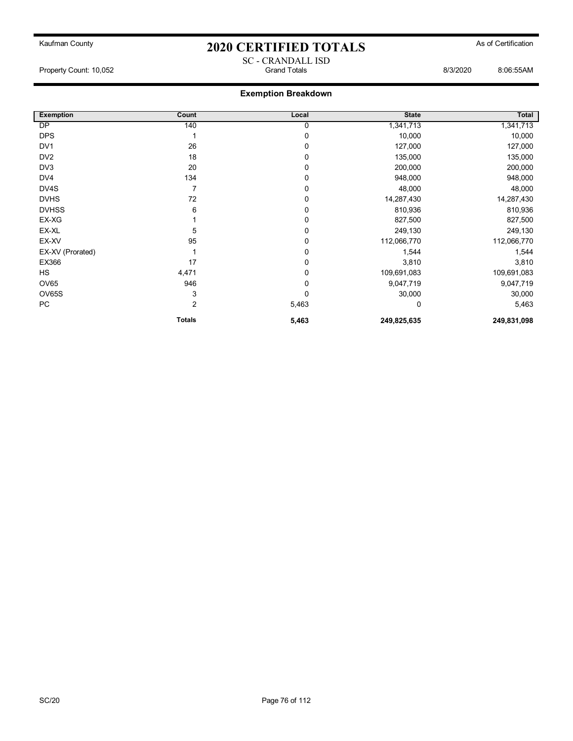## Kaufman County **As of Certification 2020 CERTIFIED TOTALS** As of Certification SC - CRANDALL ISD

Property Count: 10,052 Grand Totals 8/3/2020 8:06:55AM

| <b>Exemption</b> | Count         | Local | <b>State</b> | Total       |
|------------------|---------------|-------|--------------|-------------|
| DP               | 140           | 0     | 1,341,713    | 1,341,713   |
| <b>DPS</b>       |               | 0     | 10,000       | 10,000      |
| DV <sub>1</sub>  | 26            | 0     | 127,000      | 127,000     |
| DV <sub>2</sub>  | 18            | 0     | 135,000      | 135,000     |
| DV3              | 20            | 0     | 200,000      | 200,000     |
| DV4              | 134           | 0     | 948,000      | 948,000     |
| DV4S             | 7             | 0     | 48,000       | 48,000      |
| <b>DVHS</b>      | 72            | 0     | 14,287,430   | 14,287,430  |
| <b>DVHSS</b>     | 6             | 0     | 810,936      | 810,936     |
| EX-XG            |               | 0     | 827,500      | 827,500     |
| EX-XL            | 5             | 0     | 249,130      | 249,130     |
| EX-XV            | 95            | 0     | 112,066,770  | 112,066,770 |
| EX-XV (Prorated) |               | 0     | 1,544        | 1,544       |
| EX366            | 17            | 0     | 3,810        | 3,810       |
| <b>HS</b>        | 4,471         | 0     | 109,691,083  | 109,691,083 |
| <b>OV65</b>      | 946           | 0     | 9,047,719    | 9,047,719   |
| <b>OV65S</b>     | 3             | 0     | 30,000       | 30,000      |
| PC               | 2             | 5,463 | 0            | 5,463       |
|                  | <b>Totals</b> | 5,463 | 249,825,635  | 249,831,098 |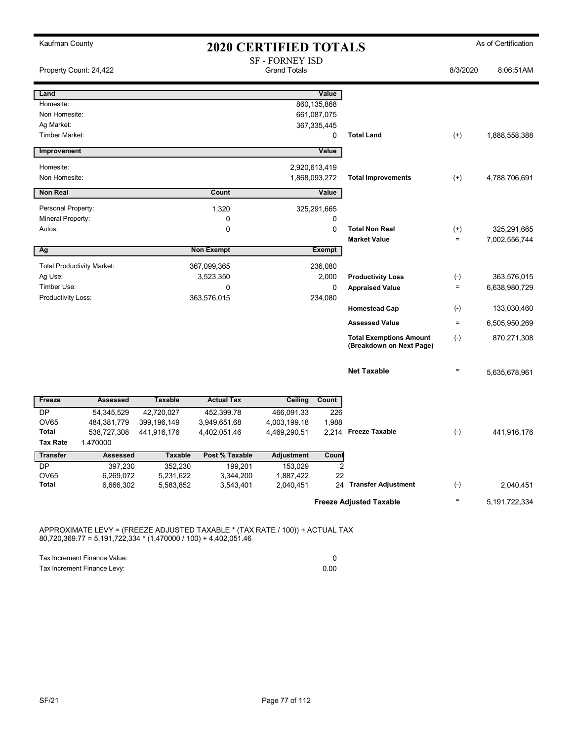| Kaufman County               |                                   | <b>2020 CERTIFIED TOTALS</b> |                      |                                               |                      |                                                            |                   | As of Certification |  |
|------------------------------|-----------------------------------|------------------------------|----------------------|-----------------------------------------------|----------------------|------------------------------------------------------------|-------------------|---------------------|--|
|                              | Property Count: 24,422            |                              |                      | <b>SF - FORNEY ISD</b><br><b>Grand Totals</b> |                      |                                                            | 8/3/2020          | 8:06:51AM           |  |
| Land                         |                                   |                              |                      |                                               | Value                |                                                            |                   |                     |  |
| Homesite:                    |                                   |                              |                      |                                               | 860,135,868          |                                                            |                   |                     |  |
| Non Homesite:                |                                   |                              |                      |                                               | 661,087,075          |                                                            |                   |                     |  |
| Ag Market:                   |                                   |                              |                      |                                               | 367, 335, 445        |                                                            |                   |                     |  |
| Timber Market:               |                                   |                              |                      |                                               | 0                    | <b>Total Land</b>                                          | $(+)$             | 1,888,558,388       |  |
| Improvement                  |                                   |                              |                      |                                               | Value                |                                                            |                   |                     |  |
| Homesite:                    |                                   |                              |                      |                                               | 2,920,613,419        |                                                            |                   |                     |  |
| Non Homesite:                |                                   |                              |                      |                                               | 1,868,093,272        | <b>Total Improvements</b>                                  | $^{(+)}$          | 4,788,706,691       |  |
| <b>Non Real</b>              |                                   |                              | Count                |                                               | Value                |                                                            |                   |                     |  |
| Personal Property:           |                                   |                              | 1,320                |                                               | 325,291,665          |                                                            |                   |                     |  |
| Mineral Property:            |                                   |                              | 0                    |                                               | 0                    |                                                            |                   |                     |  |
| Autos:                       |                                   |                              | 0                    |                                               | $\mathbf 0$          | <b>Total Non Real</b>                                      | $^{(+)}$          | 325,291,665         |  |
|                              |                                   |                              |                      |                                               |                      | <b>Market Value</b>                                        | $\qquad \qquad =$ | 7,002,556,744       |  |
| Ag                           |                                   |                              | <b>Non Exempt</b>    |                                               | <b>Exempt</b>        |                                                            |                   |                     |  |
|                              | <b>Total Productivity Market:</b> |                              | 367,099,365          |                                               | 236,080              |                                                            |                   |                     |  |
| Ag Use:                      |                                   |                              | 3,523,350            |                                               | 2,000                | <b>Productivity Loss</b>                                   | $(-)$             | 363,576,015         |  |
| Timber Use:                  |                                   |                              | 0                    |                                               | $\mathbf 0$          | <b>Appraised Value</b>                                     | $\quad \  \  =$   | 6,638,980,729       |  |
| Productivity Loss:           |                                   |                              | 363,576,015          |                                               | 234,080              |                                                            |                   |                     |  |
|                              |                                   |                              |                      |                                               |                      | <b>Homestead Cap</b>                                       | $(\cdot)$         | 133,030,460         |  |
|                              |                                   |                              |                      |                                               |                      | <b>Assessed Value</b>                                      | $=$               | 6,505,950,269       |  |
|                              |                                   |                              |                      |                                               |                      | <b>Total Exemptions Amount</b><br>(Breakdown on Next Page) | $(\cdot)$         | 870,271,308         |  |
|                              |                                   |                              |                      |                                               |                      | <b>Net Taxable</b>                                         | $\qquad \qquad =$ | 5,635,678,961       |  |
| Freeze                       | <b>Assessed</b>                   | <b>Taxable</b>               | <b>Actual Tax</b>    | Ceiling                                       | Count                |                                                            |                   |                     |  |
| <b>DP</b>                    | 54,345,529                        | 42,720,027                   | 452,399.78           | 466,091.33                                    | 226                  |                                                            |                   |                     |  |
| <b>OV65</b>                  | 484,381,779                       | 399, 196, 149                | 3,949,651.68         | 4,003,199.18                                  | 1,988                |                                                            |                   |                     |  |
| <b>Total</b>                 | 538,727,308                       | 441,916,176                  | 4,402,051.46         | 4,469,290.51                                  |                      | 2,214 Freeze Taxable                                       | $(-)$             | 441,916,176         |  |
| <b>Tax Rate</b>              | 1.470000                          |                              |                      |                                               |                      |                                                            |                   |                     |  |
| <b>Transfer</b><br><b>DP</b> | <b>Assessed</b>                   | <b>Taxable</b>               | Post % Taxable       | <b>Adjustment</b>                             | Count                |                                                            |                   |                     |  |
| <b>OV65</b>                  | 397,230<br>6,269,072              | 352,230<br>5,231,622         | 199,201<br>3,344,200 | 153,029<br>1,887,422                          | $\overline{2}$<br>22 |                                                            |                   |                     |  |
| <b>Total</b>                 | 6,666,302                         | 5,583,852                    | 3,543,401            | 2,040,451                                     |                      | 24 Transfer Adjustment                                     | $(-)$             | 2,040,451           |  |
|                              |                                   |                              |                      |                                               |                      | <b>Freeze Adjusted Taxable</b>                             | $\qquad \qquad =$ | 5, 191, 722, 334    |  |
|                              |                                   |                              |                      |                                               |                      |                                                            |                   |                     |  |

APPROXIMATE LEVY = (FREEZE ADJUSTED TAXABLE \* (TAX RATE / 100)) + ACTUAL TAX 80,720,369.77 = 5,191,722,334 \* (1.470000 / 100) + 4,402,051.46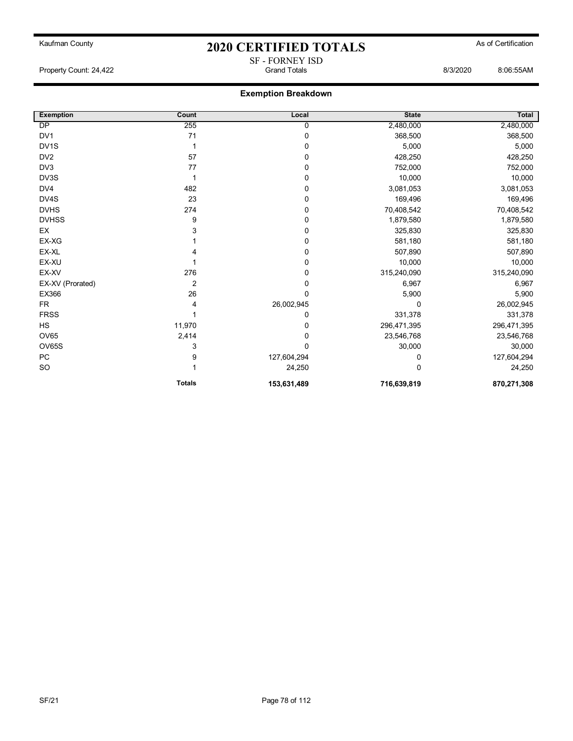SF - FORNEY ISD

### **Exemption Breakdown**

| <b>Exemption</b> | Count          | Local       | <b>State</b> | <b>Total</b> |
|------------------|----------------|-------------|--------------|--------------|
| <b>DP</b>        | 255            | 0           | 2,480,000    | 2,480,000    |
| DV <sub>1</sub>  | 71             | 0           | 368,500      | 368,500      |
| DV1S             |                | 0           | 5,000        | 5,000        |
| DV <sub>2</sub>  | 57             | 0           | 428,250      | 428,250      |
| DV3              | 77             | 0           | 752,000      | 752,000      |
| DV3S             |                | 0           | 10,000       | 10,000       |
| DV4              | 482            | 0           | 3,081,053    | 3,081,053    |
| DV4S             | 23             | 0           | 169,496      | 169,496      |
| <b>DVHS</b>      | 274            | 0           | 70,408,542   | 70,408,542   |
| <b>DVHSS</b>     | 9              | 0           | 1,879,580    | 1,879,580    |
| EX               | 3              | 0           | 325,830      | 325,830      |
| EX-XG            |                | 0           | 581,180      | 581,180      |
| EX-XL            |                | 0           | 507,890      | 507,890      |
| EX-XU            |                | 0           | 10,000       | 10,000       |
| EX-XV            | 276            | 0           | 315,240,090  | 315,240,090  |
| EX-XV (Prorated) | $\overline{2}$ | 0           | 6,967        | 6,967        |
| EX366            | 26             | 0           | 5,900        | 5,900        |
| <b>FR</b>        | 4              | 26,002,945  | 0            | 26,002,945   |
| <b>FRSS</b>      |                | 0           | 331,378      | 331,378      |
| <b>HS</b>        | 11,970         | 0           | 296,471,395  | 296,471,395  |
| <b>OV65</b>      | 2,414          | 0           | 23,546,768   | 23,546,768   |
| OV65S            | 3              | 0           | 30,000       | 30,000       |
| ${\sf PC}$       | 9              | 127,604,294 |              | 127,604,294  |
| SO               |                | 24,250      | $\Omega$     | 24,250       |
|                  | <b>Totals</b>  | 153,631,489 | 716,639,819  | 870,271,308  |

Property Count: 24,422 Grand Totals 8/3/2020 8:06:55AM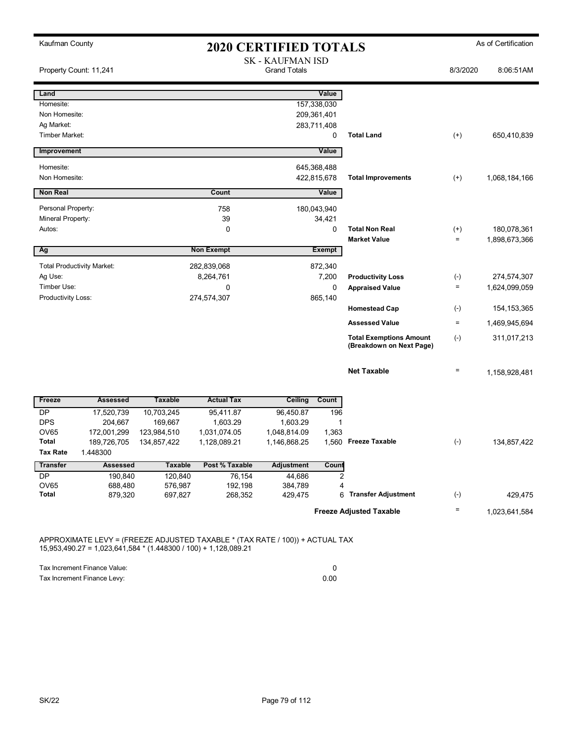| Kaufman County                    |                                   |                        |                          |                                                |                       | <b>2020 CERTIFIED TOTALS</b>   |                    |               |  |  |
|-----------------------------------|-----------------------------------|------------------------|--------------------------|------------------------------------------------|-----------------------|--------------------------------|--------------------|---------------|--|--|
| Property Count: 11,241            |                                   |                        |                          | <b>SK - KAUFMAN ISD</b><br><b>Grand Totals</b> |                       |                                | 8/3/2020           | 8:06:51AM     |  |  |
| Land                              |                                   |                        |                          |                                                | Value                 |                                |                    |               |  |  |
| Homesite:                         |                                   |                        |                          |                                                | 157,338,030           |                                |                    |               |  |  |
| Non Homesite:                     |                                   |                        |                          |                                                | 209,361,401           |                                |                    |               |  |  |
| Ag Market:                        |                                   |                        |                          |                                                | 283,711,408           |                                |                    |               |  |  |
| Timber Market:                    |                                   |                        |                          |                                                | 0                     | <b>Total Land</b>              | $^{(+)}$           | 650,410,839   |  |  |
| Improvement                       |                                   |                        |                          |                                                | Value                 |                                |                    |               |  |  |
| Homesite:                         |                                   |                        |                          |                                                | 645,368,488           |                                |                    |               |  |  |
| Non Homesite:                     |                                   |                        |                          |                                                | 422,815,678           | <b>Total Improvements</b>      | $^{(+)}$           | 1,068,184,166 |  |  |
| <b>Non Real</b>                   |                                   |                        | Count                    |                                                | Value                 |                                |                    |               |  |  |
| Personal Property:                |                                   |                        | 758                      |                                                | 180,043,940           |                                |                    |               |  |  |
| Mineral Property:                 |                                   |                        | 39                       |                                                | 34,421                |                                |                    |               |  |  |
| Autos:                            |                                   |                        | 0                        |                                                | 0                     | <b>Total Non Real</b>          | $^{(+)}$           | 180,078,361   |  |  |
|                                   |                                   |                        |                          | <b>Market Value</b>                            | $\equiv$              | 1,898,673,366                  |                    |               |  |  |
| Ag                                |                                   |                        | <b>Non Exempt</b>        |                                                | <b>Exempt</b>         |                                |                    |               |  |  |
|                                   | <b>Total Productivity Market:</b> |                        | 282,839,068              |                                                | 872,340               |                                |                    |               |  |  |
| Ag Use:                           |                                   |                        | 8,264,761                |                                                | 7,200                 | <b>Productivity Loss</b>       | $(\text{-})$       | 274,574,307   |  |  |
| Timber Use:<br>Productivity Loss: |                                   |                        | 0<br>274,574,307         |                                                | 0<br>865,140          | <b>Appraised Value</b>         | $\quad \  \  =$    | 1,624,099,059 |  |  |
|                                   |                                   |                        |                          |                                                |                       | <b>Homestead Cap</b>           | $(\textnormal{-})$ | 154, 153, 365 |  |  |
|                                   |                                   |                        |                          |                                                |                       | <b>Assessed Value</b>          | $\quad \  \  =$    | 1,469,945,694 |  |  |
|                                   |                                   |                        |                          |                                                |                       | <b>Total Exemptions Amount</b> | $(-)$              | 311,017,213   |  |  |
|                                   |                                   |                        |                          |                                                |                       | (Breakdown on Next Page)       |                    |               |  |  |
|                                   |                                   |                        |                          |                                                |                       |                                |                    |               |  |  |
|                                   |                                   |                        |                          |                                                |                       | <b>Net Taxable</b>             | $\equiv$           | 1,158,928,481 |  |  |
|                                   |                                   |                        |                          |                                                |                       |                                |                    |               |  |  |
| Freeze                            | <b>Assessed</b>                   | <b>Taxable</b>         | <b>Actual Tax</b>        | <b>Ceiling</b>                                 | Count                 |                                |                    |               |  |  |
| <b>DP</b>                         | 17,520,739                        | 10,703,245             | 95,411.87                | 96,450.87                                      | 196                   |                                |                    |               |  |  |
| <b>DPS</b><br>OV65                | 204,667<br>172,001,299            | 169,667<br>123,984,510 | 1,603.29<br>1,031,074.05 | 1,603.29<br>1,048,814.09                       | $\mathbf{1}$<br>1,363 |                                |                    |               |  |  |
| Total                             | 189,726,705                       | 134,857,422            | 1,128,089.21             | 1,146,868.25                                   |                       | 1,560 Freeze Taxable           | $(\text{-})$       | 134,857,422   |  |  |
| Tax Rate                          | 1.448300                          |                        |                          |                                                |                       |                                |                    |               |  |  |
| <b>Transfer</b>                   | <b>Assessed</b>                   | <b>Taxable</b>         | Post % Taxable           | <b>Adjustment</b>                              | Count                 |                                |                    |               |  |  |
| DP                                | 190,840                           | 120,840                | 76,154                   | 44,686                                         | 2                     |                                |                    |               |  |  |
| OV65                              | 688,480                           | 576,987                | 192,198                  | 384,789                                        | 4                     |                                |                    |               |  |  |
| Total                             | 879,320                           | 697,827                | 268,352                  | 429,475                                        | 6                     | <b>Transfer Adjustment</b>     | $(\text{-})$       | 429,475       |  |  |
|                                   |                                   |                        |                          |                                                |                       | <b>Freeze Adjusted Taxable</b> | $\equiv$           | 1,023,641,584 |  |  |
|                                   |                                   |                        |                          |                                                |                       |                                |                    |               |  |  |

APPROXIMATE LEVY = (FREEZE ADJUSTED TAXABLE \* (TAX RATE / 100)) + ACTUAL TAX 15,953,490.27 = 1,023,641,584 \* (1.448300 / 100) + 1,128,089.21

| Tax Increment Finance Value: |      |
|------------------------------|------|
| Tax Increment Finance Levy:  | 0.00 |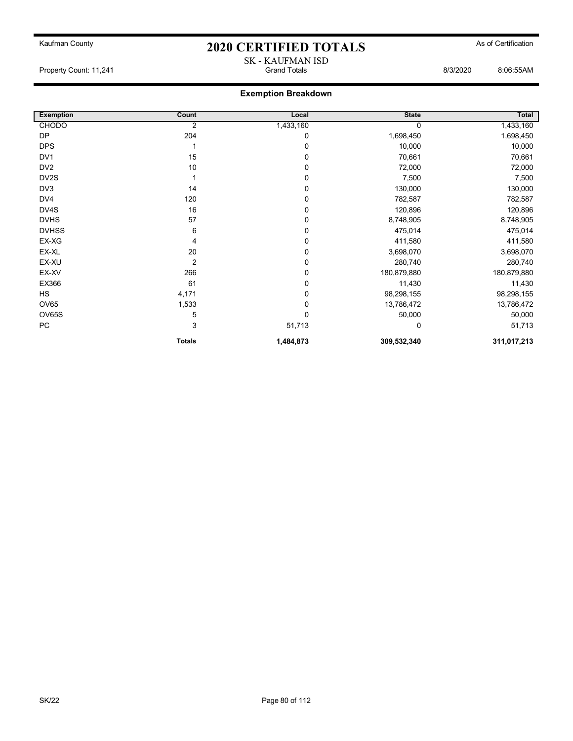SK - KAUFMAN ISD

Property Count: 11,241 Grand Totals 8/3/2020 8:06:55AM

| <b>Exemption</b> | Count          | Local       | <b>State</b> | Total       |
|------------------|----------------|-------------|--------------|-------------|
| <b>CHODO</b>     | 2              | 1,433,160   | 0            | 1,433,160   |
| <b>DP</b>        | 204            | 0           | 1,698,450    | 1,698,450   |
| <b>DPS</b>       |                | $\mathbf 0$ | 10,000       | 10,000      |
| DV <sub>1</sub>  | 15             | 0           | 70,661       | 70,661      |
| DV <sub>2</sub>  | 10             | 0           | 72,000       | 72,000      |
| DV2S             |                | 0           | 7,500        | 7,500       |
| DV3              | 14             | 0           | 130,000      | 130,000     |
| DV4              | 120            | 0           | 782,587      | 782,587     |
| DV4S             | 16             | 0           | 120,896      | 120,896     |
| <b>DVHS</b>      | 57             | 0           | 8,748,905    | 8,748,905   |
| <b>DVHSS</b>     | 6              | 0           | 475,014      | 475,014     |
| EX-XG            | 4              | 0           | 411,580      | 411,580     |
| EX-XL            | 20             | 0           | 3,698,070    | 3,698,070   |
| EX-XU            | $\overline{2}$ | 0           | 280,740      | 280,740     |
| EX-XV            | 266            | 0           | 180,879,880  | 180,879,880 |
| EX366            | 61             | 0           | 11,430       | 11,430      |
| <b>HS</b>        | 4,171          | 0           | 98,298,155   | 98,298,155  |
| <b>OV65</b>      | 1,533          | 0           | 13,786,472   | 13,786,472  |
| OV65S            | 5              | 0           | 50,000       | 50,000      |
| PC               | 3              | 51,713      | 0            | 51,713      |
|                  | <b>Totals</b>  | 1,484,873   | 309,532,340  | 311,017,213 |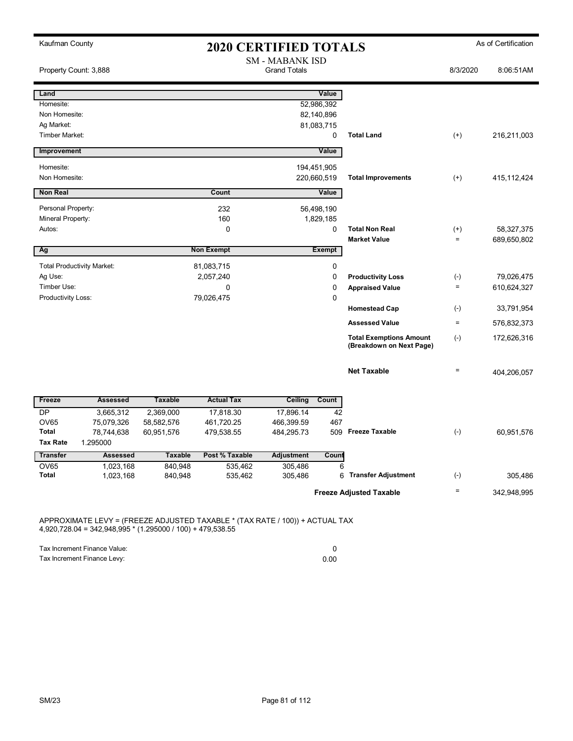| Kaufman County<br><b>2020 CERTIFIED TOTALS</b> |                                   |                    |                    |                                               |                 |                                | As of Certification |               |  |
|------------------------------------------------|-----------------------------------|--------------------|--------------------|-----------------------------------------------|-----------------|--------------------------------|---------------------|---------------|--|
| Property Count: 3,888                          |                                   |                    |                    | <b>SM - MABANK ISD</b><br><b>Grand Totals</b> |                 |                                | 8/3/2020            | 8:06:51AM     |  |
| Land                                           |                                   |                    |                    |                                               | Value           |                                |                     |               |  |
| Homesite:                                      |                                   |                    |                    |                                               | 52,986,392      |                                |                     |               |  |
| Non Homesite:                                  |                                   |                    |                    |                                               | 82,140,896      |                                |                     |               |  |
| Ag Market:<br>Timber Market:                   |                                   |                    |                    |                                               | 81,083,715<br>0 | <b>Total Land</b>              | $(+)$               |               |  |
|                                                |                                   |                    |                    |                                               |                 |                                |                     | 216,211,003   |  |
| Improvement                                    |                                   |                    |                    |                                               | Value           |                                |                     |               |  |
| Homesite:                                      |                                   |                    |                    |                                               | 194,451,905     |                                |                     |               |  |
| Non Homesite:                                  |                                   |                    |                    |                                               | 220,660,519     | <b>Total Improvements</b>      | $(+)$               | 415, 112, 424 |  |
| <b>Non Real</b>                                |                                   |                    | Count              |                                               | Value           |                                |                     |               |  |
| Personal Property:                             |                                   |                    | 232                |                                               | 56,498,190      |                                |                     |               |  |
| Mineral Property:                              |                                   |                    | 160                |                                               | 1,829,185       |                                |                     |               |  |
| Autos:                                         |                                   |                    | $\mathbf 0$        |                                               | $\mathbf 0$     | <b>Total Non Real</b>          | $^{(+)}$            | 58,327,375    |  |
|                                                |                                   |                    |                    |                                               |                 | <b>Market Value</b>            | $\qquad \qquad =$   | 689,650,802   |  |
| Ag                                             |                                   |                    | <b>Non Exempt</b>  |                                               | <b>Exempt</b>   |                                |                     |               |  |
|                                                | <b>Total Productivity Market:</b> |                    | 81,083,715         |                                               | 0               |                                |                     |               |  |
| Ag Use:                                        |                                   |                    | 2,057,240          |                                               | $\mathbf 0$     | <b>Productivity Loss</b>       | $(\textnormal{-})$  | 79,026,475    |  |
| Timber Use:                                    |                                   |                    | $\Omega$           |                                               | $\Omega$        | <b>Appraised Value</b>         | $\qquad \qquad =$   | 610,624,327   |  |
| Productivity Loss:                             |                                   |                    | 79,026,475         |                                               | $\mathbf 0$     |                                |                     |               |  |
|                                                |                                   |                    |                    |                                               |                 | <b>Homestead Cap</b>           | $(\cdot)$           | 33,791,954    |  |
|                                                |                                   |                    |                    |                                               |                 | <b>Assessed Value</b>          | $\equiv$            | 576,832,373   |  |
|                                                |                                   |                    |                    |                                               |                 | <b>Total Exemptions Amount</b> | $(-)$               | 172,626,316   |  |
|                                                |                                   |                    |                    |                                               |                 | (Breakdown on Next Page)       |                     |               |  |
|                                                |                                   |                    |                    |                                               |                 |                                |                     |               |  |
|                                                |                                   |                    |                    |                                               |                 | <b>Net Taxable</b>             | $=$                 | 404,206,057   |  |
|                                                |                                   |                    |                    |                                               |                 |                                |                     |               |  |
| Freeze                                         | <b>Assessed</b>                   | <b>Taxable</b>     | <b>Actual Tax</b>  | Ceiling                                       | Count           |                                |                     |               |  |
| <b>DP</b>                                      | 3,665,312                         | 2,369,000          | 17,818.30          | 17,896.14                                     | 42              |                                |                     |               |  |
| <b>OV65</b>                                    | 75,079,326                        | 58,582,576         | 461,720.25         | 466,399.59                                    | 467             |                                |                     |               |  |
| <b>Total</b>                                   | 78,744,638                        | 60,951,576         | 479,538.55         | 484,295.73                                    | 509             | <b>Freeze Taxable</b>          | $(-)$               | 60,951,576    |  |
| <b>Tax Rate</b>                                | 1.295000                          |                    |                    |                                               |                 |                                |                     |               |  |
| <b>Transfer</b>                                | <b>Assessed</b>                   | <b>Taxable</b>     | Post % Taxable     | Adjustment                                    | Count           |                                |                     |               |  |
| <b>OV65</b><br><b>Total</b>                    | 1,023,168<br>1,023,168            | 840,948<br>840,948 | 535,462<br>535,462 | 305,486<br>305,486                            | 6<br>6          | <b>Transfer Adjustment</b>     | $(\cdot)$           | 305,486       |  |
|                                                |                                   |                    |                    |                                               |                 |                                |                     |               |  |
|                                                |                                   |                    |                    |                                               |                 | <b>Freeze Adjusted Taxable</b> | $=$                 | 342,948,995   |  |

APPROXIMATE LEVY = (FREEZE ADJUSTED TAXABLE \* (TAX RATE / 100)) + ACTUAL TAX 4,920,728.04 = 342,948,995 \* (1.295000 / 100) + 479,538.55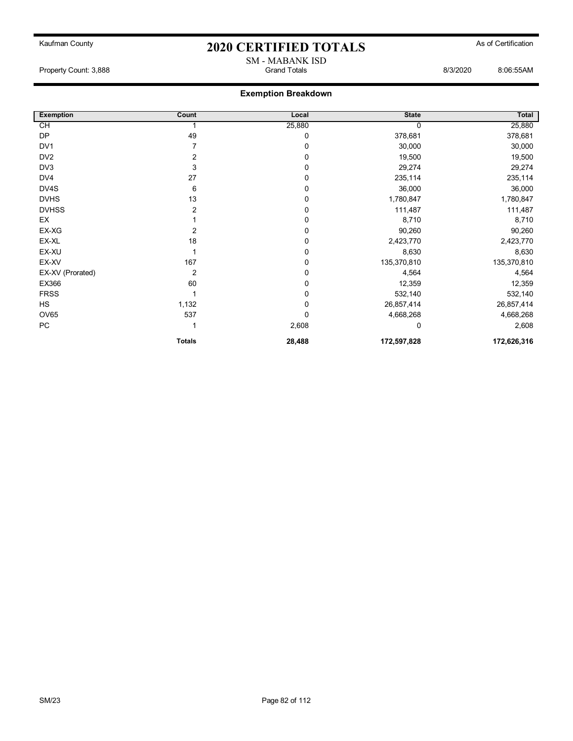#### Property Count: 3,888 Grand Totals 8/3/2020 8:06:55AM

| <b>Exemption</b> | Count          | Local       | <b>State</b> | Total       |
|------------------|----------------|-------------|--------------|-------------|
| CH               |                | 25,880      |              | 25,880      |
| <b>DP</b>        | 49             | 0           | 378,681      | 378,681     |
| DV <sub>1</sub>  |                | 0           | 30,000       | 30,000      |
| DV <sub>2</sub>  | 2              | 0           | 19,500       | 19,500      |
| DV3              | 3              | 0           | 29,274       | 29,274      |
| DV4              | 27             | 0           | 235,114      | 235,114     |
| DV4S             | 6              | 0           | 36,000       | 36,000      |
| <b>DVHS</b>      | 13             | $\mathbf 0$ | 1,780,847    | 1,780,847   |
| <b>DVHSS</b>     | 2              | 0           | 111,487      | 111,487     |
| EX               |                | 0           | 8,710        | 8,710       |
| EX-XG            | 2              | 0           | 90,260       | 90,260      |
| EX-XL            | 18             | 0           | 2,423,770    | 2,423,770   |
| EX-XU            |                | 0           | 8,630        | 8,630       |
| EX-XV            | 167            | 0           | 135,370,810  | 135,370,810 |
| EX-XV (Prorated) | $\overline{2}$ | $\mathbf 0$ | 4,564        | 4,564       |
| EX366            | 60             | 0           | 12,359       | 12,359      |
| <b>FRSS</b>      |                | 0           | 532,140      | 532,140     |
| <b>HS</b>        | 1,132          | 0           | 26,857,414   | 26,857,414  |
| OV65             | 537            | $\mathbf 0$ | 4,668,268    | 4,668,268   |
| <b>PC</b>        |                | 2,608       | 0            | 2,608       |
|                  | <b>Totals</b>  | 28,488      | 172,597,828  | 172,626,316 |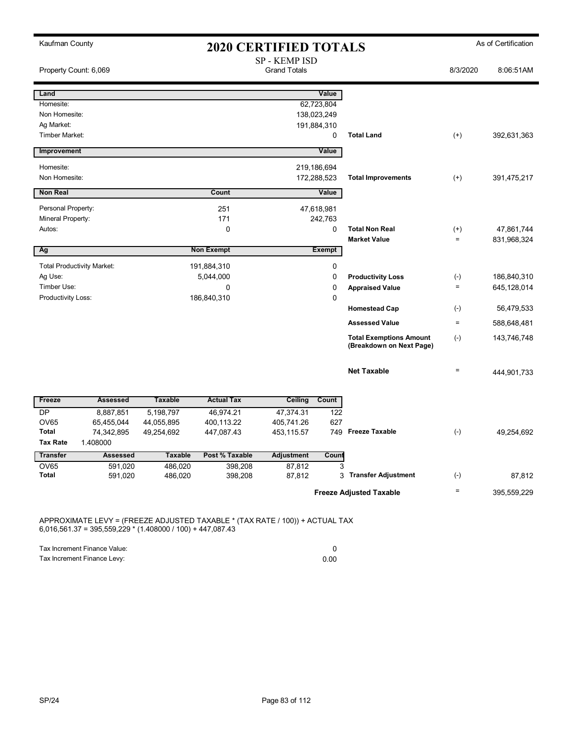| Kaufman County               |                                   |                    | <b>2020 CERTIFIED TOTALS</b> |                                      |                            |                                | As of Certification |             |  |
|------------------------------|-----------------------------------|--------------------|------------------------------|--------------------------------------|----------------------------|--------------------------------|---------------------|-------------|--|
| Property Count: 6,069        |                                   |                    |                              | SP - KEMP ISD<br><b>Grand Totals</b> |                            |                                | 8/3/2020            | 8:06:51AM   |  |
| Land                         |                                   |                    |                              |                                      | Value                      |                                |                     |             |  |
| Homesite:                    |                                   |                    |                              |                                      | 62,723,804                 |                                |                     |             |  |
| Non Homesite:                |                                   |                    |                              |                                      | 138,023,249                |                                |                     |             |  |
| Ag Market:<br>Timber Market: |                                   |                    |                              |                                      | 191,884,310<br>$\mathbf 0$ | <b>Total Land</b>              | $(+)$               |             |  |
|                              |                                   |                    |                              |                                      |                            |                                |                     | 392,631,363 |  |
| Improvement                  |                                   |                    |                              |                                      | Value                      |                                |                     |             |  |
| Homesite:                    |                                   |                    |                              |                                      | 219,186,694                |                                |                     |             |  |
| Non Homesite:                |                                   |                    |                              |                                      | 172,288,523                | <b>Total Improvements</b>      | $(+)$               | 391,475,217 |  |
| <b>Non Real</b>              |                                   |                    | Count                        |                                      | Value                      |                                |                     |             |  |
| Personal Property:           |                                   |                    | 251                          |                                      | 47,618,981                 |                                |                     |             |  |
| Mineral Property:            |                                   |                    | 171                          |                                      | 242,763                    |                                |                     |             |  |
| Autos:                       |                                   |                    | $\mathbf 0$                  |                                      | $\mathbf 0$                | <b>Total Non Real</b>          | $^{(+)}$            | 47,861,744  |  |
|                              |                                   |                    |                              |                                      |                            | <b>Market Value</b>            | $=$                 | 831,968,324 |  |
| Ag                           |                                   |                    | <b>Non Exempt</b>            |                                      | <b>Exempt</b>              |                                |                     |             |  |
|                              | <b>Total Productivity Market:</b> |                    | 191,884,310                  |                                      | 0                          |                                |                     |             |  |
| Ag Use:                      |                                   |                    | 5,044,000                    |                                      | $\mathbf 0$                | <b>Productivity Loss</b>       | $(\cdot)$           | 186,840,310 |  |
| Timber Use:                  |                                   |                    | $\mathbf 0$                  |                                      | $\mathbf 0$                | <b>Appraised Value</b>         | $\quad =$           | 645,128,014 |  |
| Productivity Loss:           |                                   |                    | 186,840,310                  |                                      | $\mathbf 0$                |                                |                     |             |  |
|                              |                                   |                    |                              |                                      |                            | <b>Homestead Cap</b>           | $(-)$               | 56,479,533  |  |
|                              |                                   |                    |                              |                                      |                            | <b>Assessed Value</b>          | $\qquad \qquad =$   | 588,648,481 |  |
|                              |                                   |                    |                              |                                      |                            | <b>Total Exemptions Amount</b> | $(-)$               | 143,746,748 |  |
|                              |                                   |                    |                              |                                      |                            | (Breakdown on Next Page)       |                     |             |  |
|                              |                                   |                    |                              |                                      |                            |                                |                     |             |  |
|                              |                                   |                    |                              |                                      |                            | <b>Net Taxable</b>             | $=$                 | 444,901,733 |  |
|                              |                                   |                    |                              |                                      |                            |                                |                     |             |  |
| Freeze                       | <b>Assessed</b>                   | <b>Taxable</b>     | <b>Actual Tax</b>            | Ceiling                              | Count                      |                                |                     |             |  |
| <b>DP</b>                    | 8,887,851                         | 5,198,797          | 46,974.21                    | 47,374.31                            | 122                        |                                |                     |             |  |
| <b>OV65</b>                  | 65,455,044                        | 44,055,895         | 400,113.22                   | 405,741.26                           | 627                        |                                |                     |             |  |
| <b>Total</b>                 | 74,342,895                        | 49,254,692         | 447,087.43                   | 453,115.57                           | 749                        | <b>Freeze Taxable</b>          | $(-)$               | 49,254,692  |  |
| <b>Tax Rate</b>              | 1.408000                          |                    |                              |                                      |                            |                                |                     |             |  |
| <b>Transfer</b>              | <b>Assessed</b>                   | <b>Taxable</b>     | Post % Taxable               | <b>Adjustment</b>                    | Count                      |                                |                     |             |  |
| <b>OV65</b><br><b>Total</b>  | 591,020<br>591,020                | 486,020<br>486,020 | 398,208<br>398,208           | 87,812<br>87,812                     | 3<br>3                     | <b>Transfer Adjustment</b>     | $(\cdot)$           | 87,812      |  |
|                              |                                   |                    |                              |                                      |                            |                                |                     |             |  |
|                              |                                   |                    |                              |                                      |                            | <b>Freeze Adjusted Taxable</b> | $=$                 | 395,559,229 |  |

APPROXIMATE LEVY = (FREEZE ADJUSTED TAXABLE \* (TAX RATE / 100)) + ACTUAL TAX 6,016,561.37 = 395,559,229 \* (1.408000 / 100) + 447,087.43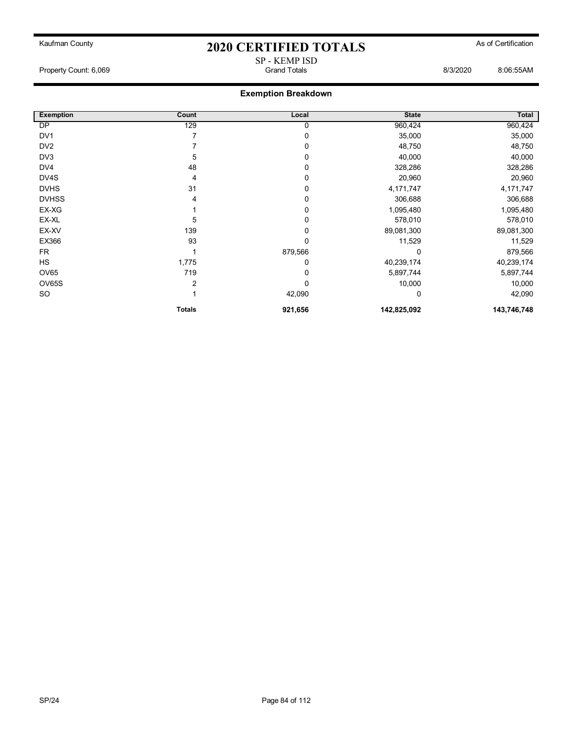SP - KEMP ISD Property Count: 6,069 6:05 and Totals 6:06:55AM Grand Totals 6:06:55AM 6:06:55AM

| <b>Exemption</b> | Count         | Local   | <b>State</b> | Total       |
|------------------|---------------|---------|--------------|-------------|
| DP               | 129           | 0       | 960,424      | 960,424     |
| DV <sub>1</sub>  |               | 0       | 35,000       | 35,000      |
| DV <sub>2</sub>  |               | 0       | 48,750       | 48,750      |
| DV3              | 5             | 0       | 40,000       | 40,000      |
| DV4              | 48            | 0       | 328,286      | 328,286     |
| DV4S             | 4             | 0       | 20,960       | 20,960      |
| <b>DVHS</b>      | 31            | 0       | 4,171,747    | 4,171,747   |
| <b>DVHSS</b>     | 4             | 0       | 306,688      | 306,688     |
| EX-XG            |               | 0       | 1,095,480    | 1,095,480   |
| EX-XL            | 5             | 0       | 578,010      | 578,010     |
| EX-XV            | 139           | 0       | 89,081,300   | 89,081,300  |
| EX366            | 93            | 0       | 11,529       | 11,529      |
| <b>FR</b>        |               | 879,566 | 0            | 879,566     |
| HS               | 1,775         | 0       | 40,239,174   | 40,239,174  |
| <b>OV65</b>      | 719           | 0       | 5,897,744    | 5,897,744   |
| OV65S            | 2             | 0       | 10,000       | 10,000      |
| SO.              |               | 42,090  | 0            | 42,090      |
|                  | <b>Totals</b> | 921,656 | 142,825,092  | 143,746,748 |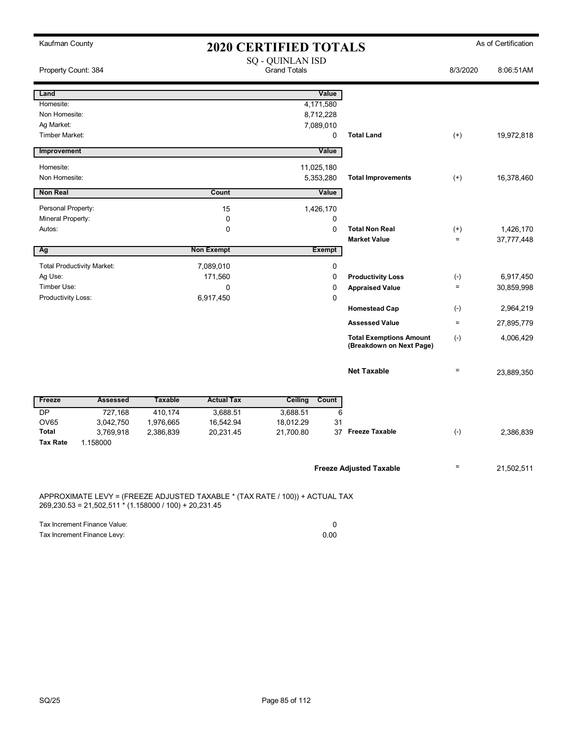| Kaufman County                    |                       |                                                        |                   | <b>2020 CERTIFIED TOTALS</b>                                                 |               |                                                            |                    | As of Certification |  |
|-----------------------------------|-----------------------|--------------------------------------------------------|-------------------|------------------------------------------------------------------------------|---------------|------------------------------------------------------------|--------------------|---------------------|--|
| Property Count: 384               |                       | SQ - QUINLAN ISD<br><b>Grand Totals</b>                |                   |                                                                              |               |                                                            | 8/3/2020           | 8:06:51AM           |  |
| Land                              |                       |                                                        |                   |                                                                              | Value         |                                                            |                    |                     |  |
| Homesite:                         |                       |                                                        |                   | 4,171,580                                                                    |               |                                                            |                    |                     |  |
| Non Homesite:                     |                       |                                                        |                   | 8,712,228                                                                    |               |                                                            |                    |                     |  |
| Ag Market:                        |                       |                                                        |                   | 7,089,010                                                                    |               |                                                            |                    |                     |  |
| Timber Market:                    |                       |                                                        |                   |                                                                              | 0             | <b>Total Land</b>                                          | $(+)$              | 19,972,818          |  |
| Improvement                       |                       |                                                        |                   |                                                                              | Value         |                                                            |                    |                     |  |
| Homesite:                         |                       |                                                        |                   | 11,025,180                                                                   |               |                                                            |                    |                     |  |
| Non Homesite:                     |                       |                                                        |                   | 5,353,280                                                                    |               | <b>Total Improvements</b>                                  | $^{(+)}$           | 16,378,460          |  |
| <b>Non Real</b>                   |                       |                                                        | Count             |                                                                              | Value         |                                                            |                    |                     |  |
| Personal Property:                |                       |                                                        | 15                | 1,426,170                                                                    |               |                                                            |                    |                     |  |
| Mineral Property:                 |                       |                                                        | $\mathbf 0$       |                                                                              | 0             |                                                            |                    |                     |  |
| Autos:                            |                       |                                                        | 0                 |                                                                              | $\mathbf 0$   | <b>Total Non Real</b>                                      | $^{(+)}$           | 1,426,170           |  |
|                                   |                       |                                                        |                   |                                                                              |               | <b>Market Value</b>                                        | $=$                | 37,777,448          |  |
| Ag                                |                       |                                                        | <b>Non Exempt</b> |                                                                              | <b>Exempt</b> |                                                            |                    |                     |  |
| <b>Total Productivity Market:</b> |                       |                                                        | 7,089,010         |                                                                              | 0             |                                                            |                    |                     |  |
| Ag Use:                           |                       |                                                        | 171,560           |                                                                              | 0             | <b>Productivity Loss</b>                                   | $(\textnormal{-})$ | 6,917,450           |  |
| Timber Use:                       |                       |                                                        | $\pmb{0}$         |                                                                              | $\mathbf 0$   | <b>Appraised Value</b>                                     | $\qquad \qquad =$  | 30,859,998          |  |
| Productivity Loss:                |                       |                                                        | 6,917,450         |                                                                              | $\mathbf 0$   |                                                            |                    |                     |  |
|                                   |                       |                                                        |                   |                                                                              |               | <b>Homestead Cap</b>                                       | $(\cdot)$          | 2,964,219           |  |
|                                   |                       |                                                        |                   |                                                                              |               | <b>Assessed Value</b>                                      | $\qquad \qquad =$  | 27,895,779          |  |
|                                   |                       |                                                        |                   |                                                                              |               | <b>Total Exemptions Amount</b><br>(Breakdown on Next Page) | $(\text{-})$       | 4,006,429           |  |
|                                   |                       |                                                        |                   |                                                                              |               | <b>Net Taxable</b>                                         | $=$                | 23,889,350          |  |
| Freeze                            | <b>Assessed</b>       | <b>Taxable</b>                                         | <b>Actual Tax</b> | Ceiling                                                                      | Count         |                                                            |                    |                     |  |
| <b>DP</b>                         | 727,168               | 410,174                                                | 3,688.51          | 3,688.51                                                                     | 6             |                                                            |                    |                     |  |
| OV65                              | 3,042,750             | 1,976,665                                              | 16,542.94         | 18,012.29                                                                    | 31            |                                                            |                    |                     |  |
| <b>Total</b><br><b>Tax Rate</b>   | 3,769,918<br>1.158000 | 2,386,839                                              | 20,231.45         | 21,700.80                                                                    |               | 37 Freeze Taxable                                          | $(-)$              | 2,386,839           |  |
|                                   |                       |                                                        |                   |                                                                              |               | <b>Freeze Adjusted Taxable</b>                             | $=$                | 21,502,511          |  |
|                                   |                       | 269,230.53 = 21,502,511 * (1.158000 / 100) + 20,231.45 |                   | APPROXIMATE LEVY = (FREEZE ADJUSTED TAXABLE * (TAX RATE / 100)) + ACTUAL TAX |               |                                                            |                    |                     |  |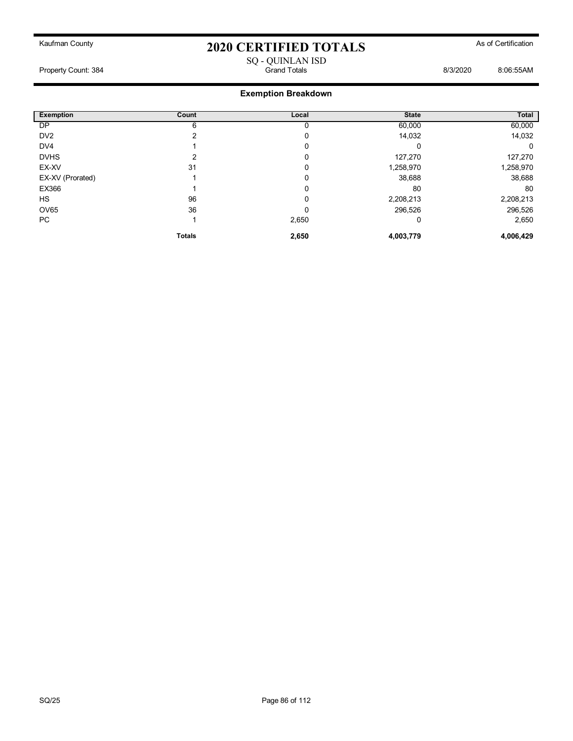#### SQ - QUINLAN ISD Property Count: 384 Grand Totals 8/3/2020 8:06:55AM

| <b>Exemption</b> | Count         | Local | <b>State</b> | <b>Total</b> |
|------------------|---------------|-------|--------------|--------------|
| DP               | 6             |       | 60,000       | 60,000       |
| DV <sub>2</sub>  |               | 0     | 14,032       | 14,032       |
| DV4              |               | 0     |              | 0            |
| <b>DVHS</b>      |               | 0     | 127,270      | 127,270      |
| EX-XV            | 31            | 0     | 1,258,970    | 1,258,970    |
| EX-XV (Prorated) |               | 0     | 38,688       | 38,688       |
| EX366            |               | 0     | 80           | 80           |
| HS.              | 96            | ۵     | 2,208,213    | 2,208,213    |
| <b>OV65</b>      | 36            | ۵     | 296,526      | 296,526      |
| PC               |               | 2,650 | 0            | 2,650        |
|                  | <b>Totals</b> | 2,650 | 4,003,779    | 4,006,429    |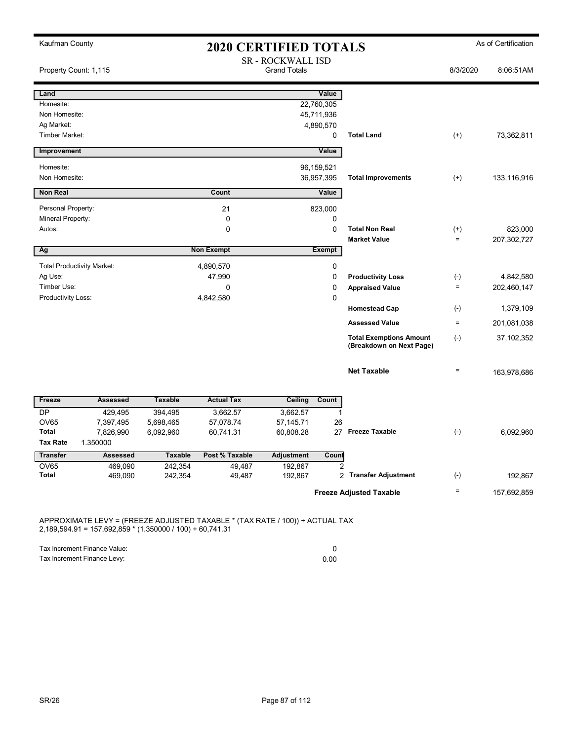| Kaufman County                  |                                   |                           | <b>2020 CERTIFIED TOTALS</b> |                                                 |                         |                                                            |                   | As of Certification |
|---------------------------------|-----------------------------------|---------------------------|------------------------------|-------------------------------------------------|-------------------------|------------------------------------------------------------|-------------------|---------------------|
| Property Count: 1,115           |                                   |                           |                              | <b>SR - ROCKWALL ISD</b><br><b>Grand Totals</b> |                         |                                                            | 8/3/2020          | 8:06:51AM           |
| Land                            |                                   |                           |                              |                                                 | Value                   |                                                            |                   |                     |
| Homesite:                       |                                   |                           |                              |                                                 | 22,760,305              |                                                            |                   |                     |
| Non Homesite:                   |                                   |                           |                              |                                                 | 45,711,936              |                                                            |                   |                     |
| Ag Market:<br>Timber Market:    |                                   |                           |                              |                                                 | 4,890,570               | <b>Total Land</b>                                          |                   |                     |
|                                 |                                   |                           |                              |                                                 | 0                       |                                                            | $^{(+)}$          | 73,362,811          |
| Improvement                     |                                   |                           |                              |                                                 | Value                   |                                                            |                   |                     |
| Homesite:                       |                                   |                           |                              |                                                 | 96,159,521              |                                                            |                   |                     |
| Non Homesite:                   |                                   |                           |                              |                                                 | 36,957,395              | <b>Total Improvements</b>                                  | $^{(+)}$          | 133,116,916         |
| <b>Non Real</b>                 |                                   |                           | Count                        |                                                 | Value                   |                                                            |                   |                     |
| Personal Property:              |                                   |                           | 21                           |                                                 | 823,000                 |                                                            |                   |                     |
| Mineral Property:               |                                   |                           | 0                            |                                                 | $\mathbf 0$             |                                                            |                   |                     |
| Autos:                          |                                   |                           | $\mathbf 0$                  |                                                 | $\mathbf 0$             | <b>Total Non Real</b>                                      | $^{(+)}$          | 823,000             |
|                                 |                                   |                           |                              |                                                 |                         | <b>Market Value</b>                                        | $\equiv$          | 207,302,727         |
| Ag                              |                                   |                           | <b>Non Exempt</b>            |                                                 | <b>Exempt</b>           |                                                            |                   |                     |
|                                 | <b>Total Productivity Market:</b> |                           | 4,890,570                    |                                                 | $\mathbf 0$             |                                                            |                   |                     |
| Ag Use:                         |                                   |                           | 47,990                       |                                                 | $\mathbf 0$             | <b>Productivity Loss</b>                                   | $(-)$             | 4,842,580           |
| Timber Use:                     |                                   |                           | $\mathbf 0$                  |                                                 | 0                       | <b>Appraised Value</b>                                     | $\qquad \qquad =$ | 202,460,147         |
| Productivity Loss:              |                                   |                           | 4,842,580                    |                                                 | $\mathbf{0}$            |                                                            |                   |                     |
|                                 |                                   |                           |                              |                                                 |                         | <b>Homestead Cap</b>                                       | $(-)$             | 1,379,109           |
|                                 |                                   |                           |                              |                                                 |                         | <b>Assessed Value</b>                                      | $\qquad \qquad =$ | 201,081,038         |
|                                 |                                   |                           |                              |                                                 |                         | <b>Total Exemptions Amount</b><br>(Breakdown on Next Page) | $(-)$             | 37, 102, 352        |
|                                 |                                   |                           |                              |                                                 |                         | <b>Net Taxable</b>                                         | $\equiv$          | 163,978,686         |
| Freeze                          | <b>Assessed</b>                   | <b>Taxable</b>            | <b>Actual Tax</b>            | <b>Ceiling</b>                                  | Count                   |                                                            |                   |                     |
| <b>DP</b>                       | 429,495                           | 394,495                   | 3,662.57                     | 3,662.57                                        | $\mathbf{1}$            |                                                            |                   |                     |
| <b>OV65</b>                     | 7,397,495                         | 5,698,465                 | 57,078.74                    | 57,145.71                                       | 26                      |                                                            |                   |                     |
| <b>Total</b><br><b>Tax Rate</b> | 7,826,990                         | 6,092,960                 | 60,741.31                    | 60,808.28                                       | 27                      | <b>Freeze Taxable</b>                                      | $(-)$             | 6,092,960           |
|                                 | 1.350000                          |                           |                              |                                                 |                         |                                                            |                   |                     |
| <b>Transfer</b><br><b>OV65</b>  | <b>Assessed</b><br>469,090        | <b>Taxable</b><br>242,354 | Post % Taxable<br>49,487     | <b>Adjustment</b><br>192,867                    | Count<br>$\overline{2}$ |                                                            |                   |                     |
| <b>Total</b>                    | 469,090                           | 242,354                   | 49,487                       | 192,867                                         |                         | 2 Transfer Adjustment                                      | $(-)$             | 192,867             |
|                                 |                                   |                           |                              |                                                 |                         |                                                            |                   |                     |
|                                 |                                   |                           |                              |                                                 |                         | <b>Freeze Adjusted Taxable</b>                             | $=$               | 157,692,859         |

APPROXIMATE LEVY = (FREEZE ADJUSTED TAXABLE \* (TAX RATE / 100)) + ACTUAL TAX 2,189,594.91 = 157,692,859 \* (1.350000 / 100) + 60,741.31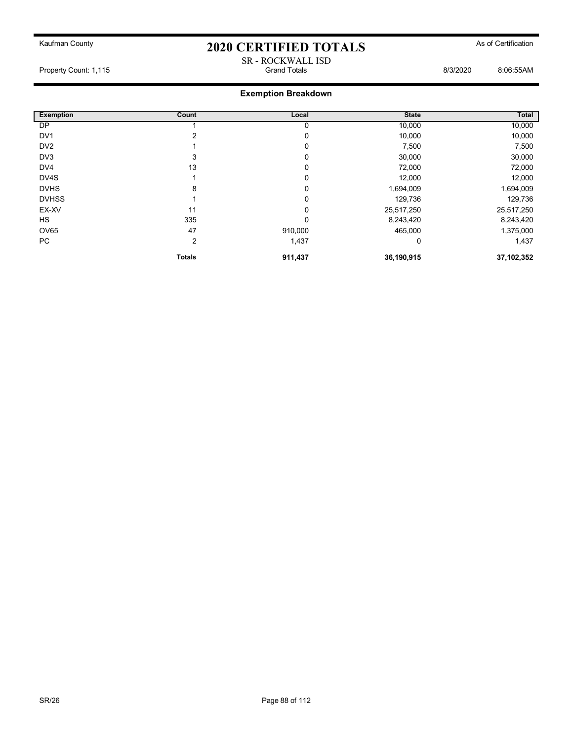SR - ROCKWALL ISD

Property Count: 1,115 Grand Totals 8/3/2020 8:06:55AM

| <b>Exemption</b> | Count         | Local   | <b>State</b> | Total      |
|------------------|---------------|---------|--------------|------------|
| DP               |               |         | 10,000       | 10,000     |
| DV <sub>1</sub>  |               | 0       | 10,000       | 10,000     |
| DV <sub>2</sub>  |               | 0       | 7,500        | 7,500      |
| DV3              | 3             | 0       | 30,000       | 30,000     |
| DV4              | 13            | 0       | 72,000       | 72,000     |
| DV4S             |               | 0       | 12,000       | 12,000     |
| <b>DVHS</b>      | 8             | 0       | 1,694,009    | 1,694,009  |
| <b>DVHSS</b>     |               | 0       | 129,736      | 129,736    |
| EX-XV            | 11            | 0       | 25,517,250   | 25,517,250 |
| <b>HS</b>        | 335           | 0       | 8,243,420    | 8,243,420  |
| OV65             | 47            | 910,000 | 465,000      | 1,375,000  |
| PC               | 2             | 1,437   | 0            | 1,437      |
|                  | <b>Totals</b> | 911,437 | 36,190,915   | 37,102,352 |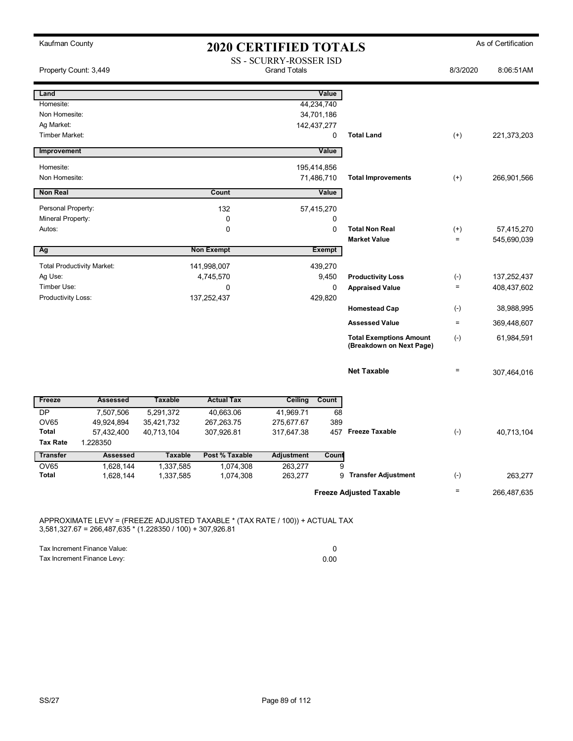| Kaufman County               |                                   | <b>2020 CERTIFIED TOTALS</b> |                        |                                               |               |                                |                    | As of Certification |
|------------------------------|-----------------------------------|------------------------------|------------------------|-----------------------------------------------|---------------|--------------------------------|--------------------|---------------------|
|                              | Property Count: 3,449             |                              |                        | SS - SCURRY-ROSSER ISD<br><b>Grand Totals</b> |               |                                | 8/3/2020           | 8:06:51AM           |
| Land                         |                                   |                              |                        |                                               | Value         |                                |                    |                     |
| Homesite:                    |                                   |                              |                        |                                               | 44,234,740    |                                |                    |                     |
| Non Homesite:                |                                   |                              |                        |                                               | 34,701,186    |                                |                    |                     |
| Ag Market:<br>Timber Market: |                                   |                              |                        | 142,437,277                                   | $\mathbf 0$   | <b>Total Land</b>              | $(+)$              | 221,373,203         |
|                              |                                   |                              |                        |                                               |               |                                |                    |                     |
| Improvement                  |                                   |                              |                        |                                               | Value         |                                |                    |                     |
| Homesite:                    |                                   |                              |                        | 195,414,856                                   |               |                                |                    |                     |
| Non Homesite:                |                                   |                              |                        |                                               | 71,486,710    | <b>Total Improvements</b>      | $(+)$              | 266,901,566         |
| <b>Non Real</b>              |                                   |                              | Count                  |                                               | Value         |                                |                    |                     |
| Personal Property:           |                                   |                              | 132                    |                                               | 57,415,270    |                                |                    |                     |
| Mineral Property:            |                                   |                              | 0                      |                                               | 0             |                                |                    |                     |
| Autos:                       |                                   |                              | $\mathbf 0$            |                                               | $\mathbf 0$   | <b>Total Non Real</b>          | $^{(+)}$           | 57,415,270          |
|                              |                                   |                              |                        |                                               |               | <b>Market Value</b>            | $=$                | 545,690,039         |
| Ag                           |                                   |                              | <b>Non Exempt</b>      |                                               | <b>Exempt</b> |                                |                    |                     |
|                              | <b>Total Productivity Market:</b> |                              | 141,998,007            |                                               | 439,270       |                                |                    |                     |
| Ag Use:                      |                                   |                              | 4,745,570              |                                               | 9,450         | <b>Productivity Loss</b>       | $(\textnormal{-})$ | 137,252,437         |
| Timber Use:                  |                                   |                              | $\Omega$               |                                               | 0             | <b>Appraised Value</b>         | $\equiv$           | 408,437,602         |
| Productivity Loss:           |                                   |                              | 137,252,437            |                                               | 429,820       |                                |                    |                     |
|                              |                                   |                              |                        |                                               |               | <b>Homestead Cap</b>           | $(\textnormal{-})$ | 38,988,995          |
|                              |                                   |                              |                        |                                               |               | <b>Assessed Value</b>          | $\quad \  \  =$    | 369,448,607         |
|                              |                                   |                              |                        |                                               |               | <b>Total Exemptions Amount</b> | $(-)$              | 61,984,591          |
|                              |                                   |                              |                        |                                               |               | (Breakdown on Next Page)       |                    |                     |
|                              |                                   |                              |                        |                                               |               | <b>Net Taxable</b>             | $\qquad \qquad =$  | 307,464,016         |
| Freeze                       | <b>Assessed</b>                   | <b>Taxable</b>               | <b>Actual Tax</b>      | <b>Ceiling</b>                                | Count         |                                |                    |                     |
| <b>DP</b>                    | 7,507,506                         | 5,291,372                    | 40,663.06              | 41,969.71                                     | 68            |                                |                    |                     |
| <b>OV65</b>                  | 49,924,894                        | 35,421,732                   | 267,263.75             | 275,677.67                                    | 389           |                                |                    |                     |
| <b>Total</b>                 | 57,432,400                        | 40,713,104                   | 307,926.81             | 317,647.38                                    |               | 457 Freeze Taxable             | $(-)$              | 40,713,104          |
| <b>Tax Rate</b>              | 1.228350                          |                              |                        |                                               |               |                                |                    |                     |
| <b>Transfer</b>              | <b>Assessed</b>                   | <b>Taxable</b>               | Post % Taxable         | Adjustment                                    | Count         |                                |                    |                     |
| <b>OV65</b><br><b>Total</b>  | 1,628,144<br>1,628,144            | 1,337,585<br>1,337,585       | 1,074,308<br>1,074,308 | 263,277<br>263,277                            | 9<br>9        | <b>Transfer Adjustment</b>     | $(\cdot)$          | 263,277             |
|                              |                                   |                              |                        |                                               |               |                                |                    |                     |
|                              |                                   |                              |                        |                                               |               | <b>Freeze Adjusted Taxable</b> | $\qquad \qquad =$  | 266,487,635         |

APPROXIMATE LEVY = (FREEZE ADJUSTED TAXABLE \* (TAX RATE / 100)) + ACTUAL TAX 3,581,327.67 = 266,487,635 \* (1.228350 / 100) + 307,926.81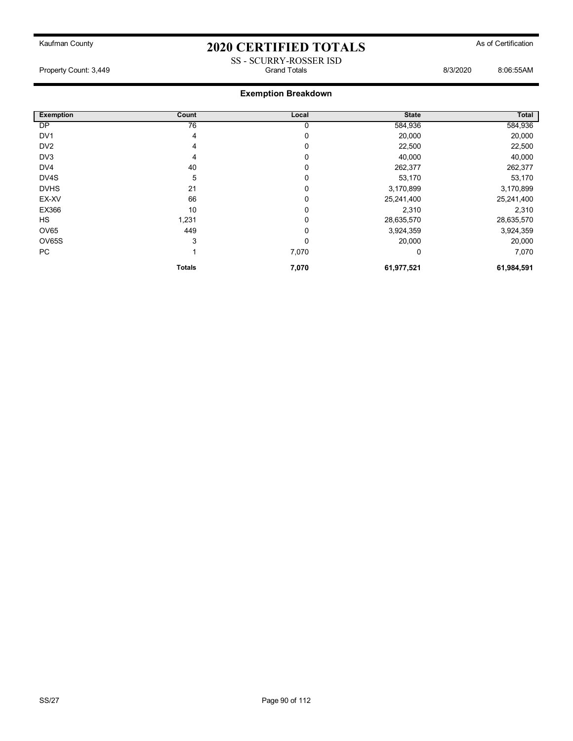SS - SCURRY-ROSSER ISD

Property Count: 3,449 Grand Totals 8/3/2020 8:06:55AM

| <b>Exemption</b> | Count           | Local | <b>State</b> | Total      |
|------------------|-----------------|-------|--------------|------------|
| DP               | $\overline{76}$ | 0     | 584,936      | 584,936    |
| DV <sub>1</sub>  | 4               | 0     | 20,000       | 20,000     |
| DV <sub>2</sub>  | 4               | 0     | 22,500       | 22,500     |
| DV3              | 4               | 0     | 40,000       | 40,000     |
| DV4              | 40              | 0     | 262,377      | 262,377    |
| DV4S             | 5               | 0     | 53,170       | 53,170     |
| <b>DVHS</b>      | 21              | 0     | 3,170,899    | 3,170,899  |
| EX-XV            | 66              | 0     | 25,241,400   | 25,241,400 |
| EX366            | 10              | 0     | 2,310        | 2,310      |
| <b>HS</b>        | 1,231           | 0     | 28,635,570   | 28,635,570 |
| OV65             | 449             | 0     | 3,924,359    | 3,924,359  |
| OV65S            | 3               | 0     | 20,000       | 20,000     |
| PC               |                 | 7,070 | 0            | 7,070      |
|                  | <b>Totals</b>   | 7,070 | 61,977,521   | 61,984,591 |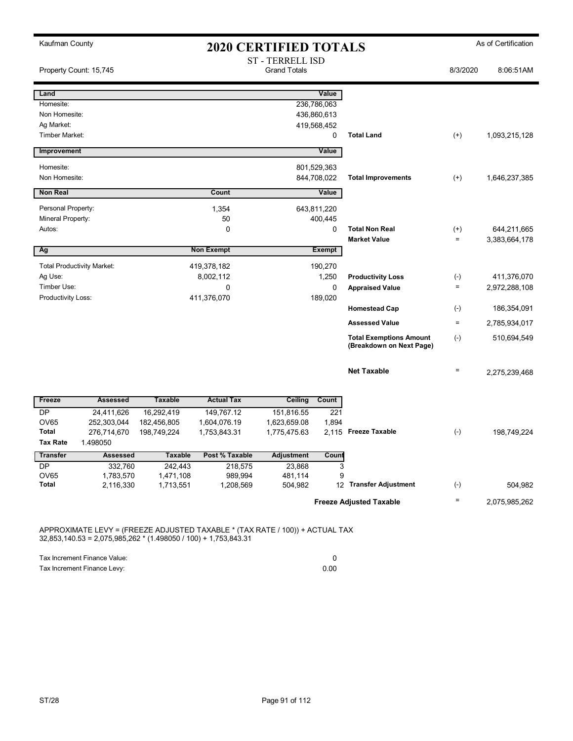| Kaufman County              |                                   |                        | <b>2020 CERTIFIED TOTALS</b> |                         |               |                                |           | As of Certification |
|-----------------------------|-----------------------------------|------------------------|------------------------------|-------------------------|---------------|--------------------------------|-----------|---------------------|
|                             |                                   |                        |                              | <b>ST - TERRELL ISD</b> |               |                                |           |                     |
| Property Count: 15,745      |                                   |                        |                              | <b>Grand Totals</b>     |               |                                | 8/3/2020  | 8:06:51AM           |
| Land                        |                                   |                        |                              |                         | Value         |                                |           |                     |
| Homesite:                   |                                   |                        |                              |                         | 236,786,063   |                                |           |                     |
| Non Homesite:               |                                   |                        |                              |                         | 436,860,613   |                                |           |                     |
| Ag Market:                  |                                   |                        |                              |                         | 419,568,452   |                                |           |                     |
| Timber Market:              |                                   |                        |                              |                         | $\mathbf 0$   | <b>Total Land</b>              | $(+)$     | 1,093,215,128       |
| Improvement                 |                                   |                        |                              |                         | Value         |                                |           |                     |
| Homesite:                   |                                   |                        |                              |                         | 801,529,363   |                                |           |                     |
| Non Homesite:               |                                   |                        |                              |                         | 844,708,022   | <b>Total Improvements</b>      | $^{(+)}$  | 1,646,237,385       |
| <b>Non Real</b>             |                                   |                        | Count                        |                         | Value         |                                |           |                     |
| Personal Property:          |                                   |                        | 1,354                        |                         | 643,811,220   |                                |           |                     |
| Mineral Property:           |                                   |                        | 50                           |                         | 400,445       |                                |           |                     |
| Autos:                      |                                   |                        | $\mathbf 0$                  |                         | $\mathbf 0$   | <b>Total Non Real</b>          | $^{(+)}$  | 644,211,665         |
|                             |                                   |                        |                              |                         |               | <b>Market Value</b>            | $\equiv$  | 3,383,664,178       |
| Ag                          |                                   |                        | <b>Non Exempt</b>            |                         | <b>Exempt</b> |                                |           |                     |
|                             | <b>Total Productivity Market:</b> |                        | 419,378,182                  |                         | 190,270       |                                |           |                     |
| Ag Use:                     |                                   |                        | 8,002,112                    |                         | 1,250         | <b>Productivity Loss</b>       | $(-)$     | 411,376,070         |
| Timber Use:                 |                                   |                        | $\mathbf 0$                  |                         | $\mathbf 0$   | <b>Appraised Value</b>         | $\equiv$  | 2,972,288,108       |
| Productivity Loss:          |                                   |                        | 411,376,070                  |                         | 189,020       | <b>Homestead Cap</b>           | $(\cdot)$ | 186,354,091         |
|                             |                                   |                        |                              |                         |               | <b>Assessed Value</b>          | $\equiv$  | 2,785,934,017       |
|                             |                                   |                        |                              |                         |               | <b>Total Exemptions Amount</b> | $(-)$     | 510,694,549         |
|                             |                                   |                        |                              |                         |               | (Breakdown on Next Page)       |           |                     |
|                             |                                   |                        |                              |                         |               | <b>Net Taxable</b>             | $\equiv$  | 2,275,239,468       |
| Freeze                      | <b>Assessed</b>                   | <b>Taxable</b>         | <b>Actual Tax</b>            | Ceiling                 | Count         |                                |           |                     |
| <b>DP</b>                   | 24,411,626                        | 16,292,419             | 149,767.12                   | 151,816.55              | 221           |                                |           |                     |
| <b>OV65</b>                 | 252,303,044                       | 182,456,805            | 1,604,076.19                 | 1,623,659.08            | 1,894         |                                |           |                     |
| Total                       | 276,714,670                       | 198,749,224            | 1,753,843.31                 | 1,775,475.63            |               | 2,115 Freeze Taxable           | $(-)$     | 198,749,224         |
| <b>Tax Rate</b>             | 1.498050                          |                        |                              |                         |               |                                |           |                     |
| Transfer                    | <b>Assessed</b>                   | <b>Taxable</b>         | Post % Taxable               | <b>Adjustment</b>       | Count         |                                |           |                     |
| <b>DP</b>                   | 332,760                           | 242,443                | 218,575                      | 23,868                  | 3             |                                |           |                     |
| <b>OV65</b><br><b>Total</b> | 1,783,570<br>2,116,330            | 1,471,108<br>1,713,551 | 989,994<br>1,208,569         | 481,114<br>504,982      | 9             | 12 Transfer Adjustment         | $(-)$     | 504.982             |
|                             |                                   |                        |                              |                         |               |                                |           |                     |
|                             |                                   |                        |                              |                         |               | <b>Freeze Adjusted Taxable</b> | $\equiv$  | 2,075,985,262       |

APPROXIMATE LEVY = (FREEZE ADJUSTED TAXABLE \* (TAX RATE / 100)) + ACTUAL TAX 32,853,140.53 = 2,075,985,262 \* (1.498050 / 100) + 1,753,843.31

| Tax Increment Finance Value: |      |
|------------------------------|------|
| Tax Increment Finance Levy:  | 0.00 |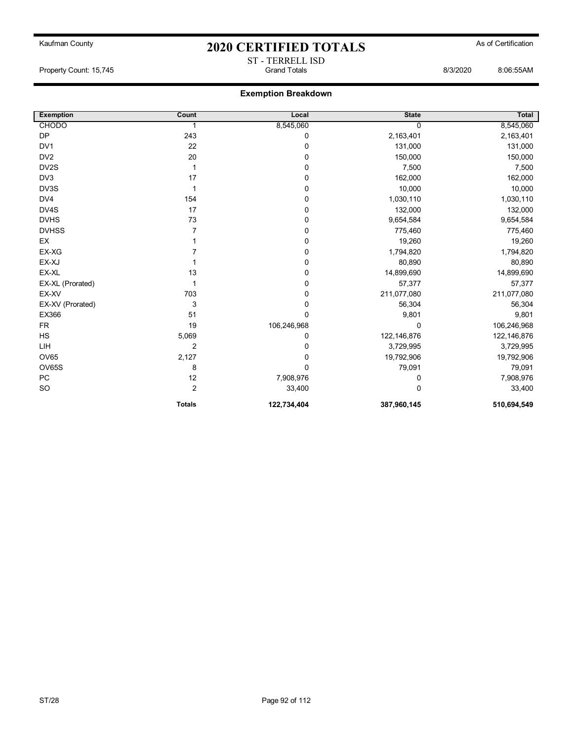ST - TERRELL ISD

Property Count: 15,745 Grand Totals 8/3/2020 8:06:55AM

| <b>Exemption</b> | Count          | Local       | <b>State</b> | Total       |
|------------------|----------------|-------------|--------------|-------------|
| <b>CHODO</b>     | 1              | 8,545,060   | 0            | 8,545,060   |
| <b>DP</b>        | 243            | 0           | 2,163,401    | 2,163,401   |
| DV <sub>1</sub>  | 22             | 0           | 131,000      | 131,000     |
| DV <sub>2</sub>  | 20             | 0           | 150,000      | 150,000     |
| DV2S             | 1              | 0           | 7,500        | 7,500       |
| DV <sub>3</sub>  | 17             | 0           | 162,000      | 162,000     |
| DV3S             |                | 0           | 10,000       | 10,000      |
| DV4              | 154            | 0           | 1,030,110    | 1,030,110   |
| DV4S             | 17             | 0           | 132,000      | 132,000     |
| <b>DVHS</b>      | 73             | 0           | 9,654,584    | 9,654,584   |
| <b>DVHSS</b>     | 7              | 0           | 775,460      | 775,460     |
| EX               |                | 0           | 19,260       | 19,260      |
| EX-XG            |                | 0           | 1,794,820    | 1,794,820   |
| EX-XJ            |                | 0           | 80,890       | 80,890      |
| EX-XL            | 13             | 0           | 14,899,690   | 14,899,690  |
| EX-XL (Prorated) | 1              | 0           | 57,377       | 57,377      |
| EX-XV            | 703            | 0           | 211,077,080  | 211,077,080 |
| EX-XV (Prorated) | 3              | 0           | 56,304       | 56,304      |
| EX366            | 51             | 0           | 9,801        | 9,801       |
| <b>FR</b>        | 19             | 106,246,968 | $\Omega$     | 106,246,968 |
| <b>HS</b>        | 5,069          | 0           | 122,146,876  | 122,146,876 |
| LIH              | $\overline{2}$ | 0           | 3,729,995    | 3,729,995   |
| <b>OV65</b>      | 2,127          | 0           | 19,792,906   | 19,792,906  |
| <b>OV65S</b>     | 8              | 0           | 79,091       | 79,091      |
| <b>PC</b>        | 12             | 7,908,976   | 0            | 7,908,976   |
| SO               | 2              | 33,400      | 0            | 33,400      |
|                  | <b>Totals</b>  | 122,734,404 | 387,960,145  | 510,694,549 |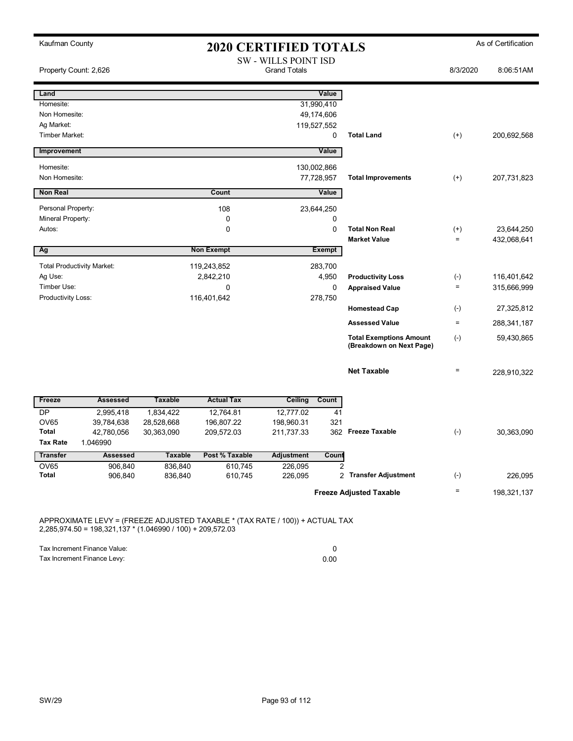| Kaufman County                    |                                   |                          |                          | <b>2020 CERTIFIED TOTALS</b>                       |                        |                                |           | As of Certification |
|-----------------------------------|-----------------------------------|--------------------------|--------------------------|----------------------------------------------------|------------------------|--------------------------------|-----------|---------------------|
|                                   | Property Count: 2,626             |                          |                          | <b>SW - WILLS POINT ISD</b><br><b>Grand Totals</b> |                        |                                | 8/3/2020  | 8:06:51AM           |
| Land                              |                                   |                          |                          |                                                    | Value                  |                                |           |                     |
| Homesite:                         |                                   |                          |                          |                                                    | 31,990,410             |                                |           |                     |
| Non Homesite:<br>Ag Market:       |                                   |                          |                          | 119,527,552                                        | 49,174,606             |                                |           |                     |
| Timber Market:                    |                                   |                          |                          |                                                    | $\mathbf 0$            | <b>Total Land</b>              | $(+)$     | 200,692,568         |
| Improvement                       |                                   |                          |                          |                                                    | Value                  |                                |           |                     |
| Homesite:                         |                                   |                          |                          | 130,002,866                                        |                        |                                |           |                     |
| Non Homesite:                     |                                   |                          |                          |                                                    | 77,728,957             | <b>Total Improvements</b>      | $(+)$     | 207,731,823         |
| <b>Non Real</b>                   |                                   |                          | Count                    |                                                    | Value                  |                                |           |                     |
| Personal Property:                |                                   |                          | 108                      |                                                    | 23,644,250             |                                |           |                     |
| Mineral Property:                 |                                   |                          | 0                        |                                                    | $\mathbf 0$            |                                |           |                     |
| Autos:                            |                                   |                          | 0                        |                                                    | $\mathbf 0$            | <b>Total Non Real</b>          | $^{(+)}$  | 23,644,250          |
|                                   |                                   |                          |                          |                                                    |                        | <b>Market Value</b>            | $\equiv$  | 432,068,641         |
| Ag                                |                                   |                          | <b>Non Exempt</b>        |                                                    | <b>Exempt</b>          |                                |           |                     |
|                                   | <b>Total Productivity Market:</b> |                          | 119,243,852              |                                                    | 283,700                |                                |           |                     |
| Ag Use:                           |                                   |                          | 2,842,210                |                                                    | 4,950                  | <b>Productivity Loss</b>       | $(-)$     | 116,401,642         |
| Timber Use:<br>Productivity Loss: |                                   |                          | 0<br>116,401,642         |                                                    | $\mathbf 0$<br>278,750 | <b>Appraised Value</b>         | $\equiv$  | 315,666,999         |
|                                   |                                   |                          |                          |                                                    |                        | <b>Homestead Cap</b>           | $(-)$     | 27,325,812          |
|                                   |                                   |                          |                          |                                                    |                        | <b>Assessed Value</b>          | $=$       | 288,341,187         |
|                                   |                                   |                          |                          |                                                    |                        | <b>Total Exemptions Amount</b> | $(-)$     | 59,430,865          |
|                                   |                                   |                          |                          |                                                    |                        | (Breakdown on Next Page)       |           |                     |
|                                   |                                   |                          |                          |                                                    |                        | <b>Net Taxable</b>             | $\equiv$  | 228,910,322         |
|                                   |                                   |                          |                          |                                                    |                        |                                |           |                     |
| Freeze                            | <b>Assessed</b>                   | <b>Taxable</b>           | <b>Actual Tax</b>        | Ceiling                                            | Count                  |                                |           |                     |
| <b>DP</b><br><b>OV65</b>          | 2,995,418                         | 1,834,422                | 12,764.81                | 12,777.02                                          | 41<br>321              |                                |           |                     |
| <b>Total</b>                      | 39,784,638<br>42,780,056          | 28,528,668<br>30,363,090 | 196,807.22<br>209,572.03 | 198,960.31<br>211,737.33                           |                        | 362 Freeze Taxable             | $(-)$     | 30,363,090          |
| <b>Tax Rate</b>                   | 1.046990                          |                          |                          |                                                    |                        |                                |           |                     |
| <b>Transfer</b>                   | <b>Assessed</b>                   | <b>Taxable</b>           | Post % Taxable           | <b>Adjustment</b>                                  | Count                  |                                |           |                     |
| <b>OV65</b>                       | 906,840                           | 836,840                  | 610,745                  | 226,095                                            | $\overline{2}$         |                                |           |                     |
| <b>Total</b>                      | 906,840                           | 836,840                  | 610,745                  | 226,095                                            | $\overline{2}$         | <b>Transfer Adjustment</b>     | $(\cdot)$ | 226,095             |
|                                   |                                   |                          |                          |                                                    |                        | <b>Freeze Adjusted Taxable</b> | $\equiv$  | 198,321,137         |

APPROXIMATE LEVY = (FREEZE ADJUSTED TAXABLE \* (TAX RATE / 100)) + ACTUAL TAX 2,285,974.50 = 198,321,137 \* (1.046990 / 100) + 209,572.03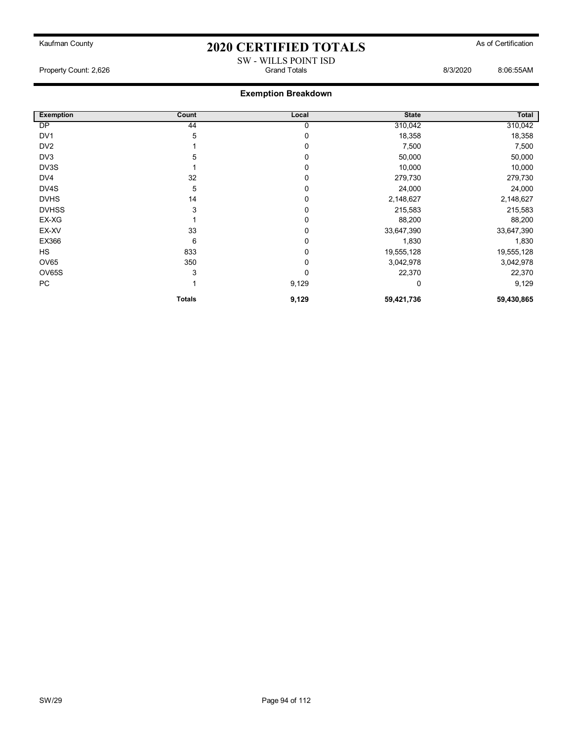Property Count: 2,626 **Biseries and Strutter Counting Counting Counting Counting Counting Counting Counting Counting Counting Counting Counting Counting Counting Counting Counting Counting Counting Counting Counting Counti** 

## **Exemption Breakdown**

| <b>Exemption</b> | Count         | Local    | <b>State</b> | Total      |
|------------------|---------------|----------|--------------|------------|
| DP               | 44            | 0        | 310,042      | 310,042    |
| DV <sub>1</sub>  | 5             | 0        | 18,358       | 18,358     |
| DV <sub>2</sub>  |               | $\Omega$ | 7,500        | 7,500      |
| DV3              | 5             | $\Omega$ | 50,000       | 50,000     |
| DV3S             |               | $\Omega$ | 10,000       | 10,000     |
| DV4              | 32            | 0        | 279,730      | 279,730    |
| DV4S             | 5             |          | 24,000       | 24,000     |
| <b>DVHS</b>      | 14            |          | 2,148,627    | 2,148,627  |
| <b>DVHSS</b>     | 3             |          | 215,583      | 215,583    |
| EX-XG            |               | 0        | 88,200       | 88,200     |
| EX-XV            | 33            | 0        | 33,647,390   | 33,647,390 |
| EX366            | 6             | 0        | 1,830        | 1,830      |
| HS               | 833           | 0        | 19,555,128   | 19,555,128 |
| <b>OV65</b>      | 350           | 0        | 3,042,978    | 3,042,978  |
| OV65S            | 3             | $\Omega$ | 22,370       | 22,370     |
| PC               |               | 9,129    |              | 9,129      |
|                  | <b>Totals</b> | 9,129    | 59,421,736   | 59,430,865 |

SW - WILLS POINT ISD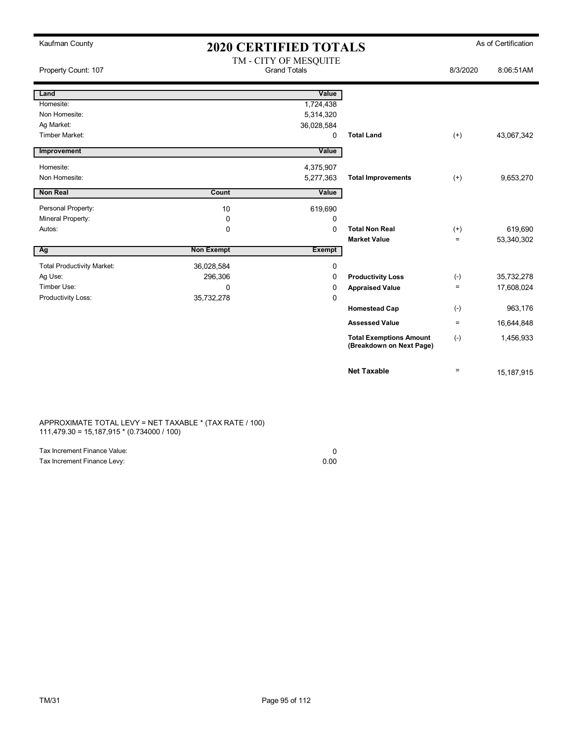| Kaufman County                    |                   | <b>2020 CERTIFIED TOTALS</b>                 |                                                            |           | As of Certification |
|-----------------------------------|-------------------|----------------------------------------------|------------------------------------------------------------|-----------|---------------------|
| Property Count: 107               |                   | TM - CITY OF MESQUITE<br><b>Grand Totals</b> |                                                            | 8/3/2020  | 8:06:51AM           |
| Land                              |                   | Value                                        |                                                            |           |                     |
| Homesite:                         |                   | 1,724,438                                    |                                                            |           |                     |
| Non Homesite:                     |                   | 5,314,320                                    |                                                            |           |                     |
| Ag Market:                        |                   | 36,028,584                                   |                                                            |           |                     |
| Timber Market:                    |                   | $\mathbf 0$                                  | <b>Total Land</b>                                          | $(+)$     | 43,067,342          |
| Improvement                       |                   | Value                                        |                                                            |           |                     |
| Homesite:                         |                   | 4,375,907                                    |                                                            |           |                     |
| Non Homesite:                     |                   | 5,277,363                                    | <b>Total Improvements</b>                                  | $(+)$     | 9,653,270           |
| <b>Non Real</b>                   | Count             | Value                                        |                                                            |           |                     |
| Personal Property:                | 10                | 619,690                                      |                                                            |           |                     |
| Mineral Property:                 | 0                 | 0                                            |                                                            |           |                     |
| Autos:                            | 0                 | 0                                            | <b>Total Non Real</b>                                      | $^{(+)}$  | 619,690             |
|                                   |                   |                                              | <b>Market Value</b>                                        | $=$       | 53,340,302          |
| Ag                                | <b>Non Exempt</b> | <b>Exempt</b>                                |                                                            |           |                     |
| <b>Total Productivity Market:</b> | 36,028,584        | 0                                            |                                                            |           |                     |
| Ag Use:                           | 296,306           | 0                                            | <b>Productivity Loss</b>                                   | $(-)$     | 35,732,278          |
| Timber Use:                       | 0                 | 0                                            | <b>Appraised Value</b>                                     | $\quad =$ | 17,608,024          |
| Productivity Loss:                | 35,732,278        | 0                                            |                                                            |           |                     |
|                                   |                   |                                              | <b>Homestead Cap</b>                                       | $(-)$     | 963,176             |
|                                   |                   |                                              | <b>Assessed Value</b>                                      | $\equiv$  | 16,644,848          |
|                                   |                   |                                              | <b>Total Exemptions Amount</b><br>(Breakdown on Next Page) | $(-)$     | 1,456,933           |
|                                   |                   |                                              | <b>Net Taxable</b>                                         | $=$       | 15,187,915          |

APPROXIMATE TOTAL LEVY = NET TAXABLE \* (TAX RATE / 100) 111,479.30 = 15,187,915 \* (0.734000 / 100)

| Tax Increment Finance Value: |      |
|------------------------------|------|
| Tax Increment Finance Levy:  | 0.00 |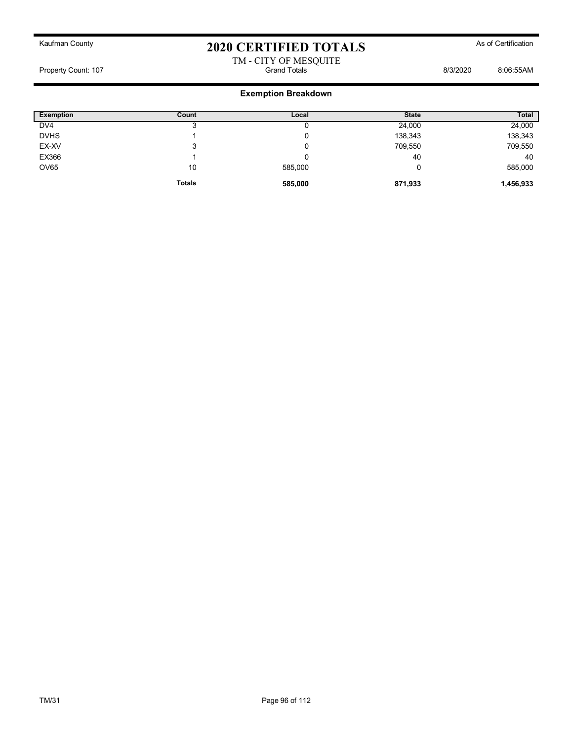## Kaufman County **As of Certification 2020 CERTIFIED TOTALS** As of Certification TM - CITY OF MESQUITE

Property Count: 107 Grand Totals 8/3/2020 8:06:55AM

| <b>Exemption</b> | Count         | Local   | <b>State</b> | <b>Total</b> |
|------------------|---------------|---------|--------------|--------------|
| DV <sub>4</sub>  |               |         | 24,000       | 24,000       |
| <b>DVHS</b>      |               |         | 138,343      | 138,343      |
| EX-XV            | ◠<br>- ა      |         | 709,550      | 709,550      |
| EX366            |               |         | 40           | 40           |
| <b>OV65</b>      | 10            | 585,000 | U            | 585,000      |
|                  | <b>Totals</b> | 585,000 | 871,933      | 1,456,933    |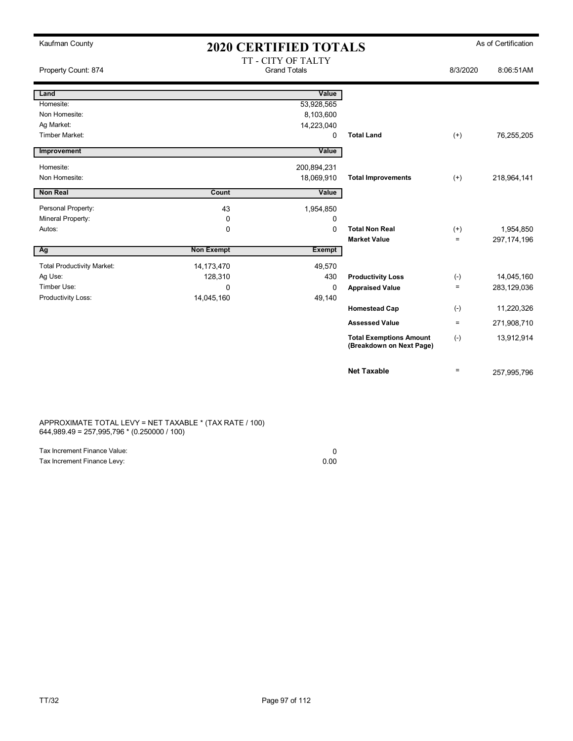| Kaufman County                    | <b>2020 CERTIFIED TOTALS</b> |                                           |                                                            |          | As of Certification |
|-----------------------------------|------------------------------|-------------------------------------------|------------------------------------------------------------|----------|---------------------|
| Property Count: 874               |                              | TT - CITY OF TALTY<br><b>Grand Totals</b> |                                                            | 8/3/2020 | 8:06:51AM           |
| Land                              |                              | Value                                     |                                                            |          |                     |
| Homesite:                         |                              | 53,928,565                                |                                                            |          |                     |
| Non Homesite:                     |                              | 8,103,600                                 |                                                            |          |                     |
| Ag Market:                        |                              | 14,223,040                                |                                                            |          |                     |
| Timber Market:                    |                              | 0                                         | <b>Total Land</b>                                          | $(+)$    | 76,255,205          |
| Improvement                       |                              | Value                                     |                                                            |          |                     |
| Homesite:                         |                              | 200,894,231                               |                                                            |          |                     |
| Non Homesite:                     |                              | 18,069,910                                | <b>Total Improvements</b>                                  | $(+)$    | 218,964,141         |
| <b>Non Real</b>                   | Count                        | Value                                     |                                                            |          |                     |
| Personal Property:                | 43                           | 1,954,850                                 |                                                            |          |                     |
| Mineral Property:                 | 0                            | 0                                         |                                                            |          |                     |
| Autos:                            | $\mathbf 0$                  | $\mathbf 0$                               | <b>Total Non Real</b>                                      | $(+)$    | 1,954,850           |
|                                   |                              |                                           | <b>Market Value</b>                                        | $=$      | 297, 174, 196       |
| Ag                                | <b>Non Exempt</b>            | Exempt                                    |                                                            |          |                     |
| <b>Total Productivity Market:</b> | 14,173,470                   | 49,570                                    |                                                            |          |                     |
| Ag Use:                           | 128,310                      | 430                                       | <b>Productivity Loss</b>                                   | $(-)$    | 14,045,160          |
| Timber Use:                       | $\mathbf{0}$                 | $\mathbf 0$                               | <b>Appraised Value</b>                                     | $=$      | 283,129,036         |
| Productivity Loss:                | 14,045,160                   | 49,140                                    |                                                            |          |                     |
|                                   |                              |                                           | <b>Homestead Cap</b>                                       | $(-)$    | 11,220,326          |
|                                   |                              |                                           | <b>Assessed Value</b>                                      | $=$      | 271,908,710         |
|                                   |                              |                                           | <b>Total Exemptions Amount</b><br>(Breakdown on Next Page) | $(-)$    | 13,912,914          |
|                                   |                              |                                           | <b>Net Taxable</b>                                         | $=$      | 257,995,796         |

APPROXIMATE TOTAL LEVY = NET TAXABLE \* (TAX RATE / 100) 644,989.49 = 257,995,796 \* (0.250000 / 100)

| Tax Increment Finance Value: |      |
|------------------------------|------|
| Tax Increment Finance Levy:  | 0.00 |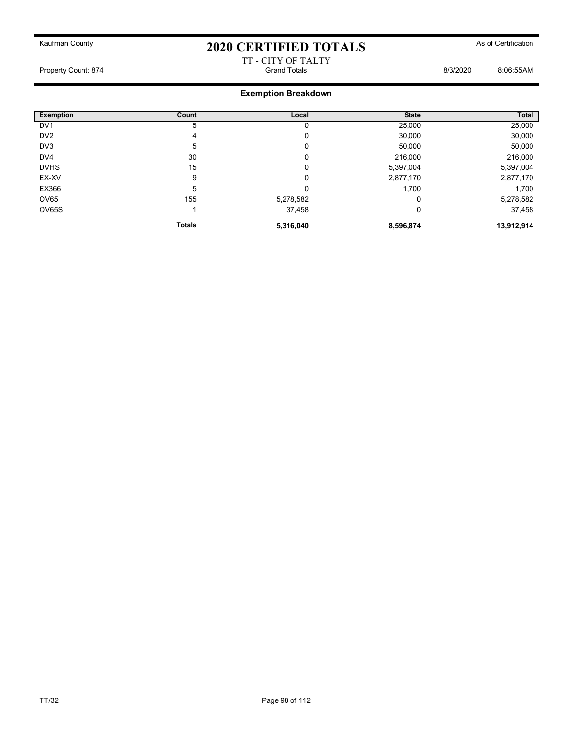### TT - CITY OF TALTY Property Count: 874 Grand Totals 8/3/2020 8:06:55AM

| <b>Exemption</b> | Count         | Local     | <b>State</b> | Total      |
|------------------|---------------|-----------|--------------|------------|
| DV <sub>1</sub>  | 5             | 0         | 25,000       | 25,000     |
| DV <sub>2</sub>  | 4             | 0         | 30,000       | 30,000     |
| DV3              | 5             | 0         | 50,000       | 50,000     |
| DV <sub>4</sub>  | 30            | 0         | 216,000      | 216,000    |
| <b>DVHS</b>      | 15            | 0         | 5,397,004    | 5,397,004  |
| EX-XV            | 9             | 0         | 2,877,170    | 2,877,170  |
| EX366            | 5             | 0         | 1,700        | 1,700      |
| OV65             | 155           | 5,278,582 | 0            | 5,278,582  |
| OV65S            |               | 37,458    | 0            | 37,458     |
|                  | <b>Totals</b> | 5,316,040 | 8,596,874    | 13,912,914 |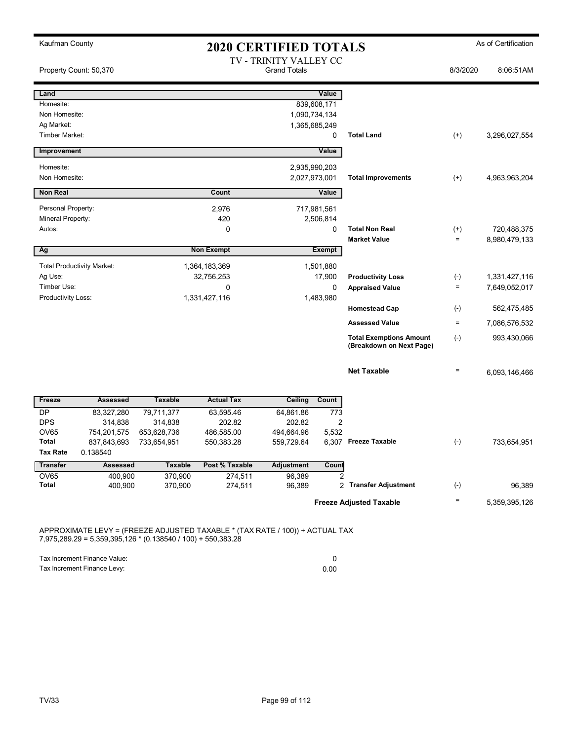| Kaufman County              |                                   | <b>2020 CERTIFIED TOTALS</b> |                   |                                               |               |                                                            | As of Certification |               |
|-----------------------------|-----------------------------------|------------------------------|-------------------|-----------------------------------------------|---------------|------------------------------------------------------------|---------------------|---------------|
|                             | Property Count: 50,370            |                              |                   | TV - TRINITY VALLEY CC<br><b>Grand Totals</b> |               |                                                            | 8/3/2020            | 8:06:51AM     |
| Land                        |                                   |                              |                   |                                               | Value         |                                                            |                     |               |
| Homesite:                   |                                   |                              |                   |                                               | 839,608,171   |                                                            |                     |               |
| Non Homesite:               |                                   |                              |                   |                                               | 1,090,734,134 |                                                            |                     |               |
| Ag Market:                  |                                   |                              |                   |                                               | 1,365,685,249 |                                                            |                     |               |
| Timber Market:              |                                   |                              |                   |                                               | $\mathbf 0$   | <b>Total Land</b>                                          | $(+)$               | 3,296,027,554 |
| Improvement                 |                                   |                              |                   |                                               | Value         |                                                            |                     |               |
| Homesite:                   |                                   |                              |                   |                                               | 2,935,990,203 |                                                            |                     |               |
| Non Homesite:               |                                   |                              |                   |                                               | 2,027,973,001 | <b>Total Improvements</b>                                  | $(+)$               | 4,963,963,204 |
| <b>Non Real</b>             |                                   |                              | Count             |                                               | Value         |                                                            |                     |               |
| Personal Property:          |                                   |                              | 2,976             |                                               | 717,981,561   |                                                            |                     |               |
| Mineral Property:           |                                   |                              | 420               |                                               | 2,506,814     |                                                            |                     |               |
| Autos:                      |                                   |                              | 0                 |                                               | $\mathbf 0$   | <b>Total Non Real</b>                                      | $^{(+)}$            | 720,488,375   |
|                             |                                   |                              |                   |                                               |               | <b>Market Value</b>                                        | $\equiv$            | 8,980,479,133 |
| Ag                          |                                   |                              | <b>Non Exempt</b> |                                               | <b>Exempt</b> |                                                            |                     |               |
|                             | <b>Total Productivity Market:</b> |                              | 1,364,183,369     |                                               | 1,501,880     |                                                            |                     |               |
| Ag Use:                     |                                   |                              | 32,756,253        |                                               | 17,900        | <b>Productivity Loss</b>                                   | $(\textnormal{-})$  | 1,331,427,116 |
| Timber Use:                 |                                   |                              | $\mathbf 0$       |                                               | 0             | <b>Appraised Value</b>                                     | $\equiv$            | 7,649,052,017 |
| Productivity Loss:          |                                   |                              | 1,331,427,116     |                                               | 1,483,980     |                                                            |                     |               |
|                             |                                   |                              |                   |                                               |               | <b>Homestead Cap</b>                                       | $(\cdot)$           | 562,475,485   |
|                             |                                   |                              |                   |                                               |               | <b>Assessed Value</b>                                      | $\equiv$            | 7,086,576,532 |
|                             |                                   |                              |                   |                                               |               | <b>Total Exemptions Amount</b><br>(Breakdown on Next Page) | $(-)$               | 993,430,066   |
|                             |                                   |                              |                   |                                               |               | <b>Net Taxable</b>                                         | $=$                 | 6,093,146,466 |
| Freeze                      | <b>Assessed</b>                   | <b>Taxable</b>               | <b>Actual Tax</b> | Ceiling                                       | Count         |                                                            |                     |               |
| <b>DP</b>                   | 83,327,280                        | 79,711,377                   | 63,595.46         | 64,861.86                                     | 773           |                                                            |                     |               |
| <b>DPS</b>                  | 314,838                           | 314,838                      | 202.82            | 202.82                                        | 2             |                                                            |                     |               |
| <b>OV65</b><br><b>Total</b> | 754,201,575                       | 653,628,736                  | 486,585.00        | 494,664.96<br>559,729.64                      | 5,532         | 6.307 Freeze Taxable                                       | $(-)$               |               |
| <b>Tax Rate</b>             | 837,843,693<br>0.138540           | 733,654,951                  | 550,383.28        |                                               |               |                                                            |                     | 733,654,951   |
| <b>Transfer</b>             | <b>Assessed</b>                   | <b>Taxable</b>               | Post % Taxable    | <b>Adjustment</b>                             | Count         |                                                            |                     |               |
| <b>OV65</b>                 | 400,900                           | 370,900                      | 274,511           | 96,389                                        | 2             |                                                            |                     |               |
| <b>Total</b>                | 400,900                           | 370,900                      | 274,511           | 96,389                                        |               | 2 Transfer Adjustment                                      | $(-)$               | 96,389        |
|                             |                                   |                              |                   |                                               |               | <b>Freeze Adjusted Taxable</b>                             | $=$                 | 5,359,395,126 |
|                             |                                   |                              |                   |                                               |               |                                                            |                     |               |

APPROXIMATE LEVY = (FREEZE ADJUSTED TAXABLE \* (TAX RATE / 100)) + ACTUAL TAX 7,975,289.29 = 5,359,395,126 \* (0.138540 / 100) + 550,383.28

| Tax Increment Finance Value: |      |
|------------------------------|------|
| Tax Increment Finance Levy:  | 0.00 |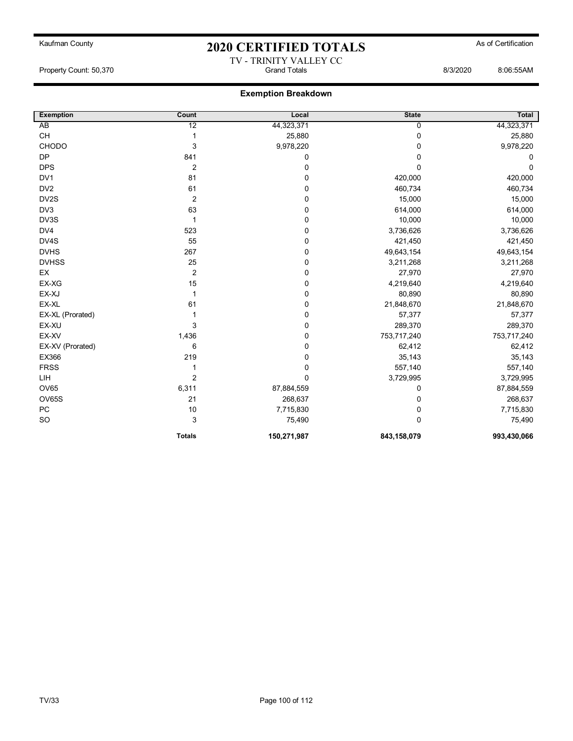## Kaufman County **As of Certification 2020 CERTIFIED TOTALS** As of Certification TV - TRINITY VALLEY CC

Property Count: 50,370 Grand Totals 8/3/2020 8:06:55AM

| <b>Exemption</b> | Count          | Local       | <b>State</b> | Total       |
|------------------|----------------|-------------|--------------|-------------|
| $\overline{AB}$  | 12             | 44,323,371  | 0            | 44,323,371  |
| <b>CH</b>        | 1              | 25,880      | 0            | 25,880      |
| CHODO            | 3              | 9,978,220   | 0            | 9,978,220   |
| <b>DP</b>        | 841            | 0           | 0            | 0           |
| <b>DPS</b>       | $\overline{2}$ | 0           | 0            | 0           |
| DV1              | 81             | 0           | 420,000      | 420,000     |
| DV <sub>2</sub>  | 61             | 0           | 460,734      | 460,734     |
| DV2S             | $\overline{2}$ | 0           | 15,000       | 15,000      |
| DV3              | 63             | 0           | 614,000      | 614,000     |
| DV3S             | 1              | 0           | 10,000       | 10,000      |
| DV4              | 523            | 0           | 3,736,626    | 3,736,626   |
| DV4S             | 55             | 0           | 421,450      | 421,450     |
| <b>DVHS</b>      | 267            | 0           | 49,643,154   | 49,643,154  |
| <b>DVHSS</b>     | 25             | 0           | 3,211,268    | 3,211,268   |
| EX               | $\overline{2}$ | 0           | 27,970       | 27,970      |
| EX-XG            | 15             | 0           | 4,219,640    | 4,219,640   |
| EX-XJ            | 1              | 0           | 80,890       | 80,890      |
| EX-XL            | 61             | 0           | 21,848,670   | 21,848,670  |
| EX-XL (Prorated) |                | 0           | 57,377       | 57,377      |
| EX-XU            | 3              | 0           | 289,370      | 289,370     |
| EX-XV            | 1,436          | 0           | 753,717,240  | 753,717,240 |
| EX-XV (Prorated) | 6              | 0           | 62,412       | 62,412      |
| EX366            | 219            | 0           | 35,143       | 35,143      |
| <b>FRSS</b>      |                | 0           | 557,140      | 557,140     |
| <b>LIH</b>       | $\overline{2}$ | 0           | 3,729,995    | 3,729,995   |
| <b>OV65</b>      | 6,311          | 87,884,559  | 0            | 87,884,559  |
| OV65S            | 21             | 268,637     | 0            | 268,637     |
| PC               | 10             | 7,715,830   | 0            | 7,715,830   |
| SO               | 3              | 75,490      | $\Omega$     | 75,490      |
|                  | <b>Totals</b>  | 150,271,987 | 843,158,079  | 993,430,066 |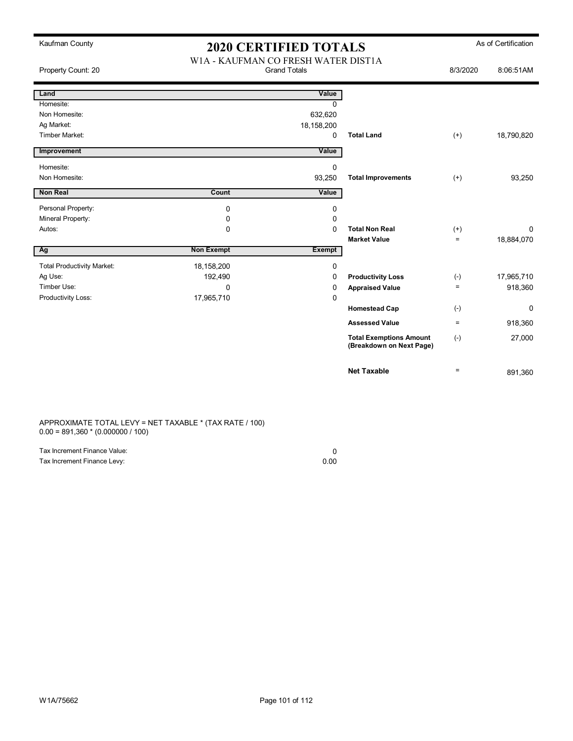| Kaufman County                    | <b>2020 CERTIFIED TOTALS</b>        |                     |                                                            | As of Certification |            |
|-----------------------------------|-------------------------------------|---------------------|------------------------------------------------------------|---------------------|------------|
| Property Count: 20                | W1A - KAUFMAN CO FRESH WATER DIST1A | <b>Grand Totals</b> |                                                            | 8/3/2020            | 8:06:51AM  |
| Land                              |                                     | Value               |                                                            |                     |            |
| Homesite:                         |                                     | $\Omega$            |                                                            |                     |            |
| Non Homesite:                     |                                     | 632,620             |                                                            |                     |            |
| Ag Market:                        |                                     | 18,158,200          |                                                            |                     |            |
| <b>Timber Market:</b>             |                                     | 0                   | <b>Total Land</b>                                          | $^{(+)}$            | 18,790,820 |
| Improvement                       |                                     | Value               |                                                            |                     |            |
| Homesite:                         |                                     | 0                   |                                                            |                     |            |
| Non Homesite:                     |                                     | 93,250              | <b>Total Improvements</b>                                  | $(+)$               | 93,250     |
| <b>Non Real</b>                   | Count                               | Value               |                                                            |                     |            |
| Personal Property:                | $\mathbf 0$                         | 0                   |                                                            |                     |            |
| Mineral Property:                 | 0                                   | 0                   |                                                            |                     |            |
| Autos:                            | 0                                   | 0                   | <b>Total Non Real</b>                                      | $^{(+)}$            | 0          |
|                                   |                                     |                     | <b>Market Value</b>                                        | $\equiv$            | 18,884,070 |
| Ag                                | <b>Non Exempt</b>                   | <b>Exempt</b>       |                                                            |                     |            |
| <b>Total Productivity Market:</b> | 18,158,200                          | 0                   |                                                            |                     |            |
| Ag Use:                           | 192,490                             | 0                   | <b>Productivity Loss</b>                                   | $(-)$               | 17,965,710 |
| Timber Use:                       | $\mathbf 0$                         | 0                   | <b>Appraised Value</b>                                     | $\equiv$            | 918,360    |
| Productivity Loss:                | 17,965,710                          | 0                   |                                                            |                     |            |
|                                   |                                     |                     | <b>Homestead Cap</b>                                       | $(-)$               | 0          |
|                                   |                                     |                     | <b>Assessed Value</b>                                      | $\equiv$            | 918,360    |
|                                   |                                     |                     | <b>Total Exemptions Amount</b><br>(Breakdown on Next Page) | $(-)$               | 27,000     |
|                                   |                                     |                     | <b>Net Taxable</b>                                         | $\equiv$            | 891,360    |

APPROXIMATE TOTAL LEVY = NET TAXABLE \* (TAX RATE / 100) 0.00 = 891,360 \* (0.000000 / 100)

| Tax Increment Finance Value: |      |
|------------------------------|------|
| Tax Increment Finance Levy:  | 0.00 |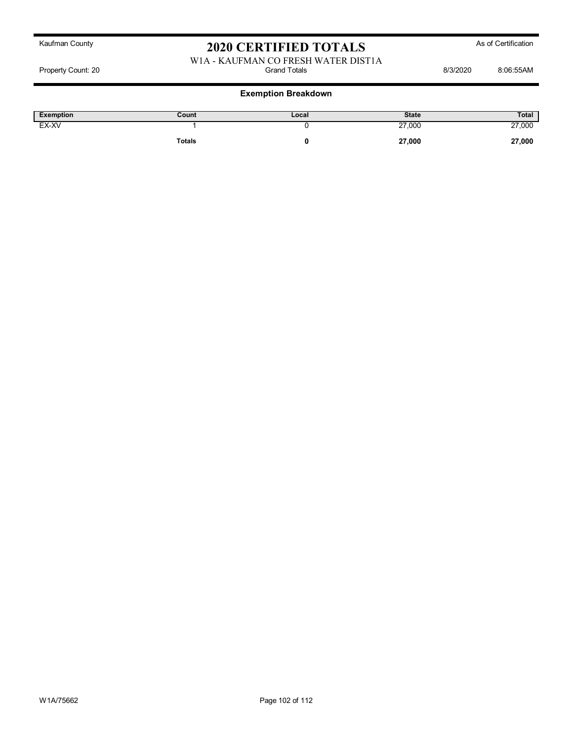### W1A - KAUFMAN CO FRESH WATER DIST1A<br>Grand Totals Property Count: 20 **Billion** Count: 20 **Grand Totals** Grand Totals **8/3/2020** 8:06:55AM

| <b>Exemption</b> | Count         | Local | <b>State</b> | Total  |
|------------------|---------------|-------|--------------|--------|
| EX-XV            |               |       | 27,000       | 27,000 |
|                  | <b>Totals</b> |       | 27,000       | 27,000 |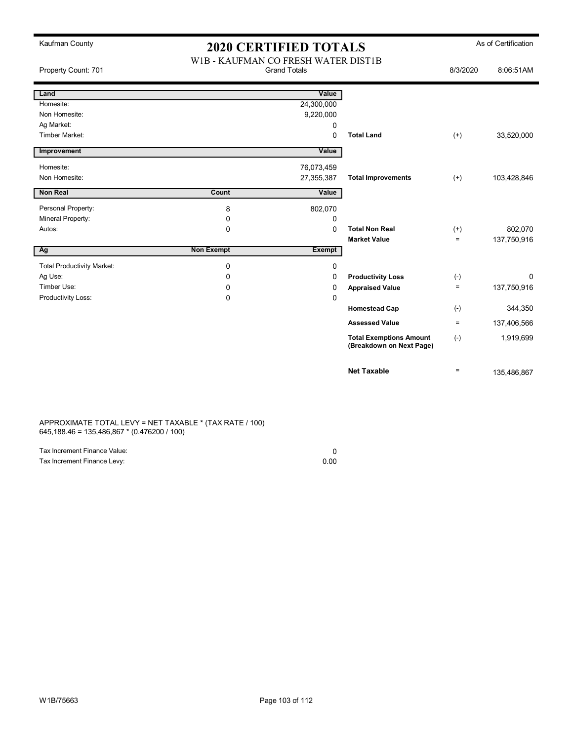| Kaufman County                    | <b>2020 CERTIFIED TOTALS</b>                               |               |                                                            | As of Certification |             |
|-----------------------------------|------------------------------------------------------------|---------------|------------------------------------------------------------|---------------------|-------------|
| Property Count: 701               | W1B - KAUFMAN CO FRESH WATER DIST1B<br><b>Grand Totals</b> |               |                                                            | 8/3/2020            | 8:06:51AM   |
| Land                              |                                                            | Value         |                                                            |                     |             |
| Homesite:                         |                                                            | 24,300,000    |                                                            |                     |             |
| Non Homesite:                     |                                                            | 9,220,000     |                                                            |                     |             |
| Ag Market:                        |                                                            | 0             |                                                            |                     |             |
| Timber Market:                    |                                                            | $\Omega$      | <b>Total Land</b>                                          | $(+)$               | 33,520,000  |
| Improvement                       |                                                            | Value         |                                                            |                     |             |
| Homesite:                         |                                                            | 76,073,459    |                                                            |                     |             |
| Non Homesite:                     |                                                            | 27,355,387    | <b>Total Improvements</b>                                  | $(+)$               | 103,428,846 |
| <b>Non Real</b>                   | Count                                                      | Value         |                                                            |                     |             |
| Personal Property:                | 8                                                          | 802,070       |                                                            |                     |             |
| Mineral Property:                 | 0                                                          | 0             |                                                            |                     |             |
| Autos:                            | $\Omega$                                                   | $\Omega$      | <b>Total Non Real</b>                                      | $^{(+)}$            | 802,070     |
|                                   |                                                            |               | <b>Market Value</b>                                        | $\equiv$            | 137,750,916 |
| Ag                                | <b>Non Exempt</b>                                          | <b>Exempt</b> |                                                            |                     |             |
| <b>Total Productivity Market:</b> | 0                                                          | 0             |                                                            |                     |             |
| Ag Use:                           | $\Omega$                                                   | 0             | <b>Productivity Loss</b>                                   | $(-)$               | 0           |
| Timber Use:                       | $\Omega$                                                   | 0             | <b>Appraised Value</b>                                     | $\equiv$            | 137,750,916 |
| Productivity Loss:                | $\mathbf 0$                                                | $\mathbf 0$   |                                                            |                     |             |
|                                   |                                                            |               | <b>Homestead Cap</b>                                       | $(-)$               | 344,350     |
|                                   |                                                            |               | <b>Assessed Value</b>                                      | $=$                 | 137,406,566 |
|                                   |                                                            |               | <b>Total Exemptions Amount</b><br>(Breakdown on Next Page) | $(-)$               | 1,919,699   |
|                                   |                                                            |               | <b>Net Taxable</b>                                         | $\equiv$            | 135,486,867 |

APPROXIMATE TOTAL LEVY = NET TAXABLE \* (TAX RATE / 100) 645,188.46 = 135,486,867 \* (0.476200 / 100)

| Tax Increment Finance Value: |      |
|------------------------------|------|
| Tax Increment Finance Levy:  | 0.00 |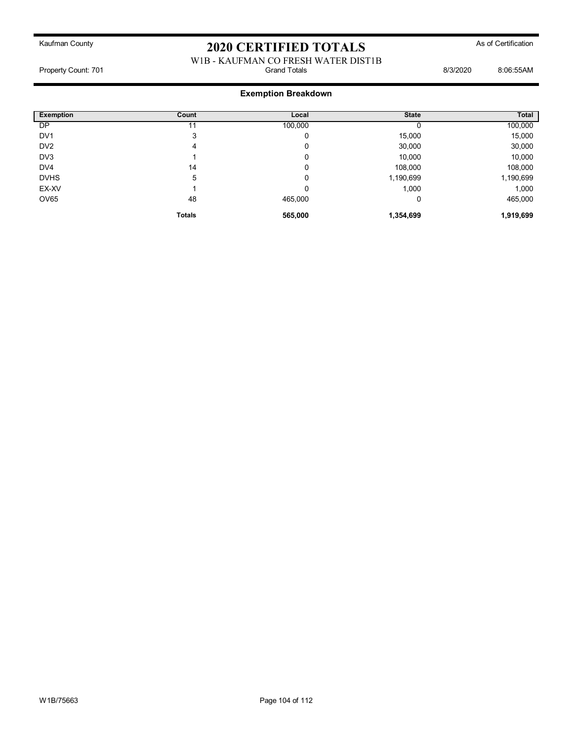### W1B - KAUFMAN CO FRESH WATER DIST1B<br>Grand Totals Property Count: 701 **Billion** Botals **Count: 701** Grand Totals **8/3/2020** 8:06:55AM

| <b>Exemption</b> | Count         | Local   | <b>State</b> | Total     |
|------------------|---------------|---------|--------------|-----------|
| DP               | 11            | 100,000 |              | 100,000   |
| DV <sub>1</sub>  | 3             | 0       | 15,000       | 15,000    |
| DV <sub>2</sub>  | 4             | 0       | 30,000       | 30,000    |
| DV3              |               | 0       | 10,000       | 10,000    |
| DV <sub>4</sub>  | 14            | 0       | 108,000      | 108,000   |
| <b>DVHS</b>      | 5             | 0       | 1,190,699    | 1,190,699 |
| EX-XV            |               | 0       | 1,000        | 1,000     |
| OV65             | 48            | 465,000 | 0            | 465,000   |
|                  | <b>Totals</b> | 565,000 | 1,354,699    | 1,919,699 |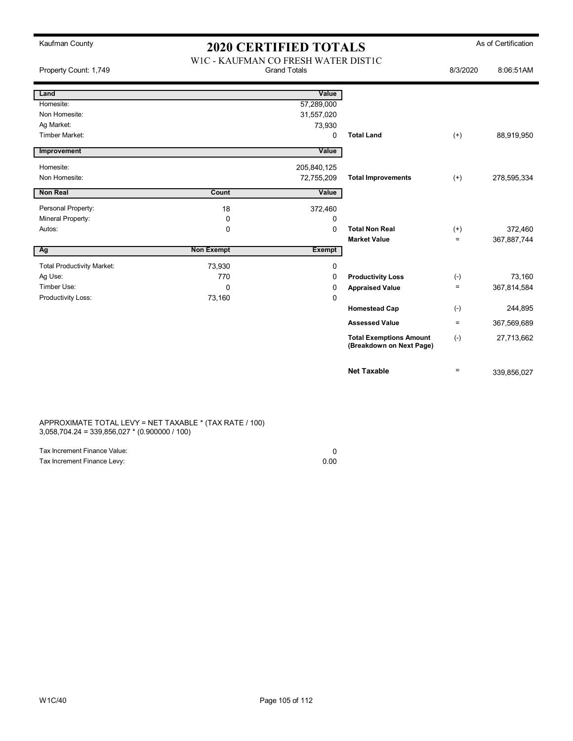| Kaufman County                    | <b>2020 CERTIFIED TOTALS</b>                               |               |                                                            | As of Certification |             |
|-----------------------------------|------------------------------------------------------------|---------------|------------------------------------------------------------|---------------------|-------------|
| Property Count: 1,749             | WIC - KAUFMAN CO FRESH WATER DISTIC<br><b>Grand Totals</b> |               |                                                            | 8/3/2020            | 8:06:51AM   |
| Land                              |                                                            | Value         |                                                            |                     |             |
| Homesite:                         |                                                            | 57,289,000    |                                                            |                     |             |
| Non Homesite:                     |                                                            | 31,557,020    |                                                            |                     |             |
| Ag Market:                        |                                                            | 73,930        |                                                            |                     |             |
| <b>Timber Market:</b>             |                                                            | 0             | <b>Total Land</b>                                          | $(+)$               | 88,919,950  |
| Improvement                       |                                                            | Value         |                                                            |                     |             |
| Homesite:                         |                                                            | 205,840,125   |                                                            |                     |             |
| Non Homesite:                     |                                                            | 72,755,209    | <b>Total Improvements</b>                                  | $(+)$               | 278,595,334 |
| <b>Non Real</b>                   | Count                                                      | Value         |                                                            |                     |             |
| Personal Property:                | 18                                                         | 372,460       |                                                            |                     |             |
| Mineral Property:                 | $\mathbf 0$                                                | 0             |                                                            |                     |             |
| Autos:                            | $\mathbf 0$                                                | 0             | <b>Total Non Real</b>                                      | $(+)$               | 372,460     |
|                                   |                                                            |               | <b>Market Value</b>                                        | $\equiv$            | 367,887,744 |
| Ag                                | <b>Non Exempt</b>                                          | <b>Exempt</b> |                                                            |                     |             |
| <b>Total Productivity Market:</b> | 73,930                                                     | 0             |                                                            |                     |             |
| Ag Use:                           | 770                                                        | 0             | <b>Productivity Loss</b>                                   | $(-)$               | 73,160      |
| Timber Use:                       | $\Omega$                                                   | 0             | <b>Appraised Value</b>                                     | $\qquad \qquad =$   | 367,814,584 |
| Productivity Loss:                | 73,160                                                     | 0             |                                                            |                     |             |
|                                   |                                                            |               | <b>Homestead Cap</b>                                       | $(-)$               | 244,895     |
|                                   |                                                            |               | <b>Assessed Value</b>                                      | $\equiv$            | 367,569,689 |
|                                   |                                                            |               | <b>Total Exemptions Amount</b><br>(Breakdown on Next Page) | $(-)$               | 27,713,662  |
|                                   |                                                            |               | <b>Net Taxable</b>                                         | $\equiv$            | 339,856,027 |

APPROXIMATE TOTAL LEVY = NET TAXABLE \* (TAX RATE / 100) 3,058,704.24 = 339,856,027 \* (0.900000 / 100)

| Tax Increment Finance Value: |      |
|------------------------------|------|
| Tax Increment Finance Levy:  | 0.00 |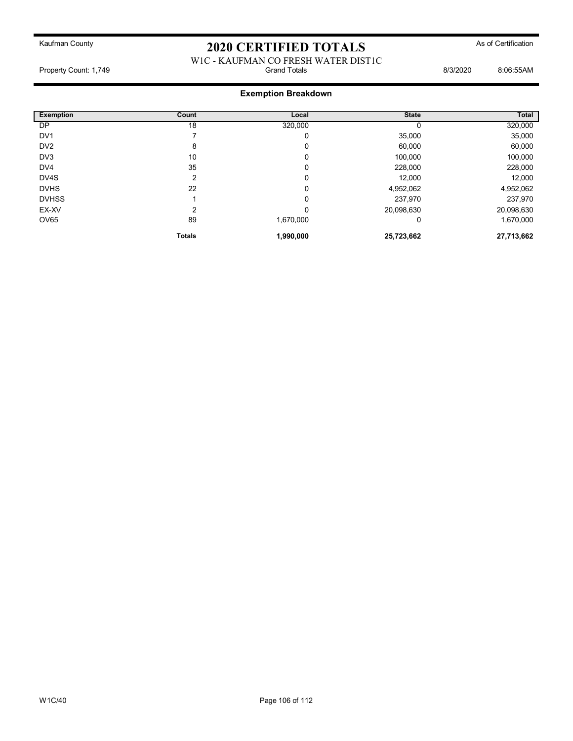### W1C - KAUFMAN CO FRESH WATER DIST1C<br>Grand Totals Property Count: 1,749 **Billion** Count: 1,749 **Grand Totals** Grand Totals **8/3/2020** 8:06:55AM

| <b>Exemption</b> | Count         | Local     | <b>State</b> | Total      |
|------------------|---------------|-----------|--------------|------------|
| DP               | 18            | 320,000   |              | 320,000    |
| DV <sub>1</sub>  |               | 0         | 35,000       | 35,000     |
| DV <sub>2</sub>  | 8             | 0         | 60,000       | 60,000     |
| DV <sub>3</sub>  | 10            | 0         | 100,000      | 100,000    |
| DV <sub>4</sub>  | 35            | 0         | 228,000      | 228,000    |
| DV4S             | 2             | 0         | 12,000       | 12,000     |
| <b>DVHS</b>      | 22            | 0         | 4,952,062    | 4,952,062  |
| <b>DVHSS</b>     |               | 0         | 237,970      | 237,970    |
| EX-XV            | 2             | 0         | 20,098,630   | 20,098,630 |
| OV65             | 89            | 1,670,000 | 0            | 1,670,000  |
|                  | <b>Totals</b> | 1,990,000 | 25,723,662   | 27,713,662 |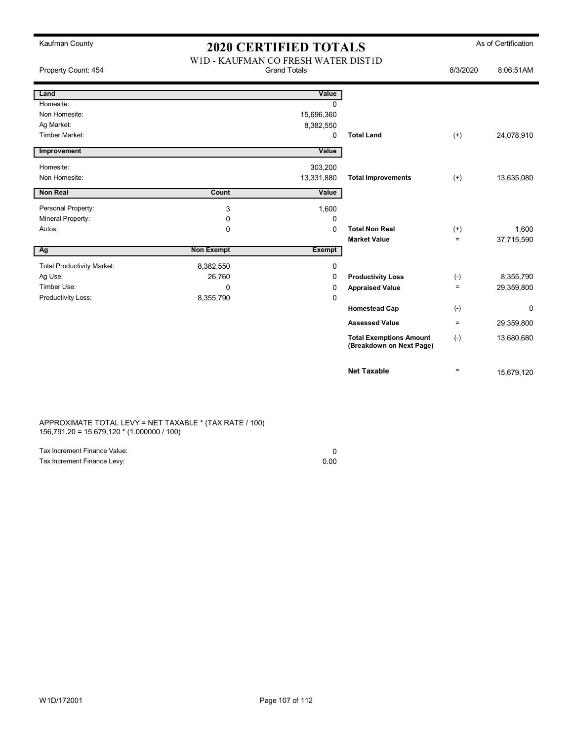| Kaufman County                    | <b>2020 CERTIFIED TOTALS</b>                               |               |                                                            | As of Certification |             |
|-----------------------------------|------------------------------------------------------------|---------------|------------------------------------------------------------|---------------------|-------------|
| Property Count: 454               | W1D - KAUFMAN CO FRESH WATER DIST1D<br><b>Grand Totals</b> |               |                                                            | 8/3/2020            | 8:06:51AM   |
| Land                              |                                                            | Value         |                                                            |                     |             |
| Homesite:                         |                                                            | $\Omega$      |                                                            |                     |             |
| Non Homesite:                     |                                                            | 15,696,360    |                                                            |                     |             |
| Ag Market:                        |                                                            | 8,382,550     |                                                            |                     |             |
| Timber Market:                    |                                                            | 0             | <b>Total Land</b>                                          | $^{(+)}$            | 24,078,910  |
| Improvement                       |                                                            | Value         |                                                            |                     |             |
| Homesite:                         |                                                            | 303,200       |                                                            |                     |             |
| Non Homesite:                     |                                                            | 13,331,880    | <b>Total Improvements</b>                                  | $(+)$               | 13,635,080  |
| Non Real                          | Count                                                      | Value         |                                                            |                     |             |
| Personal Property:                | 3                                                          | 1,600         |                                                            |                     |             |
| Mineral Property:                 | 0                                                          | 0             |                                                            |                     |             |
| Autos:                            | $\Omega$                                                   | $\Omega$      | <b>Total Non Real</b>                                      | $^{(+)}$            | 1,600       |
|                                   |                                                            |               | <b>Market Value</b>                                        | $=$                 | 37,715,590  |
| Ag                                | <b>Non Exempt</b>                                          | <b>Exempt</b> |                                                            |                     |             |
| <b>Total Productivity Market:</b> | 8,382,550                                                  | 0             |                                                            |                     |             |
| Ag Use:                           | 26,760                                                     | 0             | <b>Productivity Loss</b>                                   | $(-)$               | 8,355,790   |
| Timber Use:                       | $\Omega$                                                   | 0             | <b>Appraised Value</b>                                     | $\equiv$            | 29,359,800  |
| Productivity Loss:                | 8,355,790                                                  | 0             |                                                            |                     |             |
|                                   |                                                            |               | <b>Homestead Cap</b>                                       | $(-)$               | $\mathbf 0$ |
|                                   |                                                            |               | <b>Assessed Value</b>                                      | $\equiv$            | 29,359,800  |
|                                   |                                                            |               | <b>Total Exemptions Amount</b><br>(Breakdown on Next Page) | $(-)$               | 13,680,680  |
|                                   |                                                            |               | <b>Net Taxable</b>                                         | $\equiv$            | 15,679,120  |

APPROXIMATE TOTAL LEVY = NET TAXABLE \* (TAX RATE / 100) 156,791.20 = 15,679,120 \* (1.000000 / 100)

| Tax Increment Finance Value: |      |
|------------------------------|------|
| Tax Increment Finance Levy:  | 0.00 |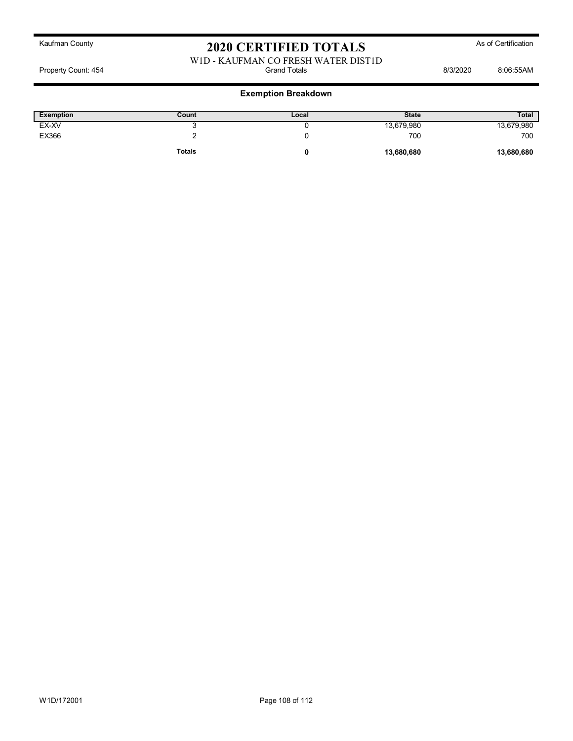# W1D - KAUFMAN CO FRESH WATER DIST1D<br>Grand Totals

Property Count: 454 **Bisk and Totals** Grand Totals **B**isk and Totals 8/3/2020 8:06:55AM

| Exemption | Count         | ∟ocal | <b>State</b> | <b>Total</b> |
|-----------|---------------|-------|--------------|--------------|
| EX-XV     |               |       | 13,679,980   | 13,679,980   |
| EX366     |               |       | 700          | 700          |
|           | <b>Totals</b> | u     | 13,680,680   | 13,680,680   |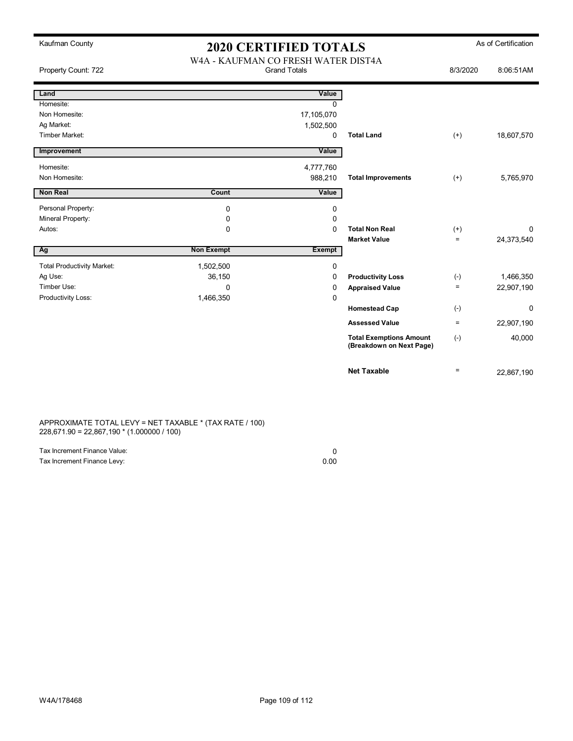| Kaufman County                    | <b>2020 CERTIFIED TOTALS</b>                               |            |                                                            | As of Certification |            |
|-----------------------------------|------------------------------------------------------------|------------|------------------------------------------------------------|---------------------|------------|
| Property Count: 722               | W4A - KAUFMAN CO FRESH WATER DIST4A<br><b>Grand Totals</b> |            |                                                            | 8/3/2020            | 8:06:51AM  |
| Land                              |                                                            | Value      |                                                            |                     |            |
| Homesite:                         |                                                            | $\Omega$   |                                                            |                     |            |
| Non Homesite:                     |                                                            | 17,105,070 |                                                            |                     |            |
| Ag Market:                        |                                                            | 1,502,500  |                                                            |                     |            |
| <b>Timber Market:</b>             |                                                            | 0          | <b>Total Land</b>                                          | $(+)$               | 18,607,570 |
| Improvement                       |                                                            | Value      |                                                            |                     |            |
| Homesite:                         |                                                            | 4,777,760  |                                                            |                     |            |
| Non Homesite:                     |                                                            | 988,210    | <b>Total Improvements</b>                                  | $(+)$               | 5,765,970  |
| <b>Non Real</b>                   | Count                                                      | Value      |                                                            |                     |            |
| Personal Property:                | 0                                                          | 0          |                                                            |                     |            |
| Mineral Property:                 | 0                                                          | 0          |                                                            |                     |            |
| Autos:                            | $\mathbf 0$                                                | $\Omega$   | <b>Total Non Real</b>                                      | $^{(+)}$            | 0          |
|                                   |                                                            |            | <b>Market Value</b>                                        | $\qquad \qquad =$   | 24,373,540 |
| Ag                                | <b>Non Exempt</b>                                          | Exempt     |                                                            |                     |            |
| <b>Total Productivity Market:</b> | 1,502,500                                                  | 0          |                                                            |                     |            |
| Ag Use:                           | 36,150                                                     | 0          | <b>Productivity Loss</b>                                   | $(-)$               | 1,466,350  |
| Timber Use:                       | $\Omega$                                                   | 0          | <b>Appraised Value</b>                                     | $\equiv$            | 22,907,190 |
| Productivity Loss:                | 1,466,350                                                  | 0          |                                                            |                     |            |
|                                   |                                                            |            | <b>Homestead Cap</b>                                       | $(-)$               | 0          |
|                                   |                                                            |            | <b>Assessed Value</b>                                      | $\equiv$            | 22,907,190 |
|                                   |                                                            |            | <b>Total Exemptions Amount</b><br>(Breakdown on Next Page) | $(-)$               | 40,000     |
|                                   |                                                            |            | <b>Net Taxable</b>                                         | $\equiv$            | 22,867,190 |

APPROXIMATE TOTAL LEVY = NET TAXABLE \* (TAX RATE / 100) 228,671.90 = 22,867,190 \* (1.000000 / 100)

| Tax Increment Finance Value: |      |
|------------------------------|------|
| Tax Increment Finance Levy:  | 0.00 |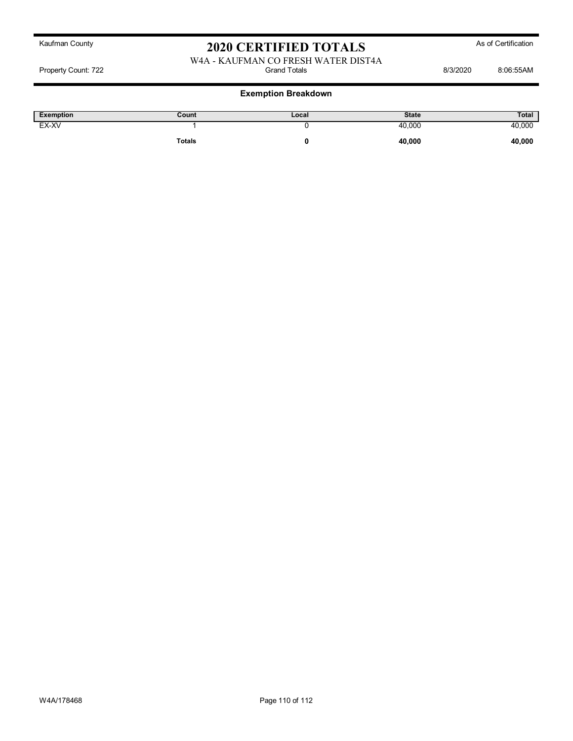# Kaufman County **As of Certification 2020 CERTIFIED TOTALS** As of Certification

## W4A - KAUFMAN CO FRESH WATER DIST4A<br>Grand Totals Property Count: 722 **Count: 722** Crand Totals Grand Totals **8/3/2020** 8:06:55AM

## **Exemption Breakdown**

| <b>Exemption</b> | Count         | Local | <b>State</b> | Total  |
|------------------|---------------|-------|--------------|--------|
| EX-XV            |               |       | 40,000       | 40,000 |
|                  | <b>Totals</b> |       | 40,000       | 40,000 |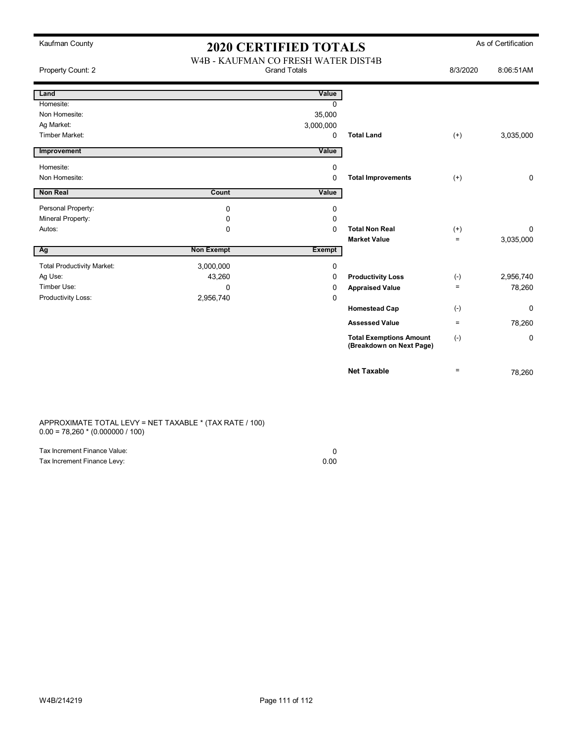| Kaufman County                    | <b>2020 CERTIFIED TOTALS</b>                               |               |                                                            | As of Certification |             |
|-----------------------------------|------------------------------------------------------------|---------------|------------------------------------------------------------|---------------------|-------------|
| Property Count: 2                 | W4B - KAUFMAN CO FRESH WATER DIST4B<br><b>Grand Totals</b> |               |                                                            | 8/3/2020            | 8:06:51AM   |
| Land                              |                                                            | Value         |                                                            |                     |             |
| Homesite:                         |                                                            | $\Omega$      |                                                            |                     |             |
| Non Homesite:                     |                                                            | 35,000        |                                                            |                     |             |
| Ag Market:                        |                                                            | 3,000,000     |                                                            |                     |             |
| <b>Timber Market:</b>             |                                                            | $\Omega$      | <b>Total Land</b>                                          | $(+)$               | 3,035,000   |
| Improvement                       |                                                            | Value         |                                                            |                     |             |
| Homesite:                         |                                                            | 0             |                                                            |                     |             |
| Non Homesite:                     |                                                            | 0             | <b>Total Improvements</b>                                  | $(+)$               | $\mathbf 0$ |
| <b>Non Real</b>                   | Count                                                      | Value         |                                                            |                     |             |
| Personal Property:                | $\mathbf 0$                                                | 0             |                                                            |                     |             |
| Mineral Property:                 | 0                                                          | 0             |                                                            |                     |             |
| Autos:                            | 0                                                          | $\Omega$      | <b>Total Non Real</b>                                      | $^{(+)}$            | 0           |
|                                   |                                                            |               | <b>Market Value</b>                                        | $\qquad \qquad =$   | 3,035,000   |
| Ag                                | <b>Non Exempt</b>                                          | <b>Exempt</b> |                                                            |                     |             |
| <b>Total Productivity Market:</b> | 3,000,000                                                  | 0             |                                                            |                     |             |
| Ag Use:                           | 43,260                                                     | 0             | <b>Productivity Loss</b>                                   | $(-)$               | 2,956,740   |
| Timber Use:                       | $\Omega$                                                   | 0             | <b>Appraised Value</b>                                     | $\equiv$            | 78,260      |
| Productivity Loss:                | 2,956,740                                                  | 0             |                                                            |                     |             |
|                                   |                                                            |               | <b>Homestead Cap</b>                                       | $(-)$               | 0           |
|                                   |                                                            |               | <b>Assessed Value</b>                                      | $\equiv$            | 78,260      |
|                                   |                                                            |               | <b>Total Exemptions Amount</b><br>(Breakdown on Next Page) | $(-)$               | 0           |
|                                   |                                                            |               | <b>Net Taxable</b>                                         | $=$                 | 78,260      |

APPROXIMATE TOTAL LEVY = NET TAXABLE \* (TAX RATE / 100) 0.00 = 78,260 \* (0.000000 / 100)

| Tax Increment Finance Value: |      |
|------------------------------|------|
| Tax Increment Finance Levy:  | 0.00 |